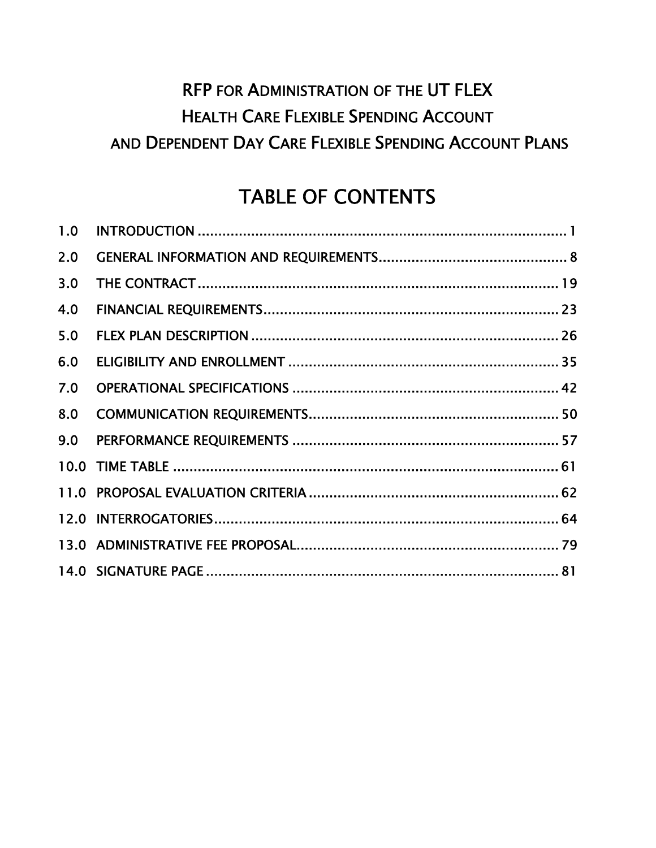# RFP FOR ADMINISTRATION OF THE UT FLEX HEALTH CARE FLEXIBLE SPENDING ACCOUNT AND DEPENDENT DAY CARE FLEXIBLE SPENDING ACCOUNT PLANS

# TABLE OF CONTENTS

| 1.0 |  |
|-----|--|
| 2.0 |  |
| 3.0 |  |
| 4.0 |  |
| 5.0 |  |
| 6.0 |  |
| 7.0 |  |
| 8.0 |  |
| 9.0 |  |
|     |  |
|     |  |
|     |  |
|     |  |
|     |  |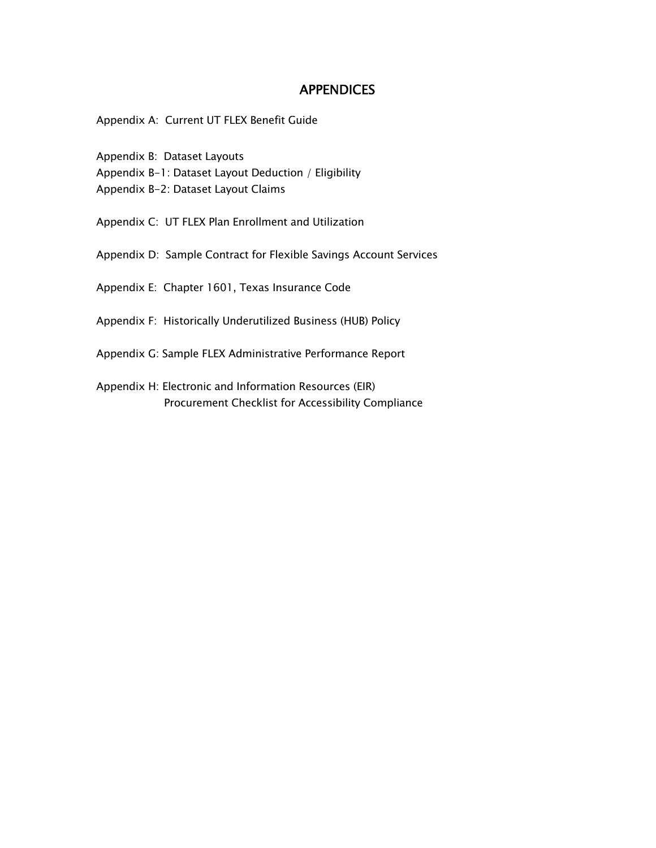#### **APPENDICES**

Appendix A: Current UT FLEX Benefit Guide

- Appendix B: Dataset Layouts
- Appendix B-1: Dataset Layout Deduction / Eligibility

Appendix B-2: Dataset Layout Claims

- Appendix C: UT FLEX Plan Enrollment and Utilization
- Appendix D: Sample Contract for Flexible Savings Account Services
- Appendix E: Chapter 1601, Texas Insurance Code
- Appendix F: Historically Underutilized Business (HUB) Policy
- Appendix G: Sample FLEX Administrative Performance Report
- Appendix H: Electronic and Information Resources (EIR) Procurement Checklist for Accessibility Compliance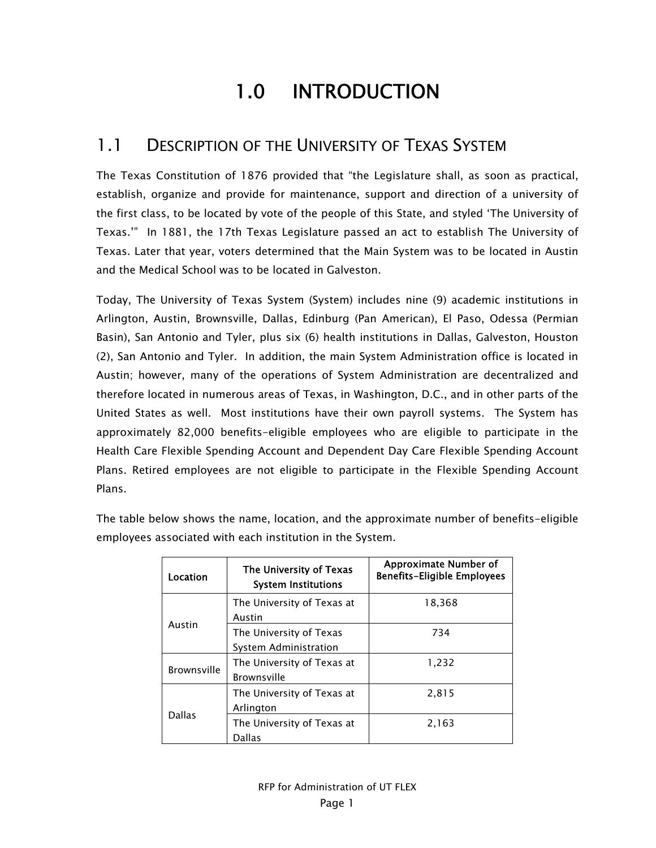# 1.0 INTRODUCTION

### 1.1 DESCRIPTION OF THE UNIVERSITY OF TEXAS SYSTEM

The Texas Constitution of 1876 provided that "the Legislature shall, as soon as practical, establish, organize and provide for maintenance, support and direction of a university of the first class, to be located by vote of the people of this State, and styled 'The University of Texas.'" In 1881, the 17th Texas Legislature passed an act to establish The University of Texas. Later that year, voters determined that the Main System was to be located in Austin and the Medical School was to be located in Galveston.

Today, The University of Texas System (System) includes nine (9) academic institutions in Arlington, Austin, Brownsville, Dallas, Edinburg (Pan American), El Paso, Odessa (Permian Basin), San Antonio and Tyler, plus six (6) health institutions in Dallas, Galveston, Houston (2), San Antonio and Tyler. In addition, the main System Administration office is located in Austin; however, many of the operations of System Administration are decentralized and therefore located in numerous areas of Texas, in Washington, D.C., and in other parts of the United States as well. Most institutions have their own payroll systems. The System has approximately 82,000 benefits-eligible employees who are eligible to participate in the Health Care Flexible Spending Account and Dependent Day Care Flexible Spending Account Plans. Retired employees are not eligible to participate in the Flexible Spending Account Plans.

Location | The University of Texas System Institutions Approximate Number of Benefits-Eligible Employees Austin The University of Texas at Austin 18,368 The University of Texas System Administration 734 Brownsville The University of Texas at Brownsville 1,232 Dallas The University of Texas at Arlington 2,815

The table below shows the name, location, and the approximate number of benefits-eligible employees associated with each institution in the System.

2,163

The University of Texas at

Dallas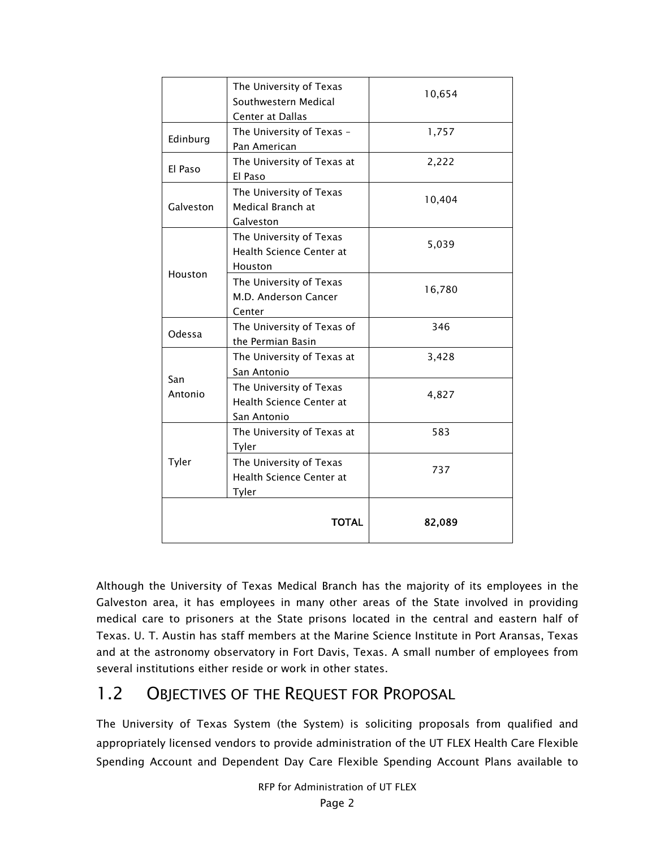|                | The University of Texas<br>Southwestern Medical<br>Center at Dallas | 10,654 |
|----------------|---------------------------------------------------------------------|--------|
| Edinburg       | The University of Texas -<br>Pan American                           | 1,757  |
| El Paso        | The University of Texas at<br>El Paso                               | 2,222  |
| Galveston      | The University of Texas<br>Medical Branch at<br>Galveston           | 10,404 |
|                | The University of Texas<br>Health Science Center at<br>Houston      | 5,039  |
| Houston        | The University of Texas<br>M.D. Anderson Cancer<br>Center           | 16,780 |
| Odessa         | The University of Texas of<br>the Permian Basin                     | 346    |
|                | The University of Texas at<br>San Antonio                           | 3,428  |
| San<br>Antonio | The University of Texas<br>Health Science Center at<br>San Antonio  | 4,827  |
|                | The University of Texas at<br>Tyler                                 | 583    |
| Tyler          | The University of Texas<br>Health Science Center at<br>Tyler        | 737    |
|                | <b>TOTAL</b>                                                        | 82,089 |

Although the University of Texas Medical Branch has the majority of its employees in the Galveston area, it has employees in many other areas of the State involved in providing medical care to prisoners at the State prisons located in the central and eastern half of Texas. U. T. Austin has staff members at the Marine Science Institute in Port Aransas, Texas and at the astronomy observatory in Fort Davis, Texas. A small number of employees from several institutions either reside or work in other states.

# 1.2 OBJECTIVES OF THE REQUEST FOR PROPOSAL

The University of Texas System (the System) is soliciting proposals from qualified and appropriately licensed vendors to provide administration of the UT FLEX Health Care Flexible Spending Account and Dependent Day Care Flexible Spending Account Plans available to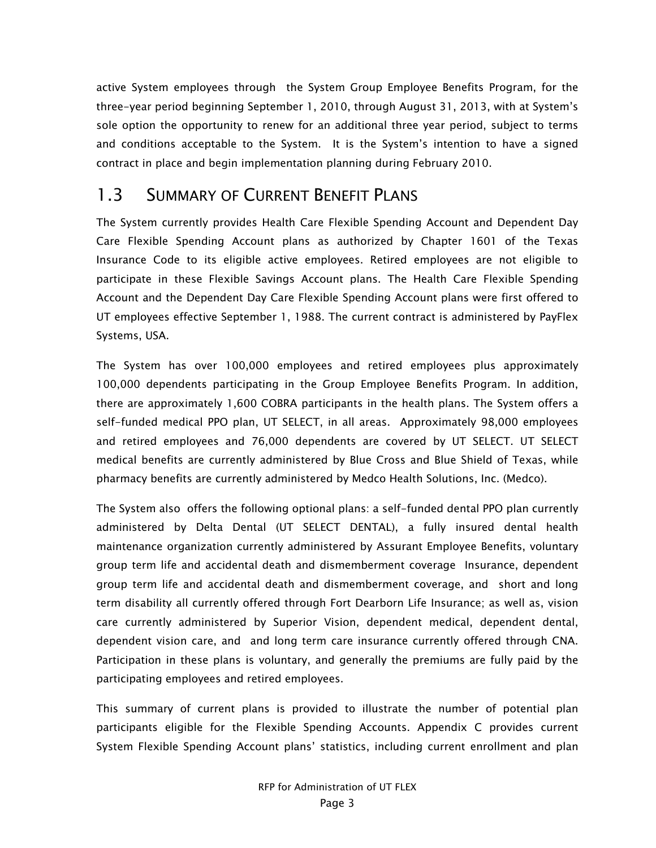active System employees through the System Group Employee Benefits Program, for the three-year period beginning September 1, 2010, through August 31, 2013, with at System's sole option the opportunity to renew for an additional three year period, subject to terms and conditions acceptable to the System. It is the System's intention to have a signed contract in place and begin implementation planning during February 2010.

### 1.3 SUMMARY OF CURRENT BENEFIT PLANS

The System currently provides Health Care Flexible Spending Account and Dependent Day Care Flexible Spending Account plans as authorized by Chapter 1601 of the Texas Insurance Code to its eligible active employees. Retired employees are not eligible to participate in these Flexible Savings Account plans. The Health Care Flexible Spending Account and the Dependent Day Care Flexible Spending Account plans were first offered to UT employees effective September 1, 1988. The current contract is administered by PayFlex Systems, USA.

The System has over 100,000 employees and retired employees plus approximately 100,000 dependents participating in the Group Employee Benefits Program. In addition, there are approximately 1,600 COBRA participants in the health plans. The System offers a self-funded medical PPO plan, UT SELECT, in all areas. Approximately 98,000 employees and retired employees and 76,000 dependents are covered by UT SELECT. UT SELECT medical benefits are currently administered by Blue Cross and Blue Shield of Texas, while pharmacy benefits are currently administered by Medco Health Solutions, Inc. (Medco).

The System also offers the following optional plans: a self-funded dental PPO plan currently administered by Delta Dental (UT SELECT DENTAL), a fully insured dental health maintenance organization currently administered by Assurant Employee Benefits, voluntary group term life and accidental death and dismemberment coverage Insurance, dependent group term life and accidental death and dismemberment coverage, and short and long term disability all currently offered through Fort Dearborn Life Insurance; as well as, vision care currently administered by Superior Vision, dependent medical, dependent dental, dependent vision care, and and long term care insurance currently offered through CNA. Participation in these plans is voluntary, and generally the premiums are fully paid by the participating employees and retired employees.

This summary of current plans is provided to illustrate the number of potential plan participants eligible for the Flexible Spending Accounts. Appendix C provides current System Flexible Spending Account plans' statistics, including current enrollment and plan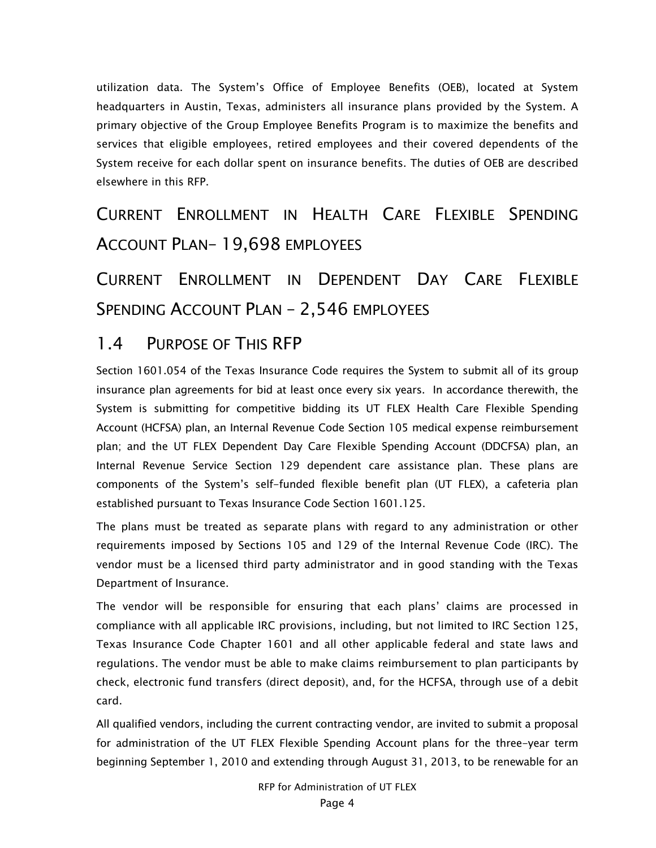utilization data. The System's Office of Employee Benefits (OEB), located at System headquarters in Austin, Texas, administers all insurance plans provided by the System. A primary objective of the Group Employee Benefits Program is to maximize the benefits and services that eligible employees, retired employees and their covered dependents of the System receive for each dollar spent on insurance benefits. The duties of OEB are described elsewhere in this RFP.

CURRENT ENROLLMENT IN HEALTH CARE FLEXIBLE SPENDING ACCOUNT PLAN– 19,698 EMPLOYEES

CURRENT ENROLLMENT IN DEPENDENT DAY CARE FLEXIBLE SPENDING ACCOUNT PLAN – 2,546 EMPLOYEES

#### 1.4 PURPOSE OF THIS RFP

Section 1601.054 of the Texas Insurance Code requires the System to submit all of its group insurance plan agreements for bid at least once every six years. In accordance therewith, the System is submitting for competitive bidding its UT FLEX Health Care Flexible Spending Account (HCFSA) plan, an Internal Revenue Code Section 105 medical expense reimbursement plan; and the UT FLEX Dependent Day Care Flexible Spending Account (DDCFSA) plan, an Internal Revenue Service Section 129 dependent care assistance plan. These plans are components of the System's self-funded flexible benefit plan (UT FLEX), a cafeteria plan established pursuant to Texas Insurance Code Section 1601.125.

The plans must be treated as separate plans with regard to any administration or other requirements imposed by Sections 105 and 129 of the Internal Revenue Code (IRC). The vendor must be a licensed third party administrator and in good standing with the Texas Department of Insurance.

The vendor will be responsible for ensuring that each plans' claims are processed in compliance with all applicable IRC provisions, including, but not limited to IRC Section 125, Texas Insurance Code Chapter 1601 and all other applicable federal and state laws and regulations. The vendor must be able to make claims reimbursement to plan participants by check, electronic fund transfers (direct deposit), and, for the HCFSA, through use of a debit card.

All qualified vendors, including the current contracting vendor, are invited to submit a proposal for administration of the UT FLEX Flexible Spending Account plans for the three-year term beginning September 1, 2010 and extending through August 31, 2013, to be renewable for an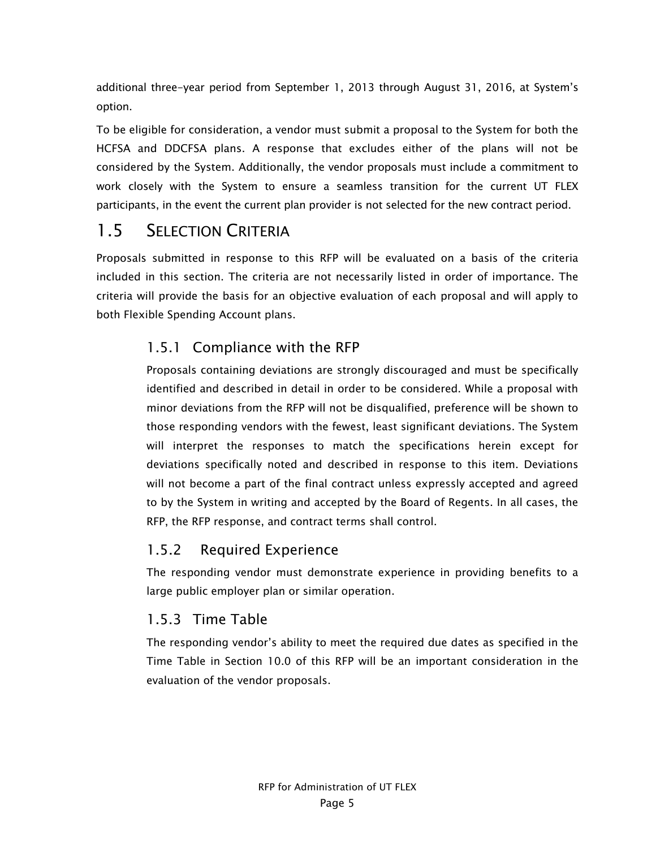additional three-year period from September 1, 2013 through August 31, 2016, at System's option.

To be eligible for consideration, a vendor must submit a proposal to the System for both the HCFSA and DDCFSA plans. A response that excludes either of the plans will not be considered by the System. Additionally, the vendor proposals must include a commitment to work closely with the System to ensure a seamless transition for the current UT FLEX participants, in the event the current plan provider is not selected for the new contract period.

### 1.5 SELECTION CRITERIA

Proposals submitted in response to this RFP will be evaluated on a basis of the criteria included in this section. The criteria are not necessarily listed in order of importance. The criteria will provide the basis for an objective evaluation of each proposal and will apply to both Flexible Spending Account plans.

#### 1.5.1 Compliance with the RFP

Proposals containing deviations are strongly discouraged and must be specifically identified and described in detail in order to be considered. While a proposal with minor deviations from the RFP will not be disqualified, preference will be shown to those responding vendors with the fewest, least significant deviations. The System will interpret the responses to match the specifications herein except for deviations specifically noted and described in response to this item. Deviations will not become a part of the final contract unless expressly accepted and agreed to by the System in writing and accepted by the Board of Regents. In all cases, the RFP, the RFP response, and contract terms shall control.

#### 1.5.2 Required Experience

The responding vendor must demonstrate experience in providing benefits to a large public employer plan or similar operation.

#### 1.5.3 Time Table

The responding vendor's ability to meet the required due dates as specified in the Time Table in Section 10.0 of this RFP will be an important consideration in the evaluation of the vendor proposals.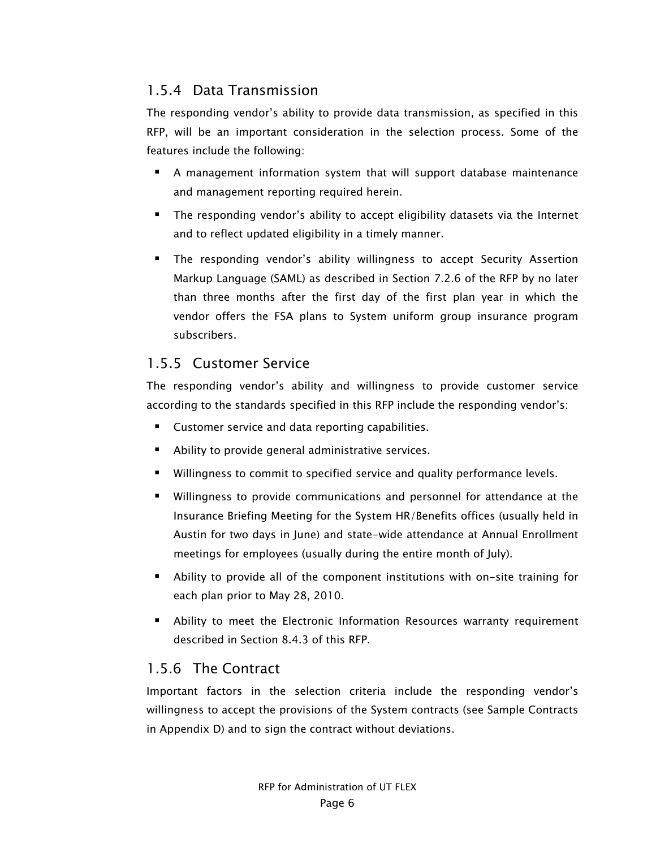#### 1.5.4 Data Transmission

The responding vendor's ability to provide data transmission, as specified in this RFP, will be an important consideration in the selection process. Some of the features include the following:

- A management information system that will support database maintenance and management reporting required herein.
- The responding vendor's ability to accept eligibility datasets via the Internet and to reflect updated eligibility in a timely manner.
- **The responding vendor's ability willingness to accept Security Assertion** Markup Language (SAML) as described in Section 7.2.6 of the RFP by no later than three months after the first day of the first plan year in which the vendor offers the FSA plans to System uniform group insurance program subscribers.

#### 1.5.5 Customer Service

The responding vendor's ability and willingness to provide customer service according to the standards specified in this RFP include the responding vendor's:

- **EXECUSTOMER CUSTOMER SETTICE AND READ** Customer service and data reporting capabilities.
- Ability to provide general administrative services.
- Willingness to commit to specified service and quality performance levels.
- Willingness to provide communications and personnel for attendance at the Insurance Briefing Meeting for the System HR/Benefits offices (usually held in Austin for two days in June) and state-wide attendance at Annual Enrollment meetings for employees (usually during the entire month of July).
- Ability to provide all of the component institutions with on-site training for each plan prior to May 28, 2010.
- Ability to meet the Electronic Information Resources warranty requirement described in Section 8.4.3 of this RFP.

#### 1.5.6 The Contract

Important factors in the selection criteria include the responding vendor's willingness to accept the provisions of the System contracts (see Sample Contracts in Appendix D) and to sign the contract without deviations.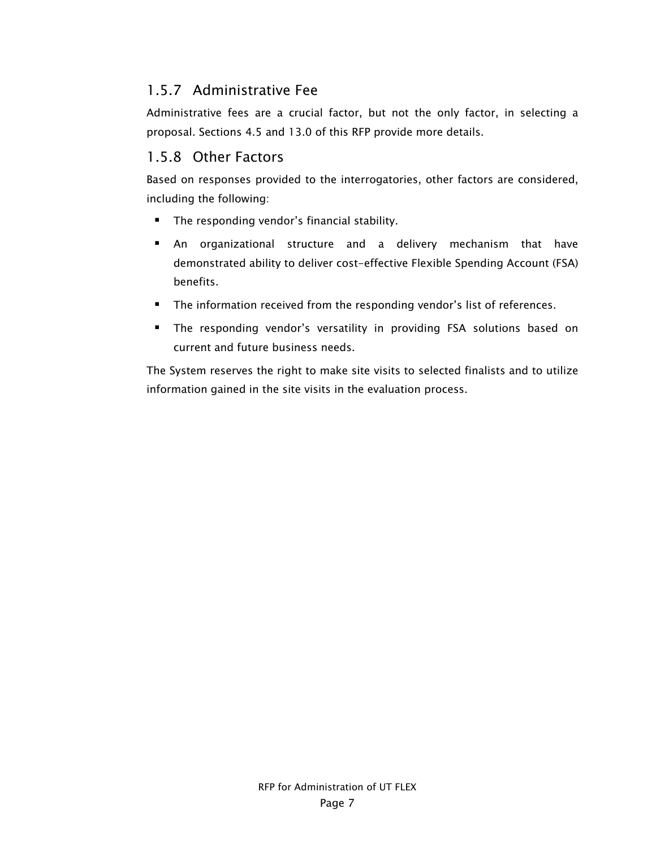#### 1.5.7 Administrative Fee

Administrative fees are a crucial factor, but not the only factor, in selecting a proposal. Sections 4.5 and 13.0 of this RFP provide more details.

#### 1.5.8 Other Factors

Based on responses provided to the interrogatories, other factors are considered, including the following:

- **The responding vendor's financial stability.**
- An organizational structure and a delivery mechanism that have demonstrated ability to deliver cost-effective Flexible Spending Account (FSA) benefits.
- **The information received from the responding vendor's list of references.**
- The responding vendor's versatility in providing FSA solutions based on current and future business needs.

The System reserves the right to make site visits to selected finalists and to utilize information gained in the site visits in the evaluation process.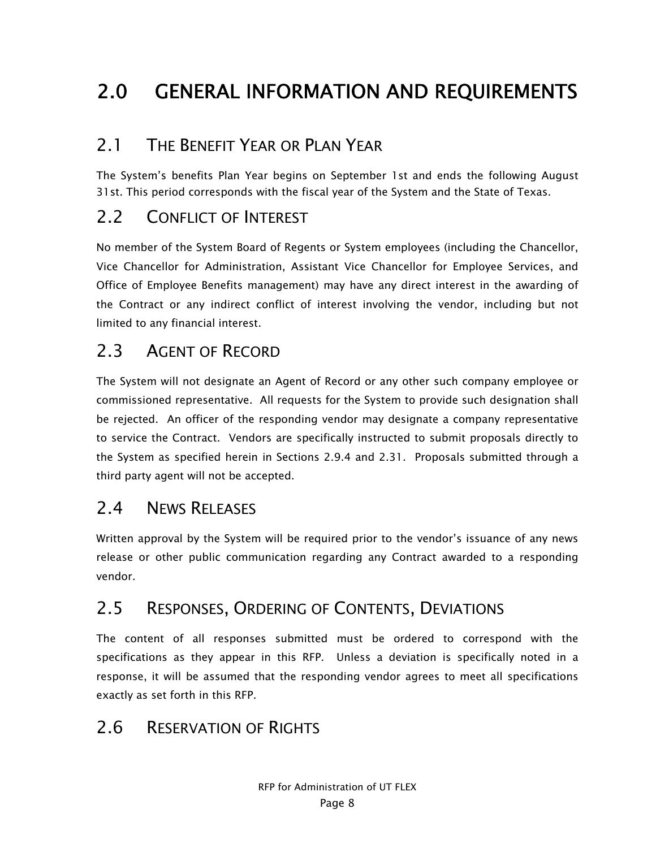# 2.0 GENERAL INFORMATION AND REQUIREMENTS

## 2.1 THE BENEFIT YEAR OR PLAN YEAR

The System's benefits Plan Year begins on September 1st and ends the following August 31st. This period corresponds with the fiscal year of the System and the State of Texas.

## 2.2 CONFLICT OF INTEREST

No member of the System Board of Regents or System employees (including the Chancellor, Vice Chancellor for Administration, Assistant Vice Chancellor for Employee Services, and Office of Employee Benefits management) may have any direct interest in the awarding of the Contract or any indirect conflict of interest involving the vendor, including but not limited to any financial interest.

# 2.3 AGENT OF RECORD

The System will not designate an Agent of Record or any other such company employee or commissioned representative. All requests for the System to provide such designation shall be rejected. An officer of the responding vendor may designate a company representative to service the Contract. Vendors are specifically instructed to submit proposals directly to the System as specified herein in Sections 2.9.4 and 2.31. Proposals submitted through a third party agent will not be accepted.

### 2.4 NEWS RELEASES

Written approval by the System will be required prior to the vendor's issuance of any news release or other public communication regarding any Contract awarded to a responding vendor.

### 2.5 RESPONSES, ORDERING OF CONTENTS, DEVIATIONS

The content of all responses submitted must be ordered to correspond with the specifications as they appear in this RFP. Unless a deviation is specifically noted in a response, it will be assumed that the responding vendor agrees to meet all specifications exactly as set forth in this RFP.

### 2.6 RESERVATION OF RIGHTS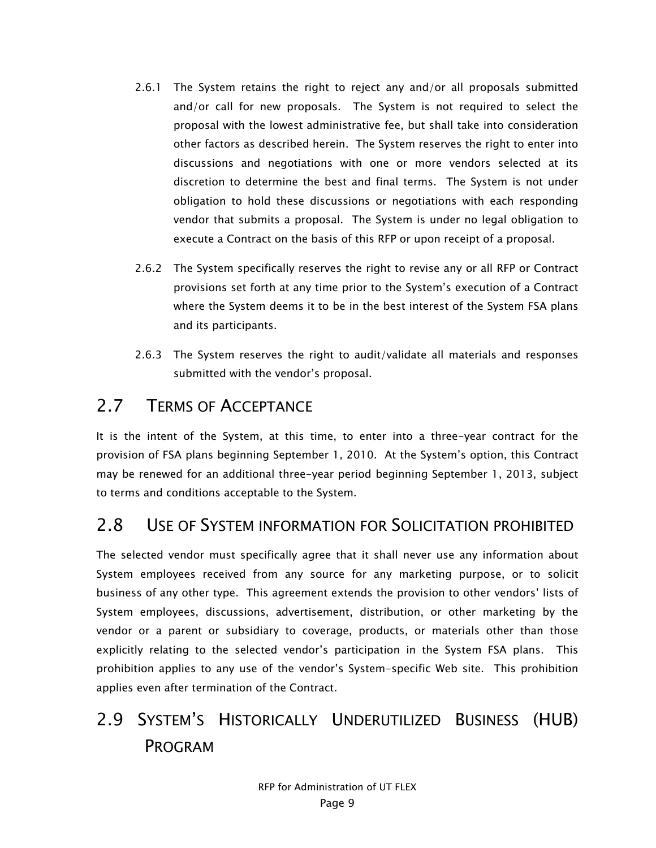- 2.6.1 The System retains the right to reject any and/or all proposals submitted and/or call for new proposals. The System is not required to select the proposal with the lowest administrative fee, but shall take into consideration other factors as described herein. The System reserves the right to enter into discussions and negotiations with one or more vendors selected at its discretion to determine the best and final terms. The System is not under obligation to hold these discussions or negotiations with each responding vendor that submits a proposal. The System is under no legal obligation to execute a Contract on the basis of this RFP or upon receipt of a proposal.
- 2.6.2 The System specifically reserves the right to revise any or all RFP or Contract provisions set forth at any time prior to the System's execution of a Contract where the System deems it to be in the best interest of the System FSA plans and its participants.
- 2.6.3 The System reserves the right to audit/validate all materials and responses submitted with the vendor's proposal.

### 2.7 TERMS OF ACCEPTANCE

It is the intent of the System, at this time, to enter into a three-year contract for the provision of FSA plans beginning September 1, 2010. At the System's option, this Contract may be renewed for an additional three-year period beginning September 1, 2013, subject to terms and conditions acceptable to the System.

### 2.8 USE OF SYSTEM INFORMATION FOR SOLICITATION PROHIBITED

The selected vendor must specifically agree that it shall never use any information about System employees received from any source for any marketing purpose, or to solicit business of any other type. This agreement extends the provision to other vendors' lists of System employees, discussions, advertisement, distribution, or other marketing by the vendor or a parent or subsidiary to coverage, products, or materials other than those explicitly relating to the selected vendor's participation in the System FSA plans. This prohibition applies to any use of the vendor's System-specific Web site. This prohibition applies even after termination of the Contract.

# 2.9 SYSTEM'S HISTORICALLY UNDERUTILIZED BUSINESS (HUB) PROGRAM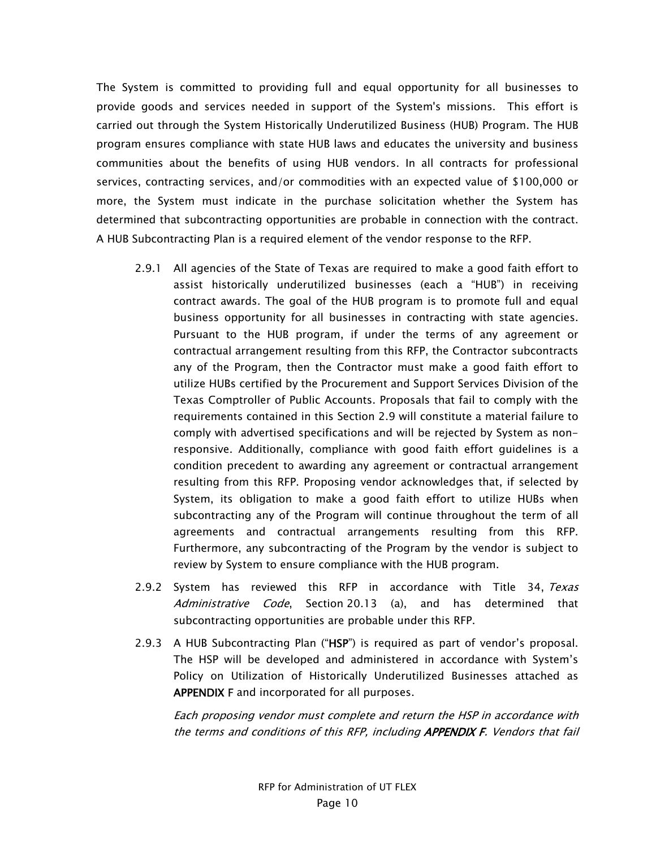The System is committed to providing full and equal opportunity for all businesses to provide goods and services needed in support of the System's missions. This effort is carried out through the System Historically Underutilized Business (HUB) Program. The HUB program ensures compliance with state HUB laws and educates the university and business communities about the benefits of using HUB vendors. In all contracts for professional services, contracting services, and/or commodities with an expected value of \$100,000 or more, the System must indicate in the purchase solicitation whether the System has determined that subcontracting opportunities are probable in connection with the contract. A HUB Subcontracting Plan is a required element of the vendor response to the RFP.

- 2.9.1 All agencies of the State of Texas are required to make a good faith effort to assist historically underutilized businesses (each a "HUB") in receiving contract awards. The goal of the HUB program is to promote full and equal business opportunity for all businesses in contracting with state agencies. Pursuant to the HUB program, if under the terms of any agreement or contractual arrangement resulting from this RFP, the Contractor subcontracts any of the Program, then the Contractor must make a good faith effort to utilize HUBs certified by the Procurement and Support Services Division of the Texas Comptroller of Public Accounts. Proposals that fail to comply with the requirements contained in this Section 2.9 will constitute a material failure to comply with advertised specifications and will be rejected by System as nonresponsive. Additionally, compliance with good faith effort guidelines is a condition precedent to awarding any agreement or contractual arrangement resulting from this RFP. Proposing vendor acknowledges that, if selected by System, its obligation to make a good faith effort to utilize HUBs when subcontracting any of the Program will continue throughout the term of all agreements and contractual arrangements resulting from this RFP. Furthermore, any subcontracting of the Program by the vendor is subject to review by System to ensure compliance with the HUB program.
- 2.9.2 System has reviewed this RFP in accordance with Title 34, Texas Administrative Code, Section 20.13 (a), and has determined that subcontracting opportunities are probable under this RFP.
- 2.9.3 A HUB Subcontracting Plan ("HSP") is required as part of vendor's proposal. The HSP will be developed and administered in accordance with System's Policy on Utilization of Historically Underutilized Businesses attached as APPENDIX F and incorporated for all purposes.

Each proposing vendor must complete and return the HSP in accordance with the terms and conditions of this RFP, including APPENDIX F. Vendors that fail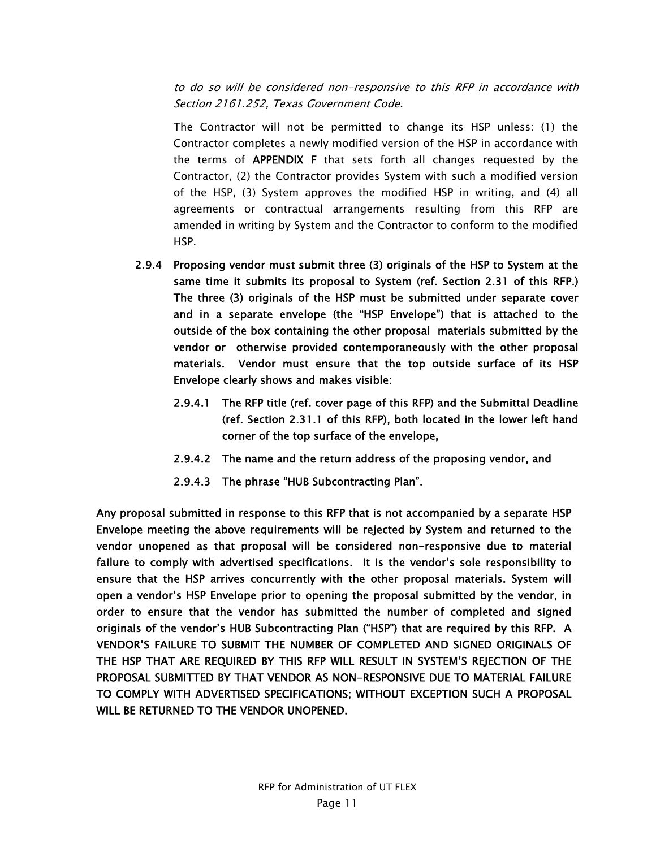to do so will be considered non-responsive to this RFP in accordance with Section 2161.252, Texas Government Code.

The Contractor will not be permitted to change its HSP unless: (1) the Contractor completes a newly modified version of the HSP in accordance with the terms of APPENDIX F that sets forth all changes requested by the Contractor, (2) the Contractor provides System with such a modified version of the HSP, (3) System approves the modified HSP in writing, and (4) all agreements or contractual arrangements resulting from this RFP are amended in writing by System and the Contractor to conform to the modified HSP.

- 2.9.4 Proposing vendor must submit three (3) originals of the HSP to System at the same time it submits its proposal to System (ref. Section 2.31 of this RFP.) The three (3) originals of the HSP must be submitted under separate cover and in a separate envelope (the "HSP Envelope") that is attached to the outside of the box containing the other proposal materials submitted by the vendor or otherwise provided contemporaneously with the other proposal materials. Vendor must ensure that the top outside surface of its HSP Envelope clearly shows and makes visible:
	- 2.9.4.1 The RFP title (ref. cover page of this RFP) and the Submittal Deadline (ref. Section 2.31.1 of this RFP), both located in the lower left hand corner of the top surface of the envelope,
	- 2.9.4.2 The name and the return address of the proposing vendor, and
	- 2.9.4.3 The phrase "HUB Subcontracting Plan".

Any proposal submitted in response to this RFP that is not accompanied by a separate HSP Envelope meeting the above requirements will be rejected by System and returned to the vendor unopened as that proposal will be considered non-responsive due to material failure to comply with advertised specifications. It is the vendor's sole responsibility to ensure that the HSP arrives concurrently with the other proposal materials. System will open a vendor's HSP Envelope prior to opening the proposal submitted by the vendor, in order to ensure that the vendor has submitted the number of completed and signed originals of the vendor's HUB Subcontracting Plan ("HSP") that are required by this RFP. A VENDOR'S FAILURE TO SUBMIT THE NUMBER OF COMPLETED AND SIGNED ORIGINALS OF THE HSP THAT ARE REQUIRED BY THIS RFP WILL RESULT IN SYSTEM'S REJECTION OF THE PROPOSAL SUBMITTED BY THAT VENDOR AS NON-RESPONSIVE DUE TO MATERIAL FAILURE TO COMPLY WITH ADVERTISED SPECIFICATIONS; WITHOUT EXCEPTION SUCH A PROPOSAL WILL BE RETURNED TO THE VENDOR UNOPENED.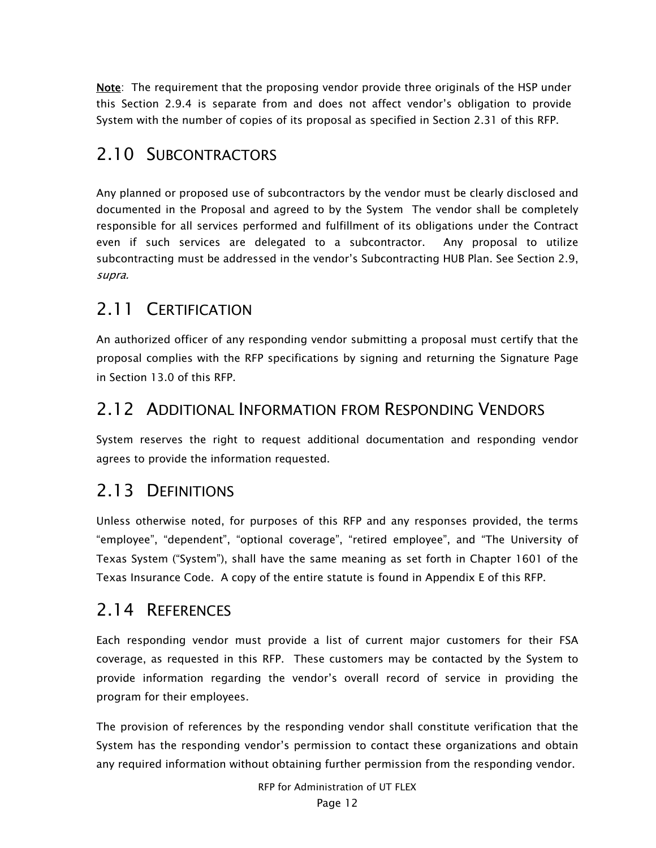Note: The requirement that the proposing vendor provide three originals of the HSP under this Section 2.9.4 is separate from and does not affect vendor's obligation to provide System with the number of copies of its proposal as specified in Section 2.31 of this RFP.

### 2.10 SUBCONTRACTORS

Any planned or proposed use of subcontractors by the vendor must be clearly disclosed and documented in the Proposal and agreed to by the System The vendor shall be completely responsible for all services performed and fulfillment of its obligations under the Contract even if such services are delegated to a subcontractor. Any proposal to utilize subcontracting must be addressed in the vendor's Subcontracting HUB Plan. See Section 2.9, supra.

### 2.11 CERTIFICATION

An authorized officer of any responding vendor submitting a proposal must certify that the proposal complies with the RFP specifications by signing and returning the Signature Page in Section 13.0 of this RFP.

#### 2.12 ADDITIONAL INFORMATION FROM RESPONDING VENDORS

System reserves the right to request additional documentation and responding vendor agrees to provide the information requested.

### 2.13 DEFINITIONS

Unless otherwise noted, for purposes of this RFP and any responses provided, the terms "employee", "dependent", "optional coverage", "retired employee", and "The University of Texas System ("System"), shall have the same meaning as set forth in Chapter 1601 of the Texas Insurance Code. A copy of the entire statute is found in Appendix E of this RFP.

### 2.14 REFERENCES

Each responding vendor must provide a list of current major customers for their FSA coverage, as requested in this RFP. These customers may be contacted by the System to provide information regarding the vendor's overall record of service in providing the program for their employees.

The provision of references by the responding vendor shall constitute verification that the System has the responding vendor's permission to contact these organizations and obtain any required information without obtaining further permission from the responding vendor.

RFP for Administration of UT FLEX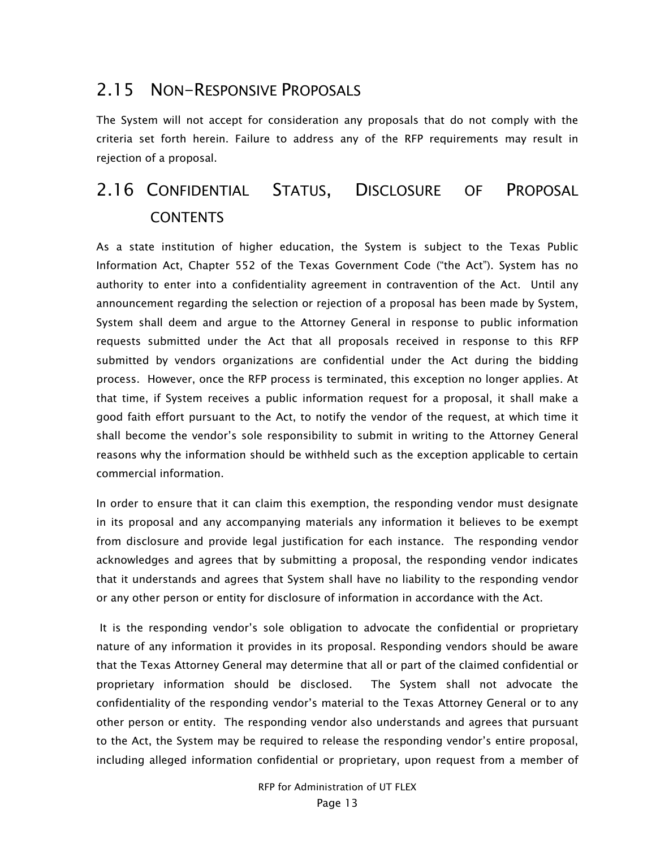### 2.15 NON-RESPONSIVE PROPOSALS

The System will not accept for consideration any proposals that do not comply with the criteria set forth herein. Failure to address any of the RFP requirements may result in rejection of a proposal.

# 2.16 CONFIDENTIAL STATUS, DISCLOSURE OF PROPOSAL CONTENTS

As a state institution of higher education, the System is subject to the Texas Public Information Act, Chapter 552 of the Texas Government Code ("the Act"). System has no authority to enter into a confidentiality agreement in contravention of the Act. Until any announcement regarding the selection or rejection of a proposal has been made by System, System shall deem and argue to the Attorney General in response to public information requests submitted under the Act that all proposals received in response to this RFP submitted by vendors organizations are confidential under the Act during the bidding process. However, once the RFP process is terminated, this exception no longer applies. At that time, if System receives a public information request for a proposal, it shall make a good faith effort pursuant to the Act, to notify the vendor of the request, at which time it shall become the vendor's sole responsibility to submit in writing to the Attorney General reasons why the information should be withheld such as the exception applicable to certain commercial information.

In order to ensure that it can claim this exemption, the responding vendor must designate in its proposal and any accompanying materials any information it believes to be exempt from disclosure and provide legal justification for each instance. The responding vendor acknowledges and agrees that by submitting a proposal, the responding vendor indicates that it understands and agrees that System shall have no liability to the responding vendor or any other person or entity for disclosure of information in accordance with the Act.

 It is the responding vendor's sole obligation to advocate the confidential or proprietary nature of any information it provides in its proposal. Responding vendors should be aware that the Texas Attorney General may determine that all or part of the claimed confidential or proprietary information should be disclosed. The System shall not advocate the confidentiality of the responding vendor's material to the Texas Attorney General or to any other person or entity. The responding vendor also understands and agrees that pursuant to the Act, the System may be required to release the responding vendor's entire proposal, including alleged information confidential or proprietary, upon request from a member of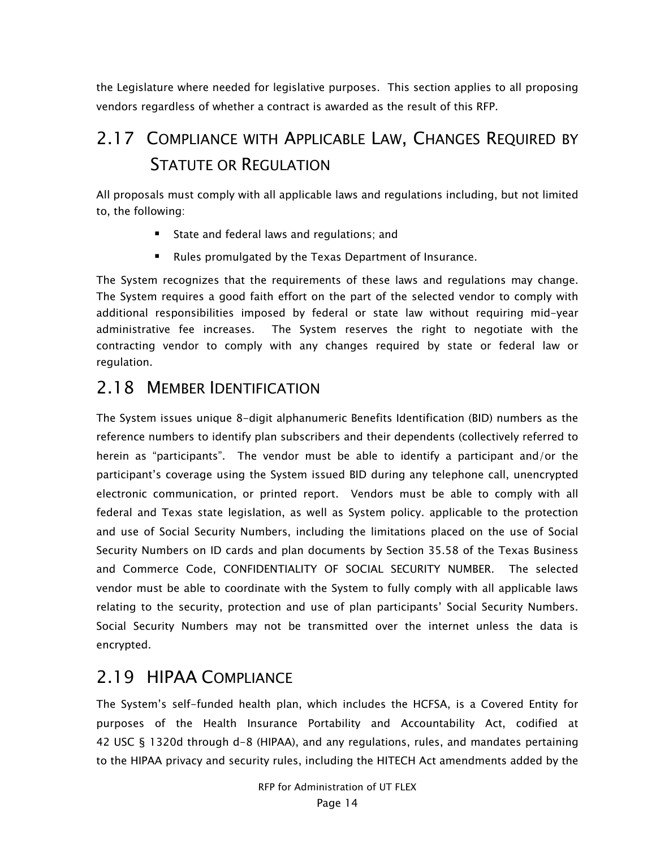the Legislature where needed for legislative purposes. This section applies to all proposing vendors regardless of whether a contract is awarded as the result of this RFP.

# 2.17 COMPLIANCE WITH APPLICABLE LAW, CHANGES REQUIRED BY STATUTE OR REGULATION

All proposals must comply with all applicable laws and regulations including, but not limited to, the following:

- **State and federal laws and regulations; and**
- Rules promulgated by the Texas Department of Insurance.

The System recognizes that the requirements of these laws and regulations may change. The System requires a good faith effort on the part of the selected vendor to comply with additional responsibilities imposed by federal or state law without requiring mid-year administrative fee increases. The System reserves the right to negotiate with the contracting vendor to comply with any changes required by state or federal law or regulation.

### 2.18 MEMBER IDENTIFICATION

The System issues unique 8-digit alphanumeric Benefits Identification (BID) numbers as the reference numbers to identify plan subscribers and their dependents (collectively referred to herein as "participants". The vendor must be able to identify a participant and/or the participant's coverage using the System issued BID during any telephone call, unencrypted electronic communication, or printed report. Vendors must be able to comply with all federal and Texas state legislation, as well as System policy. applicable to the protection and use of Social Security Numbers, including the limitations placed on the use of Social Security Numbers on ID cards and plan documents by Section 35.58 of the Texas Business and Commerce Code, CONFIDENTIALITY OF SOCIAL SECURITY NUMBER. The selected vendor must be able to coordinate with the System to fully comply with all applicable laws relating to the security, protection and use of plan participants' Social Security Numbers. Social Security Numbers may not be transmitted over the internet unless the data is encrypted.

### 2.19 HIPAA COMPLIANCE

The System's self-funded health plan, which includes the HCFSA, is a Covered Entity for purposes of the Health Insurance Portability and Accountability Act, codified at 42 USC § 1320d through d-8 (HIPAA), and any regulations, rules, and mandates pertaining to the HIPAA privacy and security rules, including the HITECH Act amendments added by the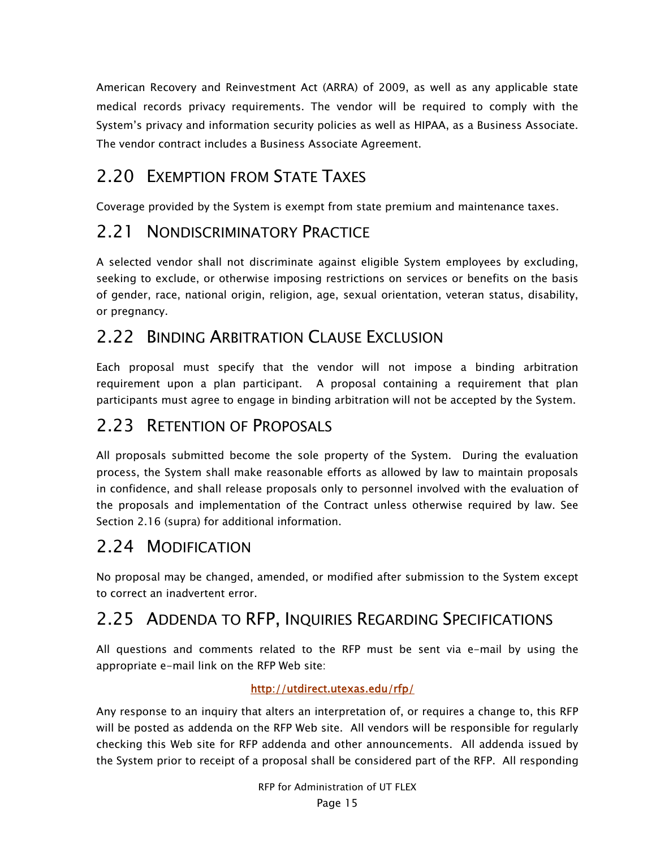American Recovery and Reinvestment Act (ARRA) of 2009, as well as any applicable state medical records privacy requirements. The vendor will be required to comply with the System's privacy and information security policies as well as HIPAA, as a Business Associate. The vendor contract includes a Business Associate Agreement.

## 2.20 EXEMPTION FROM STATE TAXES

Coverage provided by the System is exempt from state premium and maintenance taxes.

#### 2.21 NONDISCRIMINATORY PRACTICE

A selected vendor shall not discriminate against eligible System employees by excluding, seeking to exclude, or otherwise imposing restrictions on services or benefits on the basis of gender, race, national origin, religion, age, sexual orientation, veteran status, disability, or pregnancy.

### 2.22 BINDING ARBITRATION CLAUSE EXCLUSION

Each proposal must specify that the vendor will not impose a binding arbitration requirement upon a plan participant. A proposal containing a requirement that plan participants must agree to engage in binding arbitration will not be accepted by the System.

### 2.23 RETENTION OF PROPOSALS

All proposals submitted become the sole property of the System. During the evaluation process, the System shall make reasonable efforts as allowed by law to maintain proposals in confidence, and shall release proposals only to personnel involved with the evaluation of the proposals and implementation of the Contract unless otherwise required by law. See Section 2.16 (supra) for additional information.

### 2.24 MODIFICATION

No proposal may be changed, amended, or modified after submission to the System except to correct an inadvertent error.

# 2.25 ADDENDA TO RFP, INQUIRIES REGARDING SPECIFICATIONS

All questions and comments related to the RFP must be sent via e-mail by using the appropriate e-mail link on the RFP Web site:

#### http://utdirect.utexas.edu/rfp/

Any response to an inquiry that alters an interpretation of, or requires a change to, this RFP will be posted as addenda on the RFP Web site. All vendors will be responsible for regularly checking this Web site for RFP addenda and other announcements. All addenda issued by the System prior to receipt of a proposal shall be considered part of the RFP. All responding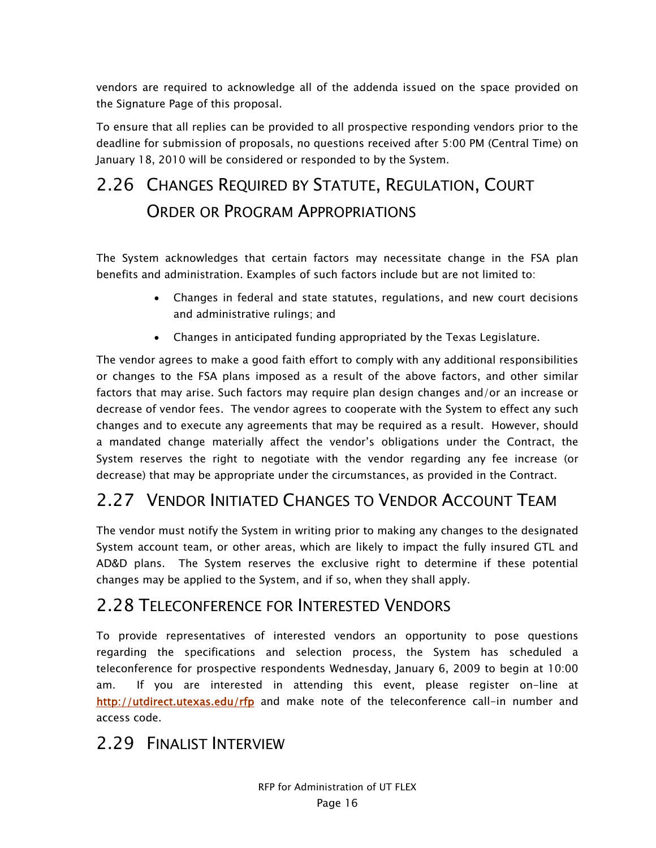vendors are required to acknowledge all of the addenda issued on the space provided on the Signature Page of this proposal.

To ensure that all replies can be provided to all prospective responding vendors prior to the deadline for submission of proposals, no questions received after 5:00 PM (Central Time) on January 18, 2010 will be considered or responded to by the System.

# 2.26 CHANGES REQUIRED BY STATUTE, REGULATION, COURT ORDER OR PROGRAM APPROPRIATIONS

The System acknowledges that certain factors may necessitate change in the FSA plan benefits and administration. Examples of such factors include but are not limited to:

- Changes in federal and state statutes, regulations, and new court decisions and administrative rulings; and
- Changes in anticipated funding appropriated by the Texas Legislature.

The vendor agrees to make a good faith effort to comply with any additional responsibilities or changes to the FSA plans imposed as a result of the above factors, and other similar factors that may arise. Such factors may require plan design changes and/or an increase or decrease of vendor fees. The vendor agrees to cooperate with the System to effect any such changes and to execute any agreements that may be required as a result. However, should a mandated change materially affect the vendor's obligations under the Contract, the System reserves the right to negotiate with the vendor regarding any fee increase (or decrease) that may be appropriate under the circumstances, as provided in the Contract.

# 2.27 VENDOR INITIATED CHANGES TO VENDOR ACCOUNT TEAM

The vendor must notify the System in writing prior to making any changes to the designated System account team, or other areas, which are likely to impact the fully insured GTL and AD&D plans. The System reserves the exclusive right to determine if these potential changes may be applied to the System, and if so, when they shall apply.

### 2.28 TELECONFERENCE FOR INTERESTED VENDORS

To provide representatives of interested vendors an opportunity to pose questions regarding the specifications and selection process, the System has scheduled a teleconference for prospective respondents Wednesday, January 6, 2009 to begin at 10:00 am. If you are interested in attending this event, please register on-line at http://utdirect.utexas.edu/rfp and make note of the teleconference call-in number and access code.

### 2.29 FINALIST INTERVIEW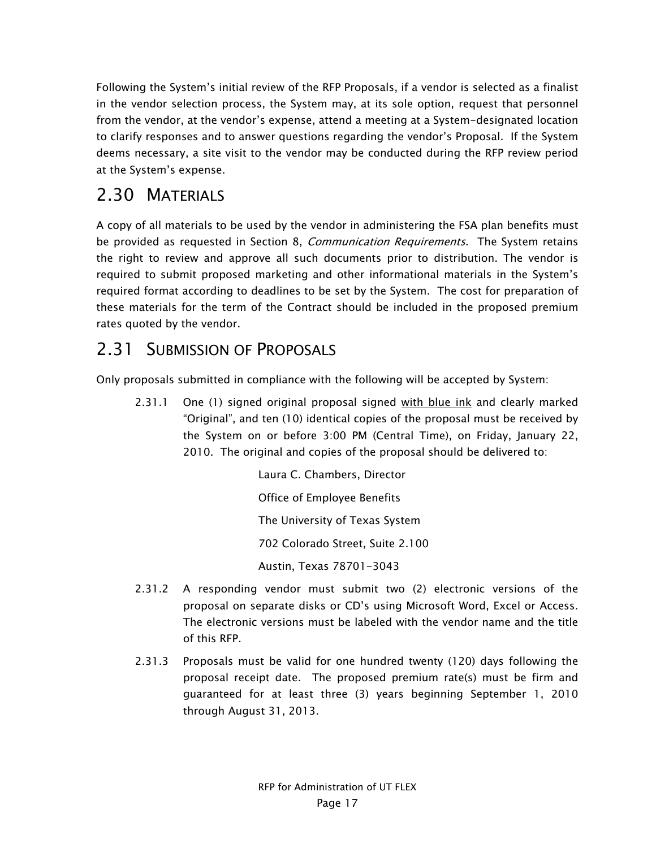Following the System's initial review of the RFP Proposals, if a vendor is selected as a finalist in the vendor selection process, the System may, at its sole option, request that personnel from the vendor, at the vendor's expense, attend a meeting at a System-designated location to clarify responses and to answer questions regarding the vendor's Proposal. If the System deems necessary, a site visit to the vendor may be conducted during the RFP review period at the System's expense.

## 2.30 MATERIALS

A copy of all materials to be used by the vendor in administering the FSA plan benefits must be provided as requested in Section 8, Communication Requirements. The System retains the right to review and approve all such documents prior to distribution. The vendor is required to submit proposed marketing and other informational materials in the System's required format according to deadlines to be set by the System. The cost for preparation of these materials for the term of the Contract should be included in the proposed premium rates quoted by the vendor.

## 2.31 SUBMISSION OF PROPOSALS

Only proposals submitted in compliance with the following will be accepted by System:

2.31.1 One (1) signed original proposal signed with blue ink and clearly marked "Original", and ten (10) identical copies of the proposal must be received by the System on or before 3:00 PM (Central Time), on Friday, January 22, 2010. The original and copies of the proposal should be delivered to:

> Laura C. Chambers, Director Office of Employee Benefits The University of Texas System 702 Colorado Street, Suite 2.100 Austin, Texas 78701-3043

- 2.31.2 A responding vendor must submit two (2) electronic versions of the proposal on separate disks or CD's using Microsoft Word, Excel or Access. The electronic versions must be labeled with the vendor name and the title of this RFP.
- 2.31.3 Proposals must be valid for one hundred twenty (120) days following the proposal receipt date. The proposed premium rate(s) must be firm and guaranteed for at least three (3) years beginning September 1, 2010 through August 31, 2013.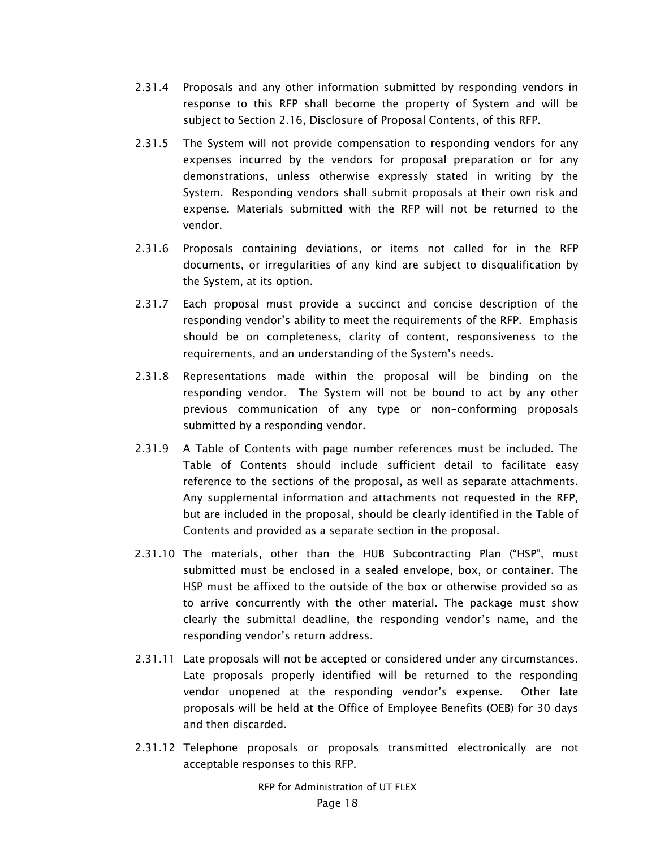- 2.31.4 Proposals and any other information submitted by responding vendors in response to this RFP shall become the property of System and will be subject to Section 2.16, Disclosure of Proposal Contents, of this RFP.
- 2.31.5 The System will not provide compensation to responding vendors for any expenses incurred by the vendors for proposal preparation or for any demonstrations, unless otherwise expressly stated in writing by the System. Responding vendors shall submit proposals at their own risk and expense. Materials submitted with the RFP will not be returned to the vendor.
- 2.31.6 Proposals containing deviations, or items not called for in the RFP documents, or irregularities of any kind are subject to disqualification by the System, at its option.
- 2.31.7 Each proposal must provide a succinct and concise description of the responding vendor's ability to meet the requirements of the RFP. Emphasis should be on completeness, clarity of content, responsiveness to the requirements, and an understanding of the System's needs.
- 2.31.8 Representations made within the proposal will be binding on the responding vendor. The System will not be bound to act by any other previous communication of any type or non-conforming proposals submitted by a responding vendor.
- 2.31.9 A Table of Contents with page number references must be included. The Table of Contents should include sufficient detail to facilitate easy reference to the sections of the proposal, as well as separate attachments. Any supplemental information and attachments not requested in the RFP, but are included in the proposal, should be clearly identified in the Table of Contents and provided as a separate section in the proposal.
- 2.31.10 The materials, other than the HUB Subcontracting Plan ("HSP", must submitted must be enclosed in a sealed envelope, box, or container. The HSP must be affixed to the outside of the box or otherwise provided so as to arrive concurrently with the other material. The package must show clearly the submittal deadline, the responding vendor's name, and the responding vendor's return address.
- 2.31.11 Late proposals will not be accepted or considered under any circumstances. Late proposals properly identified will be returned to the responding vendor unopened at the responding vendor's expense. Other late proposals will be held at the Office of Employee Benefits (OEB) for 30 days and then discarded.
- 2.31.12 Telephone proposals or proposals transmitted electronically are not acceptable responses to this RFP.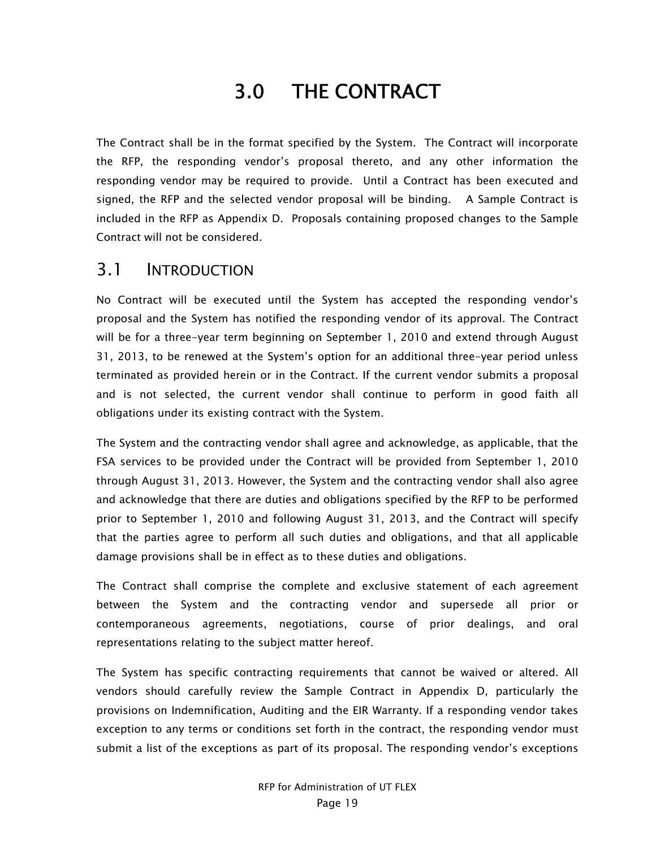# 3.0 THE CONTRACT

The Contract shall be in the format specified by the System. The Contract will incorporate the RFP, the responding vendor's proposal thereto, and any other information the responding vendor may be required to provide. Until a Contract has been executed and signed, the RFP and the selected vendor proposal will be binding. A Sample Contract is included in the RFP as Appendix D. Proposals containing proposed changes to the Sample Contract will not be considered.

#### 3.1 INTRODUCTION

No Contract will be executed until the System has accepted the responding vendor's proposal and the System has notified the responding vendor of its approval. The Contract will be for a three-year term beginning on September 1, 2010 and extend through August 31, 2013, to be renewed at the System's option for an additional three-year period unless terminated as provided herein or in the Contract. If the current vendor submits a proposal and is not selected, the current vendor shall continue to perform in good faith all obligations under its existing contract with the System.

The System and the contracting vendor shall agree and acknowledge, as applicable, that the FSA services to be provided under the Contract will be provided from September 1, 2010 through August 31, 2013. However, the System and the contracting vendor shall also agree and acknowledge that there are duties and obligations specified by the RFP to be performed prior to September 1, 2010 and following August 31, 2013, and the Contract will specify that the parties agree to perform all such duties and obligations, and that all applicable damage provisions shall be in effect as to these duties and obligations.

The Contract shall comprise the complete and exclusive statement of each agreement between the System and the contracting vendor and supersede all prior or contemporaneous agreements, negotiations, course of prior dealings, and oral representations relating to the subject matter hereof.

The System has specific contracting requirements that cannot be waived or altered. All vendors should carefully review the Sample Contract in Appendix D, particularly the provisions on Indemnification, Auditing and the EIR Warranty. If a responding vendor takes exception to any terms or conditions set forth in the contract, the responding vendor must submit a list of the exceptions as part of its proposal. The responding vendor's exceptions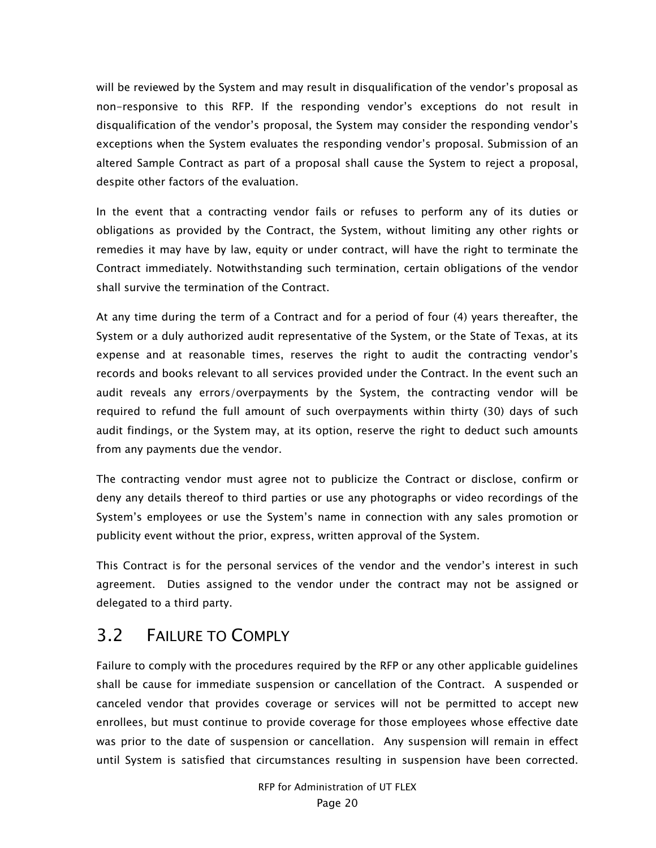will be reviewed by the System and may result in disqualification of the vendor's proposal as non-responsive to this RFP. If the responding vendor's exceptions do not result in disqualification of the vendor's proposal, the System may consider the responding vendor's exceptions when the System evaluates the responding vendor's proposal. Submission of an altered Sample Contract as part of a proposal shall cause the System to reject a proposal, despite other factors of the evaluation.

In the event that a contracting vendor fails or refuses to perform any of its duties or obligations as provided by the Contract, the System, without limiting any other rights or remedies it may have by law, equity or under contract, will have the right to terminate the Contract immediately. Notwithstanding such termination, certain obligations of the vendor shall survive the termination of the Contract.

At any time during the term of a Contract and for a period of four (4) years thereafter, the System or a duly authorized audit representative of the System, or the State of Texas, at its expense and at reasonable times, reserves the right to audit the contracting vendor's records and books relevant to all services provided under the Contract. In the event such an audit reveals any errors/overpayments by the System, the contracting vendor will be required to refund the full amount of such overpayments within thirty (30) days of such audit findings, or the System may, at its option, reserve the right to deduct such amounts from any payments due the vendor.

The contracting vendor must agree not to publicize the Contract or disclose, confirm or deny any details thereof to third parties or use any photographs or video recordings of the System's employees or use the System's name in connection with any sales promotion or publicity event without the prior, express, written approval of the System.

This Contract is for the personal services of the vendor and the vendor's interest in such agreement. Duties assigned to the vendor under the contract may not be assigned or delegated to a third party.

### 3.2 FAILURE TO COMPLY

Failure to comply with the procedures required by the RFP or any other applicable guidelines shall be cause for immediate suspension or cancellation of the Contract. A suspended or canceled vendor that provides coverage or services will not be permitted to accept new enrollees, but must continue to provide coverage for those employees whose effective date was prior to the date of suspension or cancellation. Any suspension will remain in effect until System is satisfied that circumstances resulting in suspension have been corrected.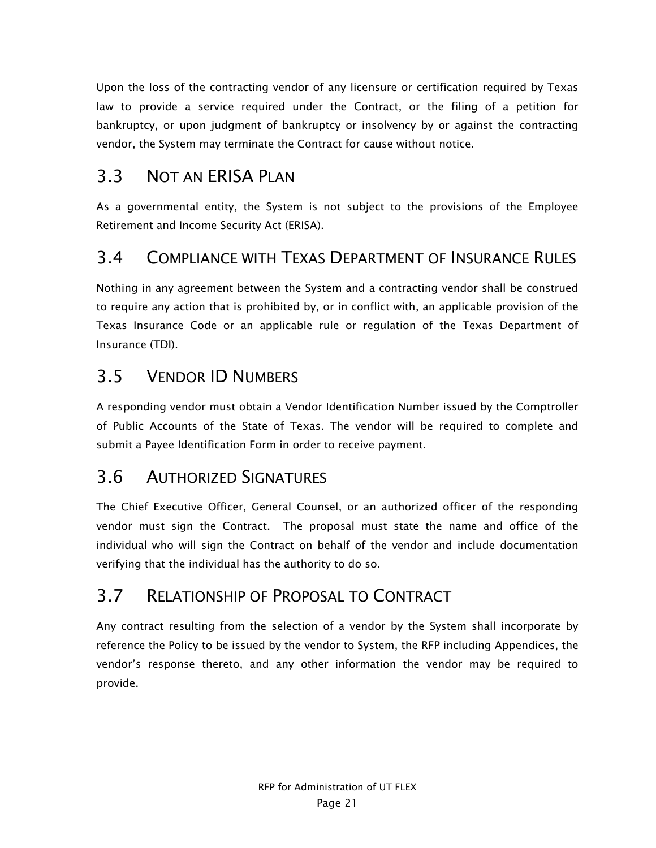Upon the loss of the contracting vendor of any licensure or certification required by Texas law to provide a service required under the Contract, or the filing of a petition for bankruptcy, or upon judgment of bankruptcy or insolvency by or against the contracting vendor, the System may terminate the Contract for cause without notice.

# 3.3 NOT AN ERISA PLAN

As a governmental entity, the System is not subject to the provisions of the Employee Retirement and Income Security Act (ERISA).

# 3.4 COMPLIANCE WITH TEXAS DEPARTMENT OF INSURANCE RULES

Nothing in any agreement between the System and a contracting vendor shall be construed to require any action that is prohibited by, or in conflict with, an applicable provision of the Texas Insurance Code or an applicable rule or regulation of the Texas Department of Insurance (TDI).

# 3.5 VENDOR ID NUMBERS

A responding vendor must obtain a Vendor Identification Number issued by the Comptroller of Public Accounts of the State of Texas. The vendor will be required to complete and submit a Payee Identification Form in order to receive payment.

### 3.6 AUTHORIZED SIGNATURES

The Chief Executive Officer, General Counsel, or an authorized officer of the responding vendor must sign the Contract. The proposal must state the name and office of the individual who will sign the Contract on behalf of the vendor and include documentation verifying that the individual has the authority to do so.

# 3.7 RELATIONSHIP OF PROPOSAL TO CONTRACT

Any contract resulting from the selection of a vendor by the System shall incorporate by reference the Policy to be issued by the vendor to System, the RFP including Appendices, the vendor's response thereto, and any other information the vendor may be required to provide.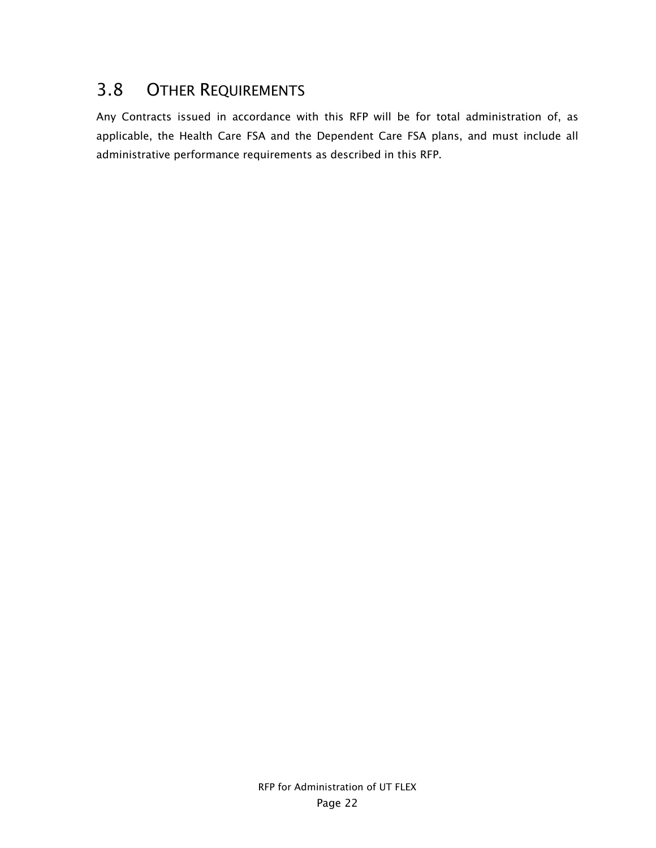# 3.8 OTHER REQUIREMENTS

Any Contracts issued in accordance with this RFP will be for total administration of, as applicable, the Health Care FSA and the Dependent Care FSA plans, and must include all administrative performance requirements as described in this RFP.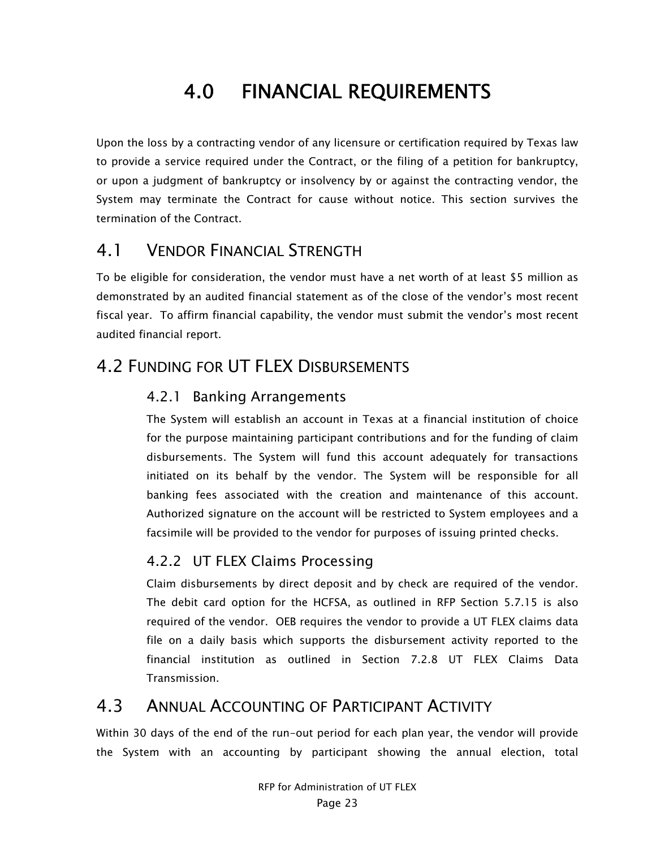# 4.0 FINANCIAL REQUIREMENTS

Upon the loss by a contracting vendor of any licensure or certification required by Texas law to provide a service required under the Contract, or the filing of a petition for bankruptcy, or upon a judgment of bankruptcy or insolvency by or against the contracting vendor, the System may terminate the Contract for cause without notice. This section survives the termination of the Contract.

### 4.1 VENDOR FINANCIAL STRENGTH

To be eligible for consideration, the vendor must have a net worth of at least \$5 million as demonstrated by an audited financial statement as of the close of the vendor's most recent fiscal year. To affirm financial capability, the vendor must submit the vendor's most recent audited financial report.

### 4.2 FUNDING FOR UT FLEX DISBURSEMENTS

#### 4.2.1 Banking Arrangements

The System will establish an account in Texas at a financial institution of choice for the purpose maintaining participant contributions and for the funding of claim disbursements. The System will fund this account adequately for transactions initiated on its behalf by the vendor. The System will be responsible for all banking fees associated with the creation and maintenance of this account. Authorized signature on the account will be restricted to System employees and a facsimile will be provided to the vendor for purposes of issuing printed checks.

#### 4.2.2 UT FLEX Claims Processing

Claim disbursements by direct deposit and by check are required of the vendor. The debit card option for the HCFSA, as outlined in RFP Section 5.7.15 is also required of the vendor. OEB requires the vendor to provide a UT FLEX claims data file on a daily basis which supports the disbursement activity reported to the financial institution as outlined in Section 7.2.8 UT FLEX Claims Data Transmission.

#### 4.3 ANNUAL ACCOUNTING OF PARTICIPANT ACTIVITY

Within 30 days of the end of the run-out period for each plan year, the vendor will provide the System with an accounting by participant showing the annual election, total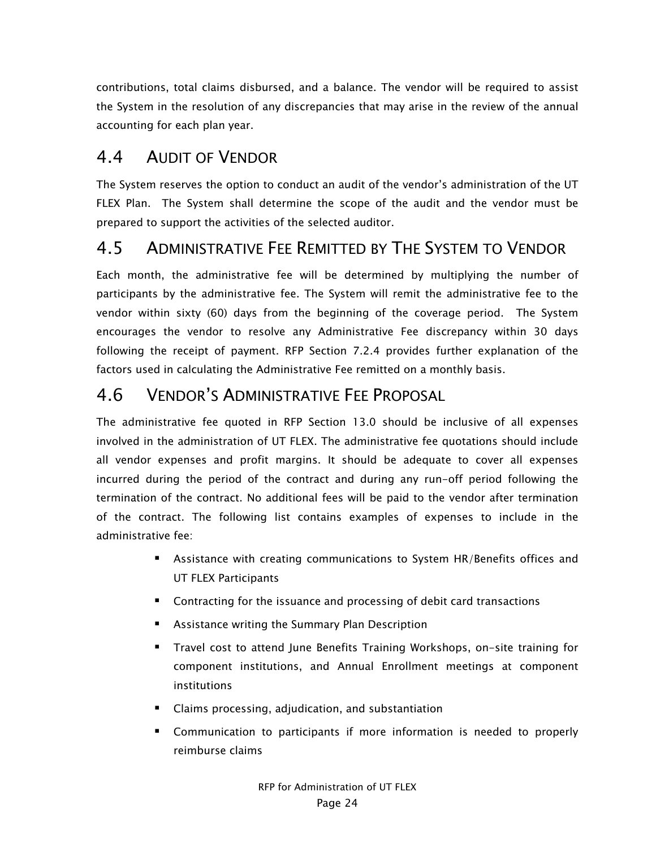contributions, total claims disbursed, and a balance. The vendor will be required to assist the System in the resolution of any discrepancies that may arise in the review of the annual accounting for each plan year.

### 4.4 AUDIT OF VENDOR

The System reserves the option to conduct an audit of the vendor's administration of the UT FLEX Plan. The System shall determine the scope of the audit and the vendor must be prepared to support the activities of the selected auditor.

#### 4.5 ADMINISTRATIVE FEE REMITTED BY THE SYSTEM TO VENDOR

Each month, the administrative fee will be determined by multiplying the number of participants by the administrative fee. The System will remit the administrative fee to the vendor within sixty (60) days from the beginning of the coverage period. The System encourages the vendor to resolve any Administrative Fee discrepancy within 30 days following the receipt of payment. RFP Section 7.2.4 provides further explanation of the factors used in calculating the Administrative Fee remitted on a monthly basis.

### 4.6 VENDOR'S ADMINISTRATIVE FEE PROPOSAL

The administrative fee quoted in RFP Section 13.0 should be inclusive of all expenses involved in the administration of UT FLEX. The administrative fee quotations should include all vendor expenses and profit margins. It should be adequate to cover all expenses incurred during the period of the contract and during any run-off period following the termination of the contract. No additional fees will be paid to the vendor after termination of the contract. The following list contains examples of expenses to include in the administrative fee:

- **EXEC** Assistance with creating communications to System HR/Benefits offices and UT FLEX Participants
- **Contracting for the issuance and processing of debit card transactions**
- **E** Assistance writing the Summary Plan Description
- Travel cost to attend June Benefits Training Workshops, on-site training for component institutions, and Annual Enrollment meetings at component institutions
- Claims processing, adjudication, and substantiation
- Communication to participants if more information is needed to properly reimburse claims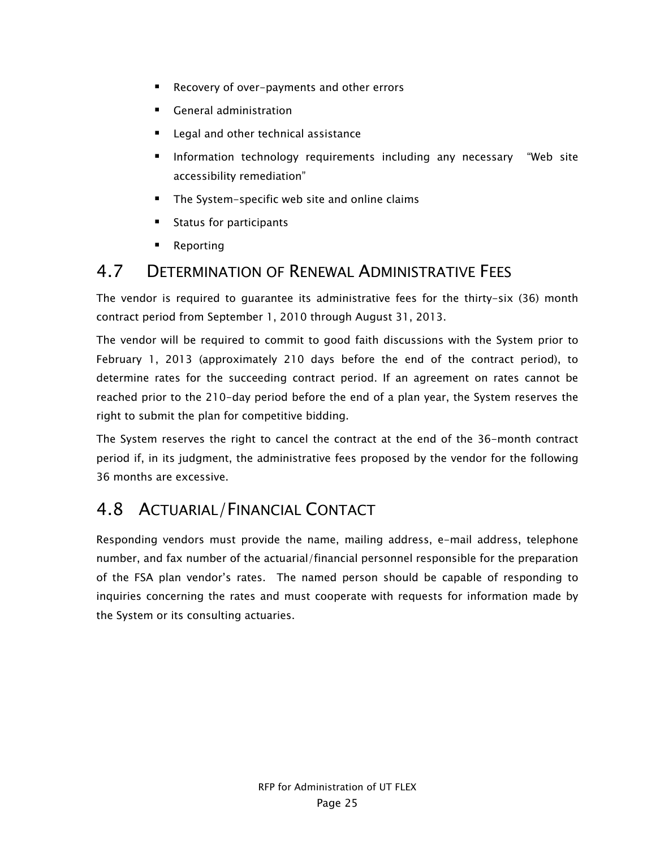- Recovery of over-payments and other errors
- **General administration**
- Legal and other technical assistance
- **Information technology requirements including any necessary "Web site** accessibility remediation"
- **The System-specific web site and online claims**
- Status for participants
- Reporting

#### 4.7 DETERMINATION OF RENEWAL ADMINISTRATIVE FEES

The vendor is required to guarantee its administrative fees for the thirty-six (36) month contract period from September 1, 2010 through August 31, 2013.

The vendor will be required to commit to good faith discussions with the System prior to February 1, 2013 (approximately 210 days before the end of the contract period), to determine rates for the succeeding contract period. If an agreement on rates cannot be reached prior to the 210-day period before the end of a plan year, the System reserves the right to submit the plan for competitive bidding.

The System reserves the right to cancel the contract at the end of the 36-month contract period if, in its judgment, the administrative fees proposed by the vendor for the following 36 months are excessive.

# 4.8 ACTUARIAL/FINANCIAL CONTACT

Responding vendors must provide the name, mailing address, e-mail address, telephone number, and fax number of the actuarial/financial personnel responsible for the preparation of the FSA plan vendor's rates. The named person should be capable of responding to inquiries concerning the rates and must cooperate with requests for information made by the System or its consulting actuaries.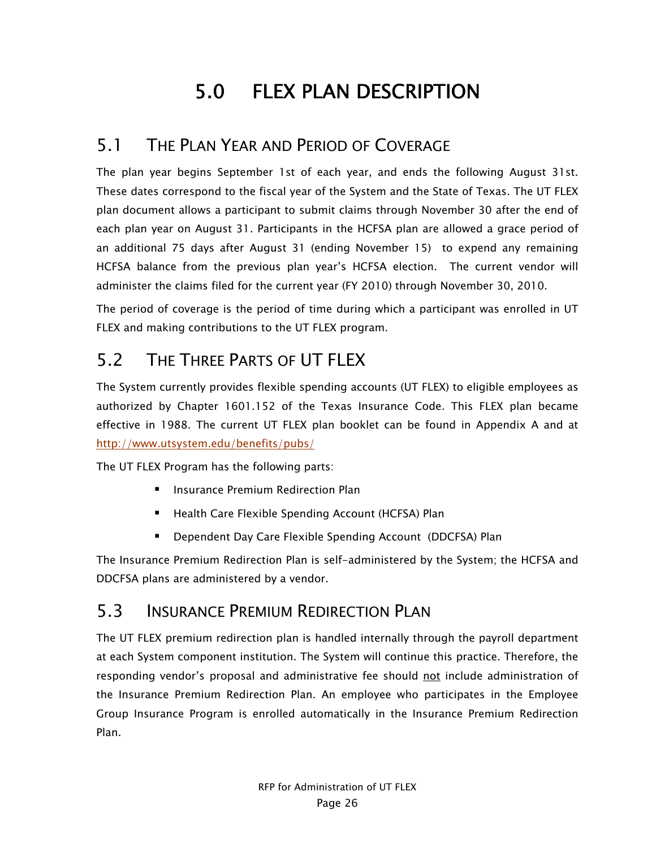# 5.0 FLEX PLAN DESCRIPTION

### 5.1 THE PLAN YEAR AND PERIOD OF COVERAGE

The plan year begins September 1st of each year, and ends the following August 31st. These dates correspond to the fiscal year of the System and the State of Texas. The UT FLEX plan document allows a participant to submit claims through November 30 after the end of each plan year on August 31. Participants in the HCFSA plan are allowed a grace period of an additional 75 days after August 31 (ending November 15) to expend any remaining HCFSA balance from the previous plan year's HCFSA election. The current vendor will administer the claims filed for the current year (FY 2010) through November 30, 2010.

The period of coverage is the period of time during which a participant was enrolled in UT FLEX and making contributions to the UT FLEX program.

# 5.2 THE THREE PARTS OF UT FLEX

The System currently provides flexible spending accounts (UT FLEX) to eligible employees as authorized by Chapter 1601.152 of the Texas Insurance Code. This FLEX plan became effective in 1988. The current UT FLEX plan booklet can be found in Appendix A and at http://www.utsystem.edu/benefits/pubs/

The UT FLEX Program has the following parts:

- **E** Insurance Premium Redirection Plan
- Health Care Flexible Spending Account (HCFSA) Plan
- Dependent Day Care Flexible Spending Account (DDCFSA) Plan

The Insurance Premium Redirection Plan is self-administered by the System; the HCFSA and DDCFSA plans are administered by a vendor.

### 5.3 INSURANCE PREMIUM REDIRECTION PLAN

The UT FLEX premium redirection plan is handled internally through the payroll department at each System component institution. The System will continue this practice. Therefore, the responding vendor's proposal and administrative fee should not include administration of the Insurance Premium Redirection Plan. An employee who participates in the Employee Group Insurance Program is enrolled automatically in the Insurance Premium Redirection Plan.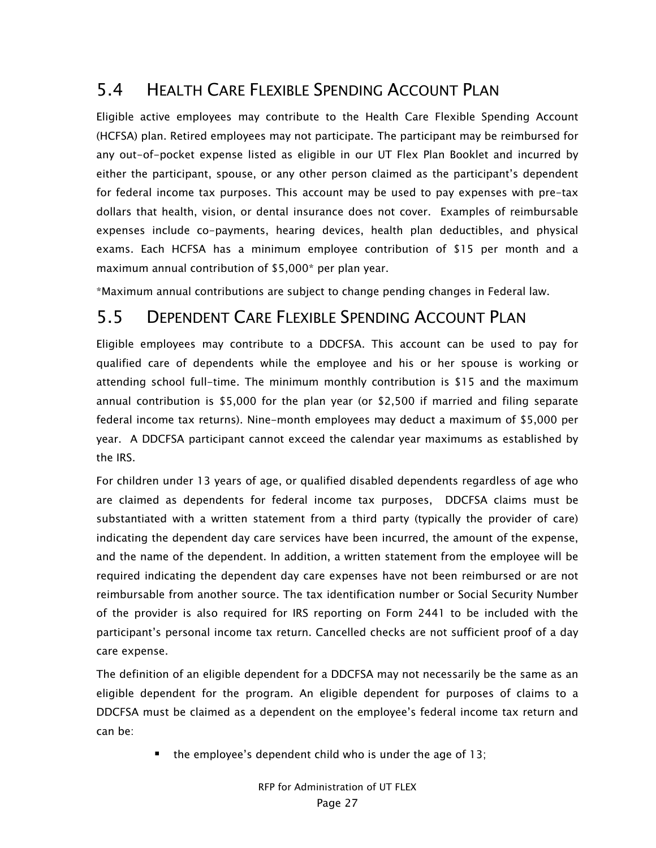# 5.4 HEALTH CARE FLEXIBLE SPENDING ACCOUNT PLAN

Eligible active employees may contribute to the Health Care Flexible Spending Account (HCFSA) plan. Retired employees may not participate. The participant may be reimbursed for any out-of-pocket expense listed as eligible in our UT Flex Plan Booklet and incurred by either the participant, spouse, or any other person claimed as the participant's dependent for federal income tax purposes. This account may be used to pay expenses with pre-tax dollars that health, vision, or dental insurance does not cover. Examples of reimbursable expenses include co-payments, hearing devices, health plan deductibles, and physical exams. Each HCFSA has a minimum employee contribution of \$15 per month and a maximum annual contribution of \$5,000\* per plan year.

\*Maximum annual contributions are subject to change pending changes in Federal law.

#### 5.5 DEPENDENT CARE FLEXIBLE SPENDING ACCOUNT PLAN

Eligible employees may contribute to a DDCFSA. This account can be used to pay for qualified care of dependents while the employee and his or her spouse is working or attending school full-time. The minimum monthly contribution is \$15 and the maximum annual contribution is \$5,000 for the plan year (or \$2,500 if married and filing separate federal income tax returns). Nine-month employees may deduct a maximum of \$5,000 per year. A DDCFSA participant cannot exceed the calendar year maximums as established by the IRS.

For children under 13 years of age, or qualified disabled dependents regardless of age who are claimed as dependents for federal income tax purposes, DDCFSA claims must be substantiated with a written statement from a third party (typically the provider of care) indicating the dependent day care services have been incurred, the amount of the expense, and the name of the dependent. In addition, a written statement from the employee will be required indicating the dependent day care expenses have not been reimbursed or are not reimbursable from another source. The tax identification number or Social Security Number of the provider is also required for IRS reporting on Form 2441 to be included with the participant's personal income tax return. Cancelled checks are not sufficient proof of a day care expense.

The definition of an eligible dependent for a DDCFSA may not necessarily be the same as an eligible dependent for the program. An eligible dependent for purposes of claims to a DDCFSA must be claimed as a dependent on the employee's federal income tax return and can be:

 $\blacksquare$  the employee's dependent child who is under the age of 13;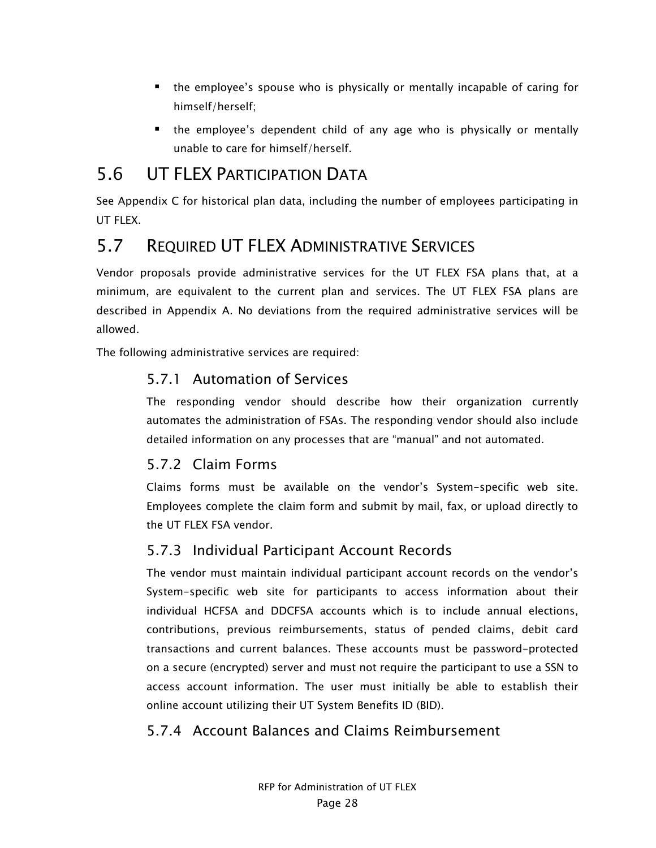- the employee's spouse who is physically or mentally incapable of caring for himself/herself;
- the employee's dependent child of any age who is physically or mentally unable to care for himself/herself.

### 5.6 UT FLEX PARTICIPATION DATA

See Appendix C for historical plan data, including the number of employees participating in UT FLEX.

# 5.7 REQUIRED UT FLEX ADMINISTRATIVE SERVICES

Vendor proposals provide administrative services for the UT FLEX FSA plans that, at a minimum, are equivalent to the current plan and services. The UT FLEX FSA plans are described in Appendix A. No deviations from the required administrative services will be allowed.

The following administrative services are required:

#### 5.7.1 Automation of Services

The responding vendor should describe how their organization currently automates the administration of FSAs. The responding vendor should also include detailed information on any processes that are "manual" and not automated.

#### 5.7.2 Claim Forms

Claims forms must be available on the vendor's System-specific web site. Employees complete the claim form and submit by mail, fax, or upload directly to the UT FLEX FSA vendor.

#### 5.7.3 Individual Participant Account Records

The vendor must maintain individual participant account records on the vendor's System-specific web site for participants to access information about their individual HCFSA and DDCFSA accounts which is to include annual elections, contributions, previous reimbursements, status of pended claims, debit card transactions and current balances. These accounts must be password-protected on a secure (encrypted) server and must not require the participant to use a SSN to access account information. The user must initially be able to establish their online account utilizing their UT System Benefits ID (BID).

#### 5.7.4 Account Balances and Claims Reimbursement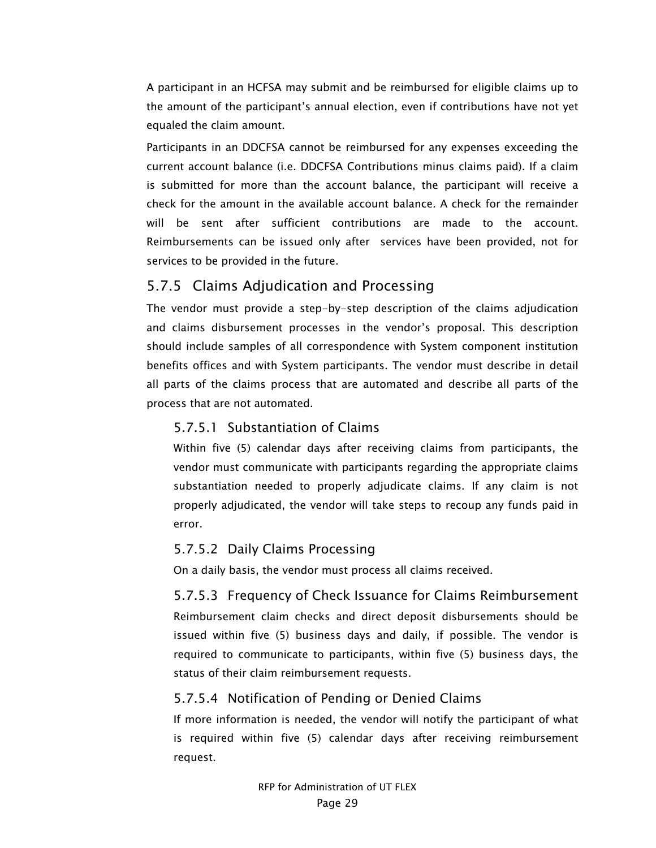A participant in an HCFSA may submit and be reimbursed for eligible claims up to the amount of the participant's annual election, even if contributions have not yet equaled the claim amount.

Participants in an DDCFSA cannot be reimbursed for any expenses exceeding the current account balance (i.e. DDCFSA Contributions minus claims paid). If a claim is submitted for more than the account balance, the participant will receive a check for the amount in the available account balance. A check for the remainder will be sent after sufficient contributions are made to the account. Reimbursements can be issued only after services have been provided, not for services to be provided in the future.

#### 5.7.5 Claims Adjudication and Processing

The vendor must provide a step-by-step description of the claims adjudication and claims disbursement processes in the vendor's proposal. This description should include samples of all correspondence with System component institution benefits offices and with System participants. The vendor must describe in detail all parts of the claims process that are automated and describe all parts of the process that are not automated.

#### 5.7.5.1 Substantiation of Claims

Within five (5) calendar days after receiving claims from participants, the vendor must communicate with participants regarding the appropriate claims substantiation needed to properly adjudicate claims. If any claim is not properly adjudicated, the vendor will take steps to recoup any funds paid in error.

#### 5.7.5.2 Daily Claims Processing

On a daily basis, the vendor must process all claims received.

5.7.5.3 Frequency of Check Issuance for Claims Reimbursement Reimbursement claim checks and direct deposit disbursements should be issued within five (5) business days and daily, if possible. The vendor is required to communicate to participants, within five (5) business days, the status of their claim reimbursement requests.

#### 5.7.5.4 Notification of Pending or Denied Claims

If more information is needed, the vendor will notify the participant of what is required within five (5) calendar days after receiving reimbursement request.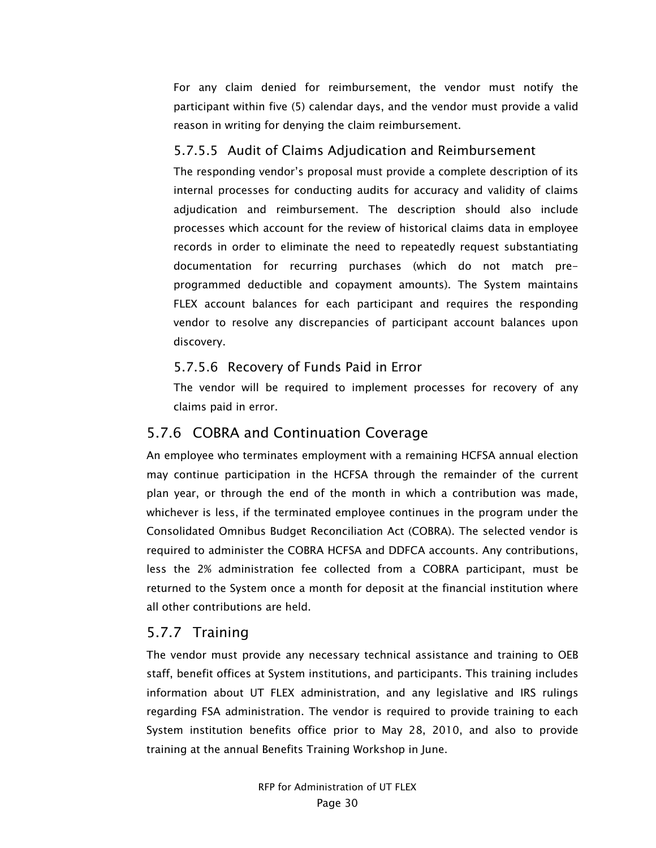For any claim denied for reimbursement, the vendor must notify the participant within five (5) calendar days, and the vendor must provide a valid reason in writing for denying the claim reimbursement.

#### 5.7.5.5 Audit of Claims Adjudication and Reimbursement

The responding vendor's proposal must provide a complete description of its internal processes for conducting audits for accuracy and validity of claims adjudication and reimbursement. The description should also include processes which account for the review of historical claims data in employee records in order to eliminate the need to repeatedly request substantiating documentation for recurring purchases (which do not match preprogrammed deductible and copayment amounts). The System maintains FLEX account balances for each participant and requires the responding vendor to resolve any discrepancies of participant account balances upon discovery.

#### 5.7.5.6 Recovery of Funds Paid in Error

The vendor will be required to implement processes for recovery of any claims paid in error.

#### 5.7.6 COBRA and Continuation Coverage

An employee who terminates employment with a remaining HCFSA annual election may continue participation in the HCFSA through the remainder of the current plan year, or through the end of the month in which a contribution was made, whichever is less, if the terminated employee continues in the program under the Consolidated Omnibus Budget Reconciliation Act (COBRA). The selected vendor is required to administer the COBRA HCFSA and DDFCA accounts. Any contributions, less the 2% administration fee collected from a COBRA participant, must be returned to the System once a month for deposit at the financial institution where all other contributions are held.

#### 5.7.7 Training

The vendor must provide any necessary technical assistance and training to OEB staff, benefit offices at System institutions, and participants. This training includes information about UT FLEX administration, and any legislative and IRS rulings regarding FSA administration. The vendor is required to provide training to each System institution benefits office prior to May 28, 2010, and also to provide training at the annual Benefits Training Workshop in June.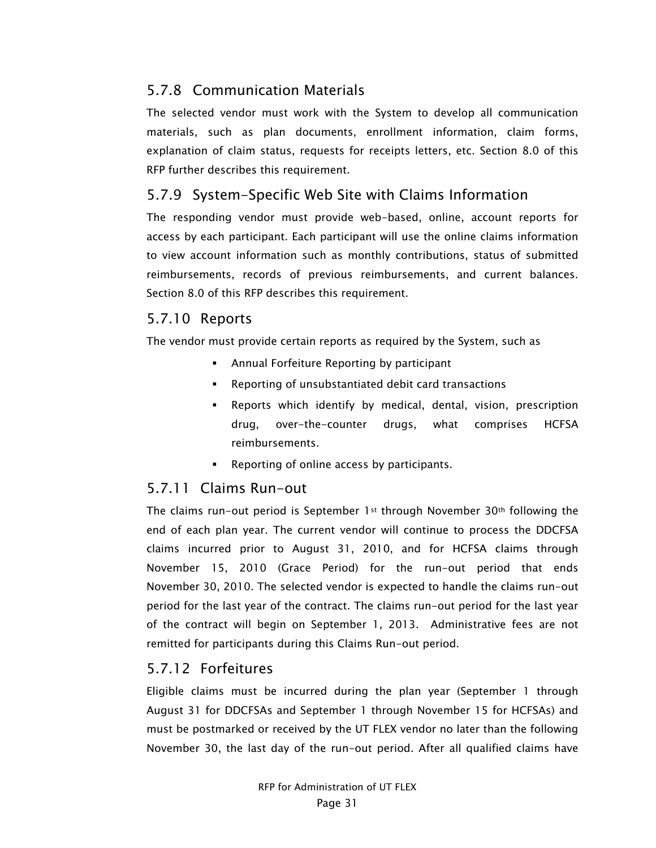#### 5.7.8 Communication Materials

The selected vendor must work with the System to develop all communication materials, such as plan documents, enrollment information, claim forms, explanation of claim status, requests for receipts letters, etc. Section 8.0 of this RFP further describes this requirement.

#### 5.7.9 System-Specific Web Site with Claims Information

The responding vendor must provide web-based, online, account reports for access by each participant. Each participant will use the online claims information to view account information such as monthly contributions, status of submitted reimbursements, records of previous reimbursements, and current balances. Section 8.0 of this RFP describes this requirement.

#### 5.7.10 Reports

The vendor must provide certain reports as required by the System, such as

- **Annual Forfeiture Reporting by participant**
- Reporting of unsubstantiated debit card transactions
- Reports which identify by medical, dental, vision, prescription drug, over-the-counter drugs, what comprises HCFSA reimbursements.
- **Reporting of online access by participants.**

#### 5.7.11 Claims Run-out

The claims run-out period is September 1st through November  $30<sup>th</sup>$  following the end of each plan year. The current vendor will continue to process the DDCFSA claims incurred prior to August 31, 2010, and for HCFSA claims through November 15, 2010 (Grace Period) for the run-out period that ends November 30, 2010. The selected vendor is expected to handle the claims run-out period for the last year of the contract. The claims run-out period for the last year of the contract will begin on September 1, 2013. Administrative fees are not remitted for participants during this Claims Run-out period.

#### 5.7.12 Forfeitures

Eligible claims must be incurred during the plan year (September 1 through August 31 for DDCFSAs and September 1 through November 15 for HCFSAs) and must be postmarked or received by the UT FLEX vendor no later than the following November 30, the last day of the run-out period. After all qualified claims have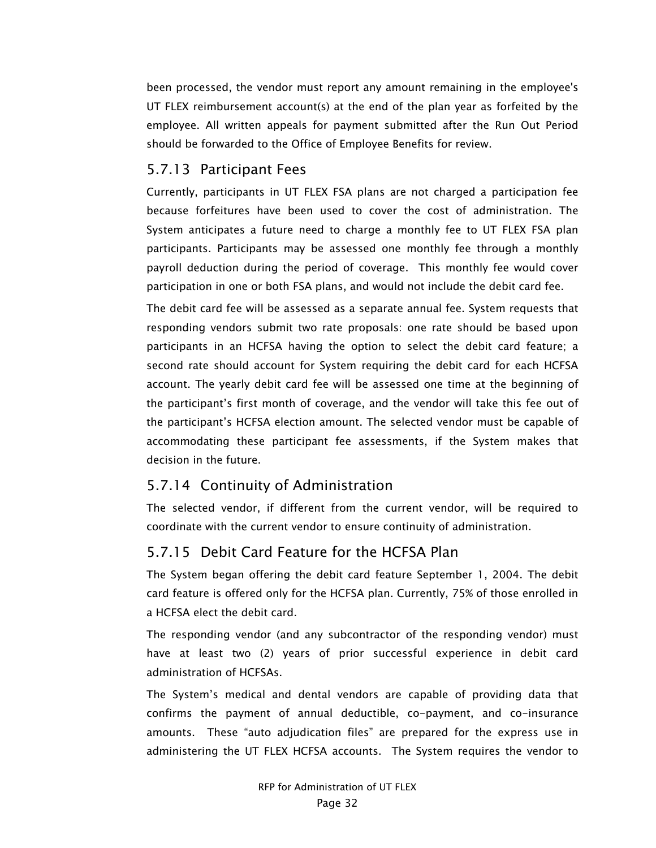been processed, the vendor must report any amount remaining in the employee's UT FLEX reimbursement account(s) at the end of the plan year as forfeited by the employee. All written appeals for payment submitted after the Run Out Period should be forwarded to the Office of Employee Benefits for review.

#### 5.7.13 Participant Fees

Currently, participants in UT FLEX FSA plans are not charged a participation fee because forfeitures have been used to cover the cost of administration. The System anticipates a future need to charge a monthly fee to UT FLEX FSA plan participants. Participants may be assessed one monthly fee through a monthly payroll deduction during the period of coverage. This monthly fee would cover participation in one or both FSA plans, and would not include the debit card fee.

The debit card fee will be assessed as a separate annual fee. System requests that responding vendors submit two rate proposals: one rate should be based upon participants in an HCFSA having the option to select the debit card feature; a second rate should account for System requiring the debit card for each HCFSA account. The yearly debit card fee will be assessed one time at the beginning of the participant's first month of coverage, and the vendor will take this fee out of the participant's HCFSA election amount. The selected vendor must be capable of accommodating these participant fee assessments, if the System makes that decision in the future.

#### 5.7.14 Continuity of Administration

The selected vendor, if different from the current vendor, will be required to coordinate with the current vendor to ensure continuity of administration.

#### 5.7.15 Debit Card Feature for the HCFSA Plan

The System began offering the debit card feature September 1, 2004. The debit card feature is offered only for the HCFSA plan. Currently, 75% of those enrolled in a HCFSA elect the debit card.

The responding vendor (and any subcontractor of the responding vendor) must have at least two (2) years of prior successful experience in debit card administration of HCFSAs.

The System's medical and dental vendors are capable of providing data that confirms the payment of annual deductible, co-payment, and co-insurance amounts. These "auto adjudication files" are prepared for the express use in administering the UT FLEX HCFSA accounts. The System requires the vendor to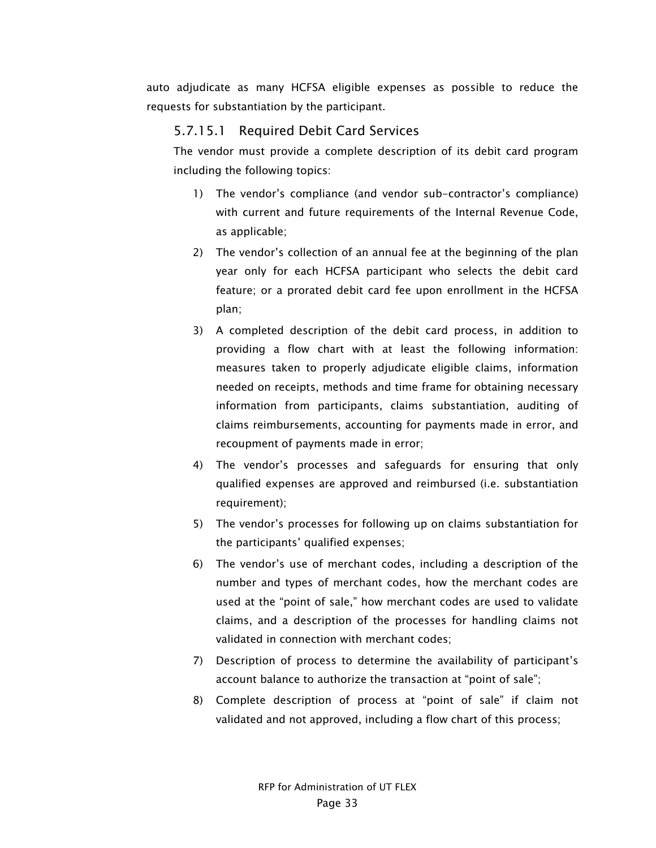auto adjudicate as many HCFSA eligible expenses as possible to reduce the requests for substantiation by the participant.

#### 5.7.15.1 Required Debit Card Services

The vendor must provide a complete description of its debit card program including the following topics:

- 1) The vendor's compliance (and vendor sub-contractor's compliance) with current and future requirements of the Internal Revenue Code, as applicable;
- 2) The vendor's collection of an annual fee at the beginning of the plan year only for each HCFSA participant who selects the debit card feature; or a prorated debit card fee upon enrollment in the HCFSA plan;
- 3) A completed description of the debit card process, in addition to providing a flow chart with at least the following information: measures taken to properly adjudicate eligible claims, information needed on receipts, methods and time frame for obtaining necessary information from participants, claims substantiation, auditing of claims reimbursements, accounting for payments made in error, and recoupment of payments made in error;
- 4) The vendor's processes and safeguards for ensuring that only qualified expenses are approved and reimbursed (i.e. substantiation requirement);
- 5) The vendor's processes for following up on claims substantiation for the participants' qualified expenses;
- 6) The vendor's use of merchant codes, including a description of the number and types of merchant codes, how the merchant codes are used at the "point of sale," how merchant codes are used to validate claims, and a description of the processes for handling claims not validated in connection with merchant codes;
- 7) Description of process to determine the availability of participant's account balance to authorize the transaction at "point of sale";
- 8) Complete description of process at "point of sale" if claim not validated and not approved, including a flow chart of this process;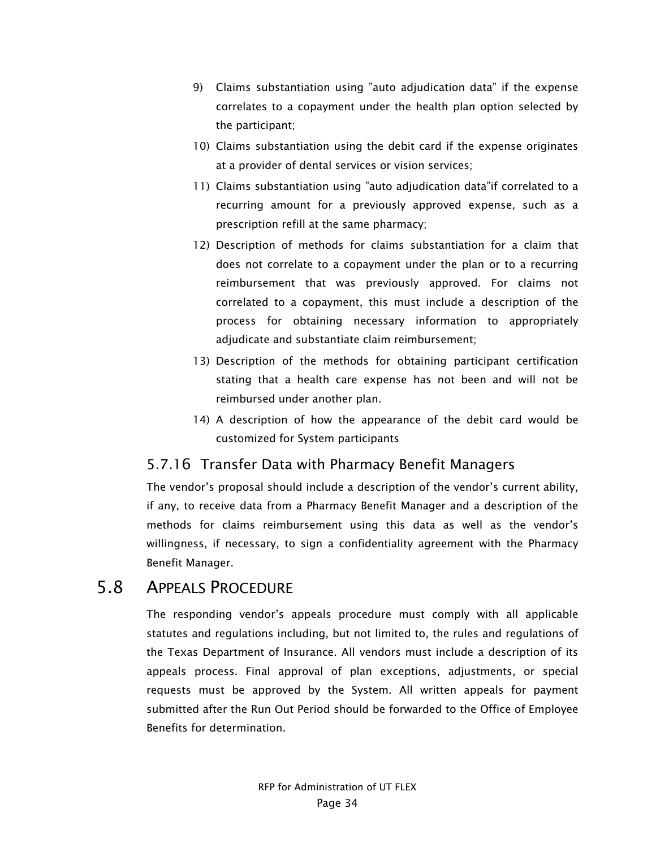- 9) Claims substantiation using "auto adjudication data" if the expense correlates to a copayment under the health plan option selected by the participant;
- 10) Claims substantiation using the debit card if the expense originates at a provider of dental services or vision services;
- 11) Claims substantiation using "auto adjudication data"if correlated to a recurring amount for a previously approved expense, such as a prescription refill at the same pharmacy;
- 12) Description of methods for claims substantiation for a claim that does not correlate to a copayment under the plan or to a recurring reimbursement that was previously approved. For claims not correlated to a copayment, this must include a description of the process for obtaining necessary information to appropriately adjudicate and substantiate claim reimbursement;
- 13) Description of the methods for obtaining participant certification stating that a health care expense has not been and will not be reimbursed under another plan.
- 14) A description of how the appearance of the debit card would be customized for System participants

#### 5.7.16 Transfer Data with Pharmacy Benefit Managers

The vendor's proposal should include a description of the vendor's current ability, if any, to receive data from a Pharmacy Benefit Manager and a description of the methods for claims reimbursement using this data as well as the vendor's willingness, if necessary, to sign a confidentiality agreement with the Pharmacy Benefit Manager.

#### 5.8 APPEALS PROCEDURE

The responding vendor's appeals procedure must comply with all applicable statutes and regulations including, but not limited to, the rules and regulations of the Texas Department of Insurance. All vendors must include a description of its appeals process. Final approval of plan exceptions, adjustments, or special requests must be approved by the System. All written appeals for payment submitted after the Run Out Period should be forwarded to the Office of Employee Benefits for determination.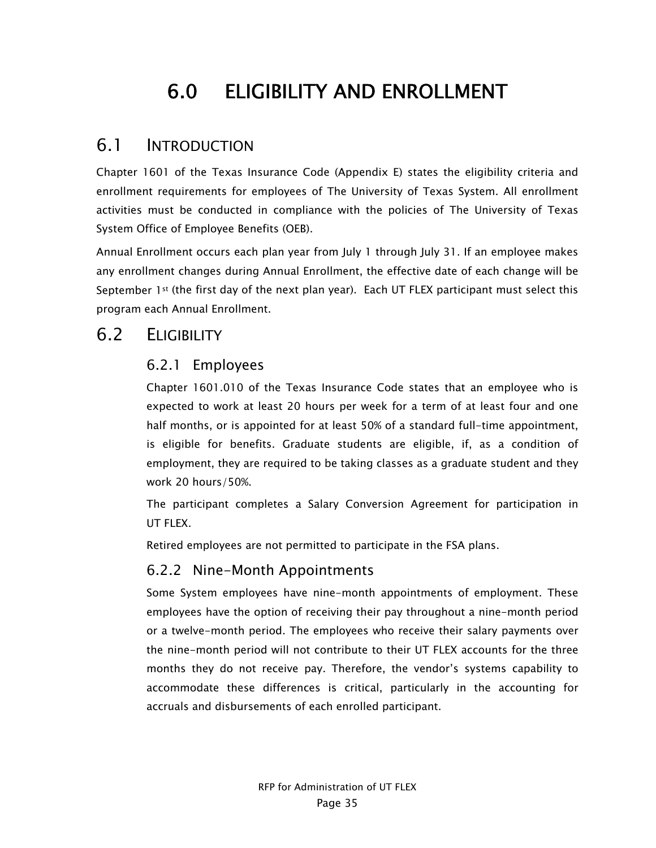# 6.0 ELIGIBILITY AND ENROLLMENT

## 6.1 INTRODUCTION

Chapter 1601 of the Texas Insurance Code (Appendix E) states the eligibility criteria and enrollment requirements for employees of The University of Texas System. All enrollment activities must be conducted in compliance with the policies of The University of Texas System Office of Employee Benefits (OEB).

Annual Enrollment occurs each plan year from July 1 through July 31. If an employee makes any enrollment changes during Annual Enrollment, the effective date of each change will be September  $1<sup>st</sup>$  (the first day of the next plan year). Each UT FLEX participant must select this program each Annual Enrollment.

## 6.2 ELIGIBILITY

#### 6.2.1 Employees

Chapter 1601.010 of the Texas Insurance Code states that an employee who is expected to work at least 20 hours per week for a term of at least four and one half months, or is appointed for at least 50% of a standard full-time appointment, is eligible for benefits. Graduate students are eligible, if, as a condition of employment, they are required to be taking classes as a graduate student and they work 20 hours/50%.

The participant completes a Salary Conversion Agreement for participation in UT FLEX.

Retired employees are not permitted to participate in the FSA plans.

## 6.2.2 Nine-Month Appointments

Some System employees have nine-month appointments of employment. These employees have the option of receiving their pay throughout a nine-month period or a twelve-month period. The employees who receive their salary payments over the nine-month period will not contribute to their UT FLEX accounts for the three months they do not receive pay. Therefore, the vendor's systems capability to accommodate these differences is critical, particularly in the accounting for accruals and disbursements of each enrolled participant.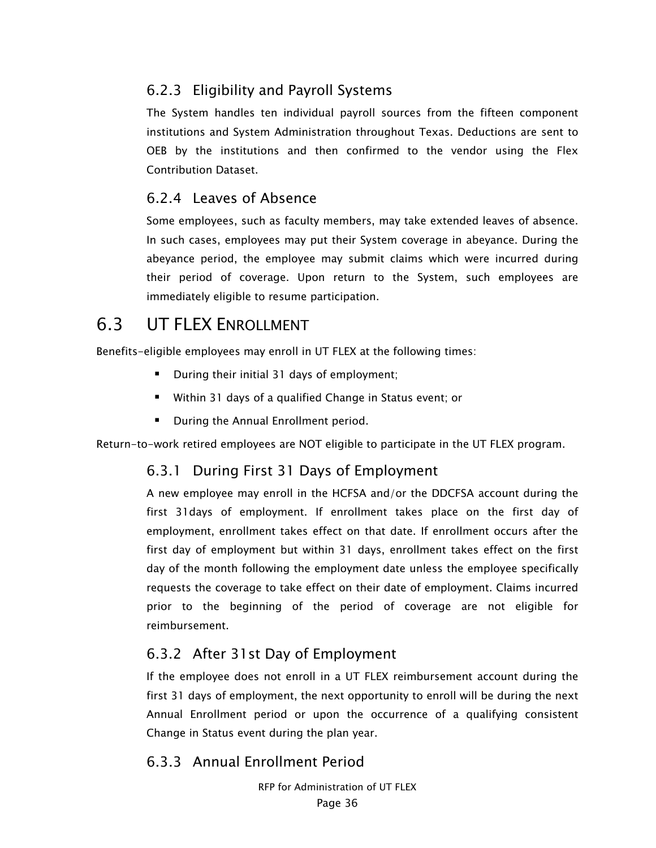## 6.2.3 Eligibility and Payroll Systems

The System handles ten individual payroll sources from the fifteen component institutions and System Administration throughout Texas. Deductions are sent to OEB by the institutions and then confirmed to the vendor using the Flex Contribution Dataset.

#### 6.2.4 Leaves of Absence

Some employees, such as faculty members, may take extended leaves of absence. In such cases, employees may put their System coverage in abeyance. During the abeyance period, the employee may submit claims which were incurred during their period of coverage. Upon return to the System, such employees are immediately eligible to resume participation.

# **6.3 UT FLEX ENROLLMENT**

Benefits-eligible employees may enroll in UT FLEX at the following times:

- **During their initial 31 days of employment;**
- Within 31 days of a qualified Change in Status event; or
- During the Annual Enrollment period.

Return-to-work retired employees are NOT eligible to participate in the UT FLEX program.

#### 6.3.1 During First 31 Days of Employment

A new employee may enroll in the HCFSA and/or the DDCFSA account during the first 31days of employment. If enrollment takes place on the first day of employment, enrollment takes effect on that date. If enrollment occurs after the first day of employment but within 31 days, enrollment takes effect on the first day of the month following the employment date unless the employee specifically requests the coverage to take effect on their date of employment. Claims incurred prior to the beginning of the period of coverage are not eligible for reimbursement.

## 6.3.2 After 31st Day of Employment

If the employee does not enroll in a UT FLEX reimbursement account during the first 31 days of employment, the next opportunity to enroll will be during the next Annual Enrollment period or upon the occurrence of a qualifying consistent Change in Status event during the plan year.

#### 6.3.3 Annual Enrollment Period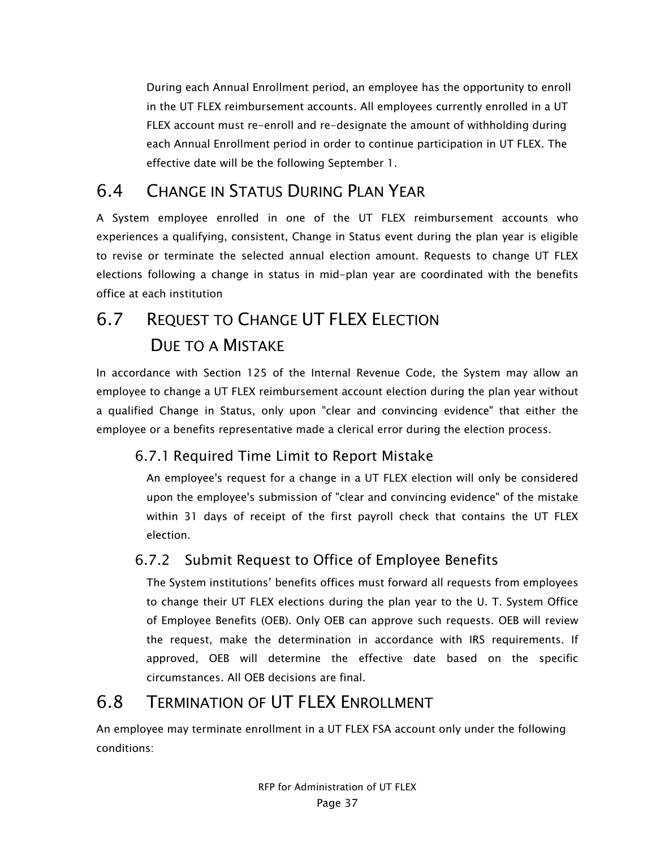During each Annual Enrollment period, an employee has the opportunity to enroll in the UT FLEX reimbursement accounts. All employees currently enrolled in a UT FLEX account must re-enroll and re-designate the amount of withholding during each Annual Enrollment period in order to continue participation in UT FLEX. The effective date will be the following September 1.

# 6.4 CHANGE IN STATUS DURING PLAN YEAR

A System employee enrolled in one of the UT FLEX reimbursement accounts who experiences a qualifying, consistent, Change in Status event during the plan year is eligible to revise or terminate the selected annual election amount. Requests to change UT FLEX elections following a change in status in mid-plan year are coordinated with the benefits office at each institution

# 6.7 REQUEST TO CHANGE UT FLEX ELECTION DUE TO A MISTAKE

In accordance with Section 125 of the Internal Revenue Code, the System may allow an employee to change a UT FLEX reimbursement account election during the plan year without a qualified Change in Status, only upon "clear and convincing evidence" that either the employee or a benefits representative made a clerical error during the election process.

## 6.7.1 Required Time Limit to Report Mistake

An employee's request for a change in a UT FLEX election will only be considered upon the employee's submission of "clear and convincing evidence" of the mistake within 31 days of receipt of the first payroll check that contains the UT FLEX election.

## 6.7.2 Submit Request to Office of Employee Benefits

The System institutions' benefits offices must forward all requests from employees to change their UT FLEX elections during the plan year to the U. T. System Office of Employee Benefits (OEB). Only OEB can approve such requests. OEB will review the request, make the determination in accordance with IRS requirements. If approved, OEB will determine the effective date based on the specific circumstances. All OEB decisions are final.

# 6.8 TERMINATION OF UT FLEX ENROLLMENT

An employee may terminate enrollment in a UT FLEX FSA account only under the following conditions: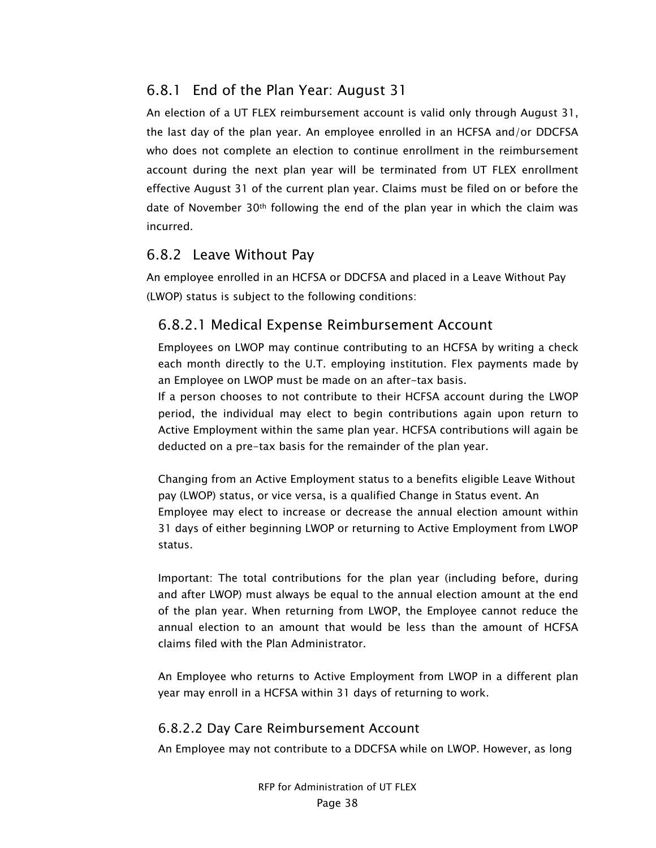## 6.8.1 End of the Plan Year: August 31

An election of a UT FLEX reimbursement account is valid only through August 31, the last day of the plan year. An employee enrolled in an HCFSA and/or DDCFSA who does not complete an election to continue enrollment in the reimbursement account during the next plan year will be terminated from UT FLEX enrollment effective August 31 of the current plan year. Claims must be filed on or before the date of November 30th following the end of the plan year in which the claim was incurred.

### 6.8.2 Leave Without Pay

An employee enrolled in an HCFSA or DDCFSA and placed in a Leave Without Pay (LWOP) status is subject to the following conditions:

## 6.8.2.1 Medical Expense Reimbursement Account

Employees on LWOP may continue contributing to an HCFSA by writing a check each month directly to the U.T. employing institution. Flex payments made by an Employee on LWOP must be made on an after-tax basis.

If a person chooses to not contribute to their HCFSA account during the LWOP period, the individual may elect to begin contributions again upon return to Active Employment within the same plan year. HCFSA contributions will again be deducted on a pre-tax basis for the remainder of the plan year.

Changing from an Active Employment status to a benefits eligible Leave Without pay (LWOP) status, or vice versa, is a qualified Change in Status event. An Employee may elect to increase or decrease the annual election amount within 31 days of either beginning LWOP or returning to Active Employment from LWOP status.

Important: The total contributions for the plan year (including before, during and after LWOP) must always be equal to the annual election amount at the end of the plan year. When returning from LWOP, the Employee cannot reduce the annual election to an amount that would be less than the amount of HCFSA claims filed with the Plan Administrator.

An Employee who returns to Active Employment from LWOP in a different plan year may enroll in a HCFSA within 31 days of returning to work.

#### 6.8.2.2 Day Care Reimbursement Account

An Employee may not contribute to a DDCFSA while on LWOP. However, as long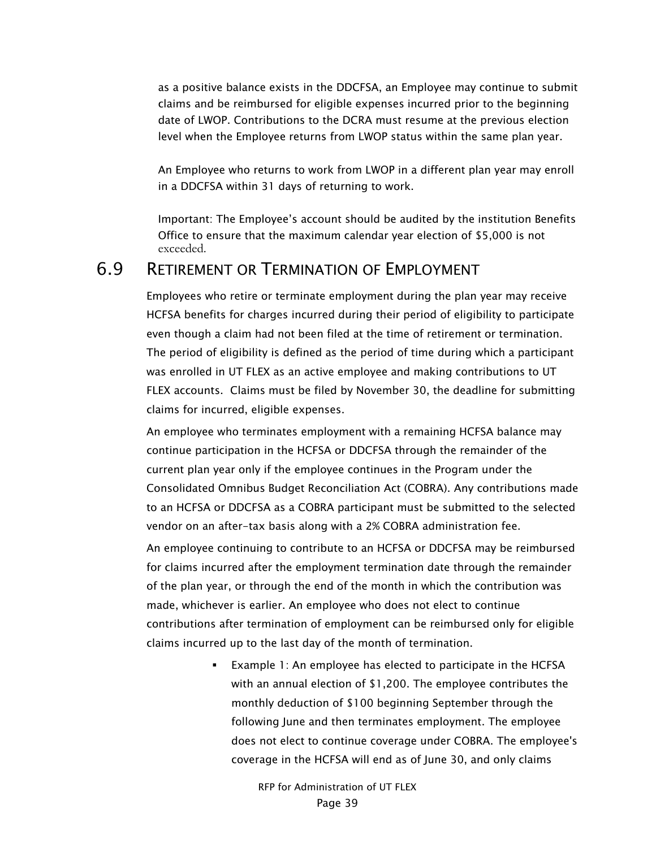as a positive balance exists in the DDCFSA, an Employee may continue to submit claims and be reimbursed for eligible expenses incurred prior to the beginning date of LWOP. Contributions to the DCRA must resume at the previous election level when the Employee returns from LWOP status within the same plan year.

An Employee who returns to work from LWOP in a different plan year may enroll in a DDCFSA within 31 days of returning to work.

Important: The Employee's account should be audited by the institution Benefits Office to ensure that the maximum calendar year election of \$5,000 is not exceeded.

## 6.9 RETIREMENT OR TERMINATION OF EMPLOYMENT

Employees who retire or terminate employment during the plan year may receive HCFSA benefits for charges incurred during their period of eligibility to participate even though a claim had not been filed at the time of retirement or termination. The period of eligibility is defined as the period of time during which a participant was enrolled in UT FLEX as an active employee and making contributions to UT FLEX accounts. Claims must be filed by November 30, the deadline for submitting claims for incurred, eligible expenses.

An employee who terminates employment with a remaining HCFSA balance may continue participation in the HCFSA or DDCFSA through the remainder of the current plan year only if the employee continues in the Program under the Consolidated Omnibus Budget Reconciliation Act (COBRA). Any contributions made to an HCFSA or DDCFSA as a COBRA participant must be submitted to the selected vendor on an after-tax basis along with a 2% COBRA administration fee.

An employee continuing to contribute to an HCFSA or DDCFSA may be reimbursed for claims incurred after the employment termination date through the remainder of the plan year, or through the end of the month in which the contribution was made, whichever is earlier. An employee who does not elect to continue contributions after termination of employment can be reimbursed only for eligible claims incurred up to the last day of the month of termination.

> **Example 1: An employee has elected to participate in the HCFSA** with an annual election of \$1,200. The employee contributes the monthly deduction of \$100 beginning September through the following June and then terminates employment. The employee does not elect to continue coverage under COBRA. The employee's coverage in the HCFSA will end as of June 30, and only claims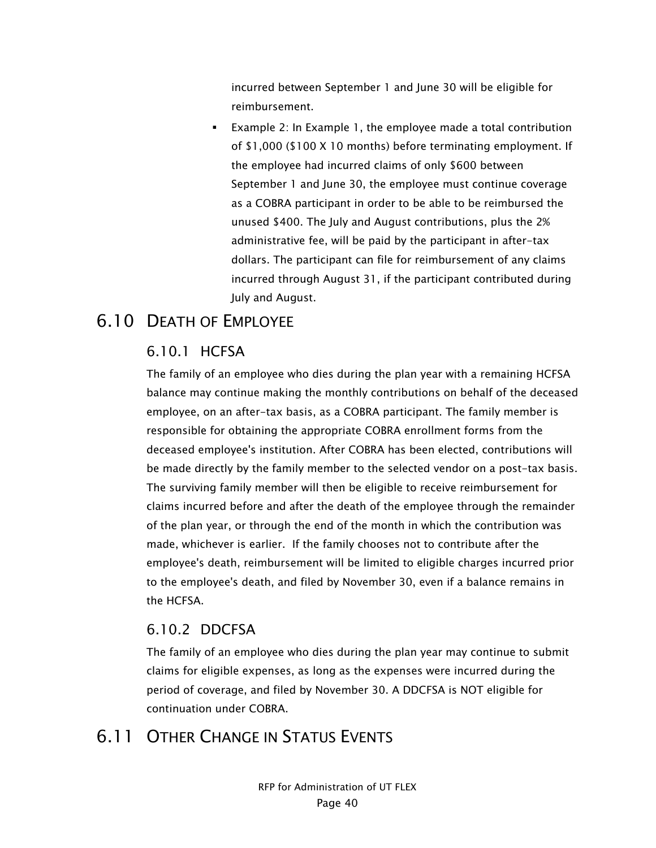incurred between September 1 and June 30 will be eligible for reimbursement.

 Example 2: In Example 1, the employee made a total contribution of \$1,000 (\$100 X 10 months) before terminating employment. If the employee had incurred claims of only \$600 between September 1 and June 30, the employee must continue coverage as a COBRA participant in order to be able to be reimbursed the unused \$400. The July and August contributions, plus the 2% administrative fee, will be paid by the participant in after-tax dollars. The participant can file for reimbursement of any claims incurred through August 31, if the participant contributed during July and August.

## 6.10 DEATH OF EMPLOYEE

#### 6.10.1 HCFSA

The family of an employee who dies during the plan year with a remaining HCFSA balance may continue making the monthly contributions on behalf of the deceased employee, on an after-tax basis, as a COBRA participant. The family member is responsible for obtaining the appropriate COBRA enrollment forms from the deceased employee's institution. After COBRA has been elected, contributions will be made directly by the family member to the selected vendor on a post-tax basis. The surviving family member will then be eligible to receive reimbursement for claims incurred before and after the death of the employee through the remainder of the plan year, or through the end of the month in which the contribution was made, whichever is earlier. If the family chooses not to contribute after the employee's death, reimbursement will be limited to eligible charges incurred prior to the employee's death, and filed by November 30, even if a balance remains in the HCFSA.

#### 6.10.2 DDCFSA

The family of an employee who dies during the plan year may continue to submit claims for eligible expenses, as long as the expenses were incurred during the period of coverage, and filed by November 30. A DDCFSA is NOT eligible for continuation under COBRA.

# 6.11 OTHER CHANGE IN STATUS EVENTS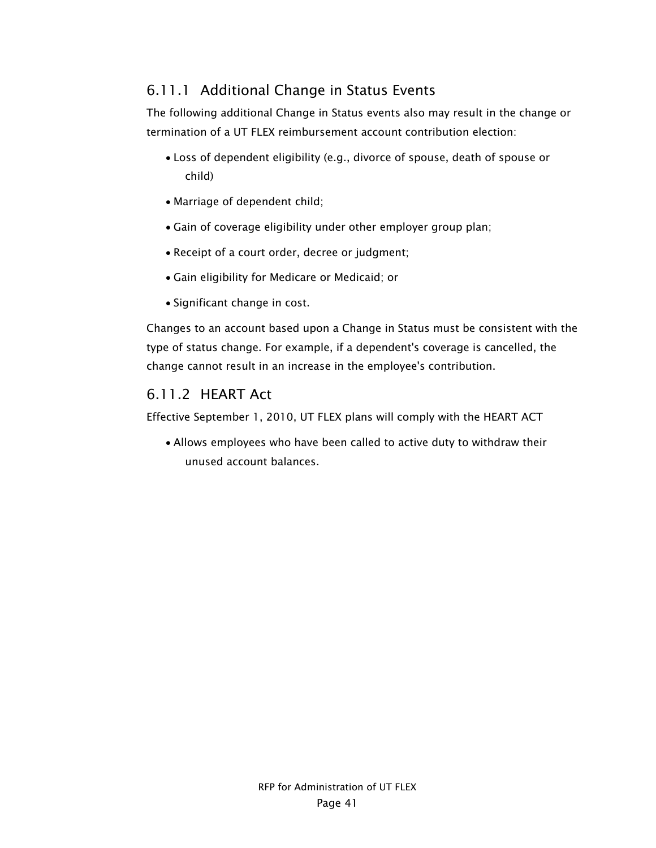## 6.11.1 Additional Change in Status Events

The following additional Change in Status events also may result in the change or termination of a UT FLEX reimbursement account contribution election:

- Loss of dependent eligibility (e.g., divorce of spouse, death of spouse or child)
- Marriage of dependent child;
- Gain of coverage eligibility under other employer group plan;
- Receipt of a court order, decree or judgment;
- Gain eligibility for Medicare or Medicaid; or
- Significant change in cost.

Changes to an account based upon a Change in Status must be consistent with the type of status change. For example, if a dependent's coverage is cancelled, the change cannot result in an increase in the employee's contribution.

#### 6.11.2 HEART Act

Effective September 1, 2010, UT FLEX plans will comply with the HEART ACT

 Allows employees who have been called to active duty to withdraw their unused account balances.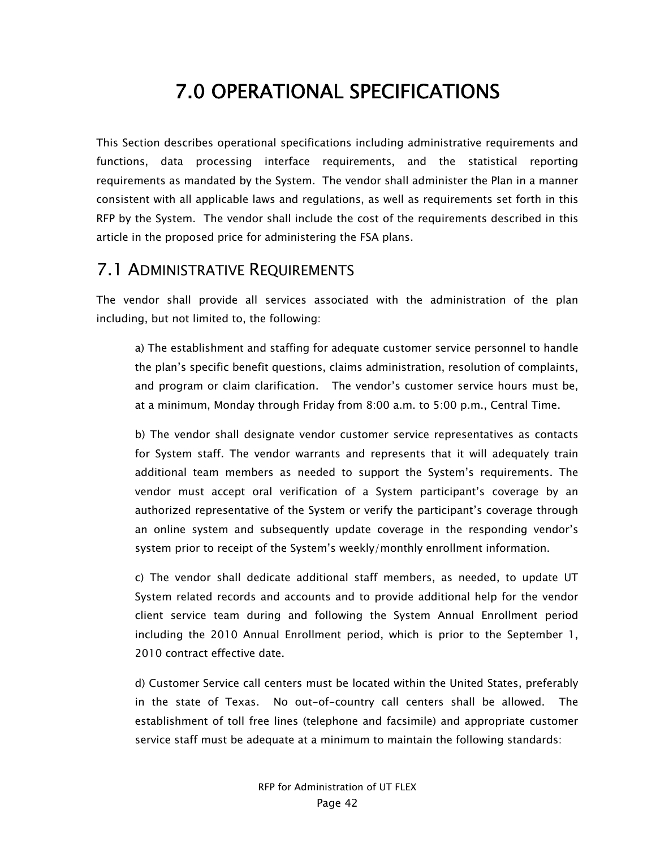# 7.0 OPERATIONAL SPECIFICATIONS

This Section describes operational specifications including administrative requirements and functions, data processing interface requirements, and the statistical reporting requirements as mandated by the System. The vendor shall administer the Plan in a manner consistent with all applicable laws and regulations, as well as requirements set forth in this RFP by the System. The vendor shall include the cost of the requirements described in this article in the proposed price for administering the FSA plans.

## 7.1 ADMINISTRATIVE REQUIREMENTS

The vendor shall provide all services associated with the administration of the plan including, but not limited to, the following:

a) The establishment and staffing for adequate customer service personnel to handle the plan's specific benefit questions, claims administration, resolution of complaints, and program or claim clarification. The vendor's customer service hours must be, at a minimum, Monday through Friday from 8:00 a.m. to 5:00 p.m., Central Time.

b) The vendor shall designate vendor customer service representatives as contacts for System staff. The vendor warrants and represents that it will adequately train additional team members as needed to support the System's requirements. The vendor must accept oral verification of a System participant's coverage by an authorized representative of the System or verify the participant's coverage through an online system and subsequently update coverage in the responding vendor's system prior to receipt of the System's weekly/monthly enrollment information.

c) The vendor shall dedicate additional staff members, as needed, to update UT System related records and accounts and to provide additional help for the vendor client service team during and following the System Annual Enrollment period including the 2010 Annual Enrollment period, which is prior to the September 1, 2010 contract effective date.

d) Customer Service call centers must be located within the United States, preferably in the state of Texas. No out-of-country call centers shall be allowed. The establishment of toll free lines (telephone and facsimile) and appropriate customer service staff must be adequate at a minimum to maintain the following standards: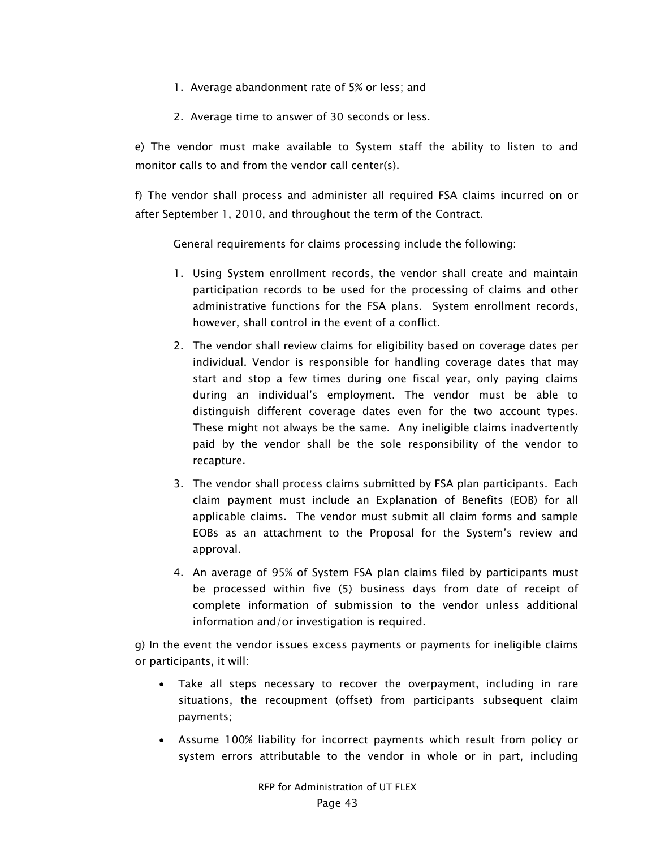- 1. Average abandonment rate of 5% or less; and
- 2. Average time to answer of 30 seconds or less.

e) The vendor must make available to System staff the ability to listen to and monitor calls to and from the vendor call center(s).

f) The vendor shall process and administer all required FSA claims incurred on or after September 1, 2010, and throughout the term of the Contract.

General requirements for claims processing include the following:

- 1. Using System enrollment records, the vendor shall create and maintain participation records to be used for the processing of claims and other administrative functions for the FSA plans. System enrollment records, however, shall control in the event of a conflict.
- 2. The vendor shall review claims for eligibility based on coverage dates per individual. Vendor is responsible for handling coverage dates that may start and stop a few times during one fiscal year, only paying claims during an individual's employment. The vendor must be able to distinguish different coverage dates even for the two account types. These might not always be the same. Any ineligible claims inadvertently paid by the vendor shall be the sole responsibility of the vendor to recapture.
- 3. The vendor shall process claims submitted by FSA plan participants. Each claim payment must include an Explanation of Benefits (EOB) for all applicable claims. The vendor must submit all claim forms and sample EOBs as an attachment to the Proposal for the System's review and approval.
- 4. An average of 95% of System FSA plan claims filed by participants must be processed within five (5) business days from date of receipt of complete information of submission to the vendor unless additional information and/or investigation is required.

g) In the event the vendor issues excess payments or payments for ineligible claims or participants, it will:

- Take all steps necessary to recover the overpayment, including in rare situations, the recoupment (offset) from participants subsequent claim payments;
- Assume 100% liability for incorrect payments which result from policy or system errors attributable to the vendor in whole or in part, including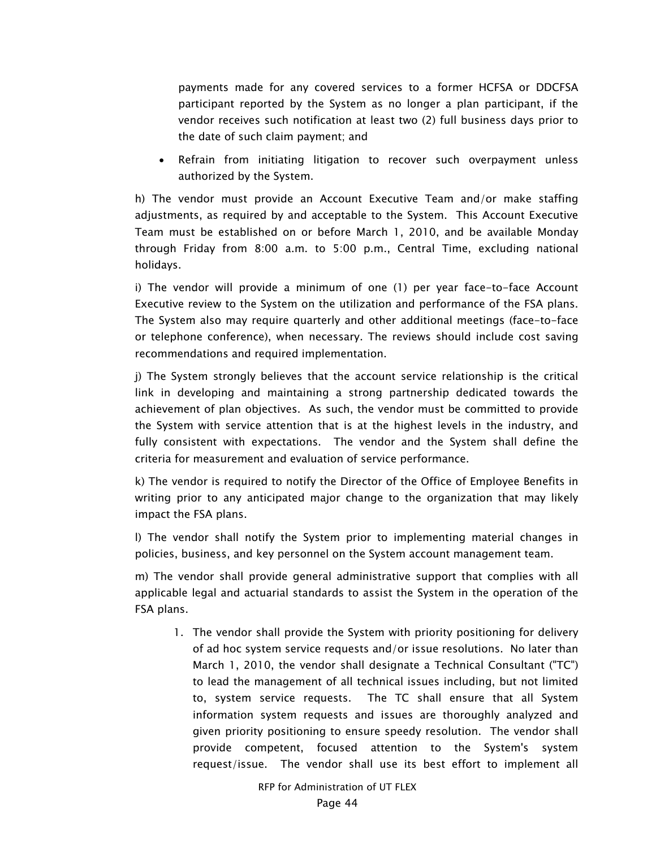payments made for any covered services to a former HCFSA or DDCFSA participant reported by the System as no longer a plan participant, if the vendor receives such notification at least two (2) full business days prior to the date of such claim payment; and

 Refrain from initiating litigation to recover such overpayment unless authorized by the System.

h) The vendor must provide an Account Executive Team and/or make staffing adjustments, as required by and acceptable to the System. This Account Executive Team must be established on or before March 1, 2010, and be available Monday through Friday from 8:00 a.m. to 5:00 p.m., Central Time, excluding national holidays.

i) The vendor will provide a minimum of one (1) per year face-to-face Account Executive review to the System on the utilization and performance of the FSA plans. The System also may require quarterly and other additional meetings (face-to-face or telephone conference), when necessary. The reviews should include cost saving recommendations and required implementation.

j) The System strongly believes that the account service relationship is the critical link in developing and maintaining a strong partnership dedicated towards the achievement of plan objectives. As such, the vendor must be committed to provide the System with service attention that is at the highest levels in the industry, and fully consistent with expectations. The vendor and the System shall define the criteria for measurement and evaluation of service performance.

k) The vendor is required to notify the Director of the Office of Employee Benefits in writing prior to any anticipated major change to the organization that may likely impact the FSA plans.

l) The vendor shall notify the System prior to implementing material changes in policies, business, and key personnel on the System account management team.

m) The vendor shall provide general administrative support that complies with all applicable legal and actuarial standards to assist the System in the operation of the FSA plans.

1. The vendor shall provide the System with priority positioning for delivery of ad hoc system service requests and/or issue resolutions. No later than March 1, 2010, the vendor shall designate a Technical Consultant ("TC") to lead the management of all technical issues including, but not limited to, system service requests. The TC shall ensure that all System information system requests and issues are thoroughly analyzed and given priority positioning to ensure speedy resolution. The vendor shall provide competent, focused attention to the System's system request/issue. The vendor shall use its best effort to implement all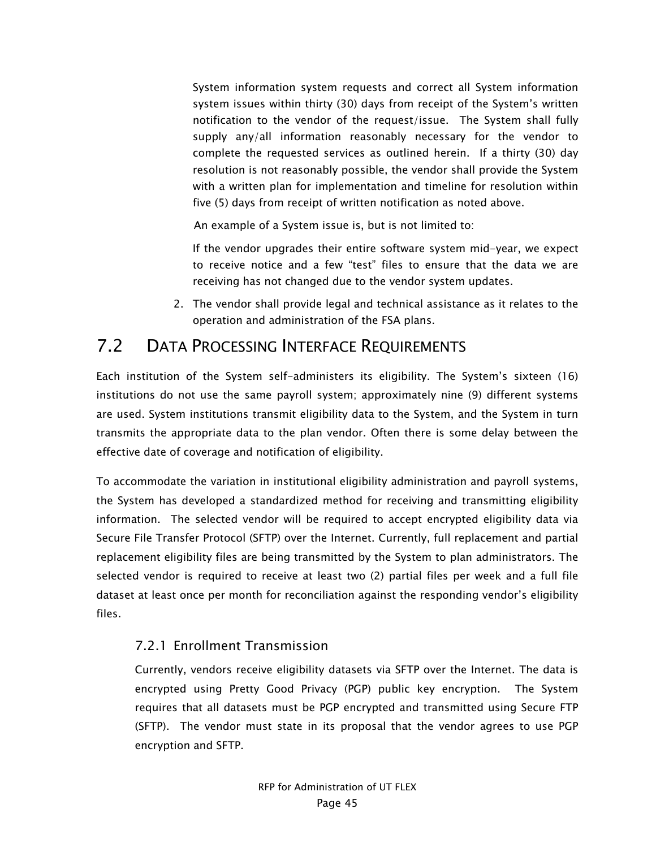System information system requests and correct all System information system issues within thirty (30) days from receipt of the System's written notification to the vendor of the request/issue. The System shall fully supply any/all information reasonably necessary for the vendor to complete the requested services as outlined herein. If a thirty (30) day resolution is not reasonably possible, the vendor shall provide the System with a written plan for implementation and timeline for resolution within five (5) days from receipt of written notification as noted above.

An example of a System issue is, but is not limited to:

If the vendor upgrades their entire software system mid-year, we expect to receive notice and a few "test" files to ensure that the data we are receiving has not changed due to the vendor system updates.

2. The vendor shall provide legal and technical assistance as it relates to the operation and administration of the FSA plans.

## 7.2 DATA PROCESSING INTERFACE REQUIREMENTS

Each institution of the System self-administers its eligibility. The System's sixteen (16) institutions do not use the same payroll system; approximately nine (9) different systems are used. System institutions transmit eligibility data to the System, and the System in turn transmits the appropriate data to the plan vendor. Often there is some delay between the effective date of coverage and notification of eligibility.

To accommodate the variation in institutional eligibility administration and payroll systems, the System has developed a standardized method for receiving and transmitting eligibility information. The selected vendor will be required to accept encrypted eligibility data via Secure File Transfer Protocol (SFTP) over the Internet. Currently, full replacement and partial replacement eligibility files are being transmitted by the System to plan administrators. The selected vendor is required to receive at least two (2) partial files per week and a full file dataset at least once per month for reconciliation against the responding vendor's eligibility files.

#### 7.2.1 Enrollment Transmission

Currently, vendors receive eligibility datasets via SFTP over the Internet. The data is encrypted using Pretty Good Privacy (PGP) public key encryption. The System requires that all datasets must be PGP encrypted and transmitted using Secure FTP (SFTP). The vendor must state in its proposal that the vendor agrees to use PGP encryption and SFTP.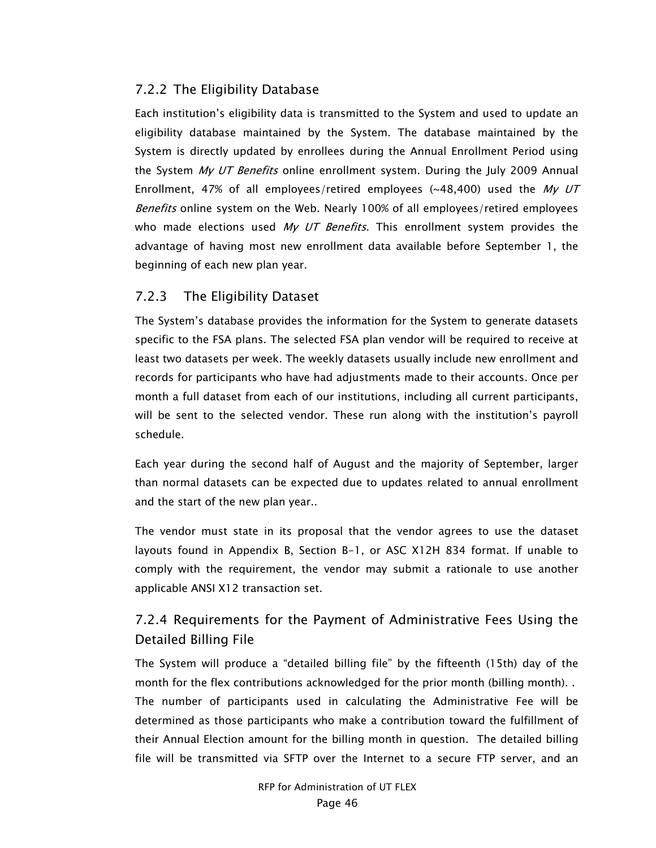#### 7.2.2 The Eligibility Database

Each institution's eligibility data is transmitted to the System and used to update an eligibility database maintained by the System. The database maintained by the System is directly updated by enrollees during the Annual Enrollment Period using the System My UT Benefits online enrollment system. During the July 2009 Annual Enrollment, 47% of all employees/retired employees ( $\sim$ 48,400) used the My UT Benefits online system on the Web. Nearly 100% of all employees/retired employees who made elections used My UT Benefits. This enrollment system provides the advantage of having most new enrollment data available before September 1, the beginning of each new plan year.

#### 7.2.3 The Eligibility Dataset

The System's database provides the information for the System to generate datasets specific to the FSA plans. The selected FSA plan vendor will be required to receive at least two datasets per week. The weekly datasets usually include new enrollment and records for participants who have had adjustments made to their accounts. Once per month a full dataset from each of our institutions, including all current participants, will be sent to the selected vendor. These run along with the institution's payroll schedule.

Each year during the second half of August and the majority of September, larger than normal datasets can be expected due to updates related to annual enrollment and the start of the new plan year..

The vendor must state in its proposal that the vendor agrees to use the dataset layouts found in Appendix B, Section B-1, or ASC X12H 834 format. If unable to comply with the requirement, the vendor may submit a rationale to use another applicable ANSI X12 transaction set.

## 7.2.4 Requirements for the Payment of Administrative Fees Using the Detailed Billing File

The System will produce a "detailed billing file" by the fifteenth (15th) day of the month for the flex contributions acknowledged for the prior month (billing month). . The number of participants used in calculating the Administrative Fee will be determined as those participants who make a contribution toward the fulfillment of their Annual Election amount for the billing month in question. The detailed billing file will be transmitted via SFTP over the Internet to a secure FTP server, and an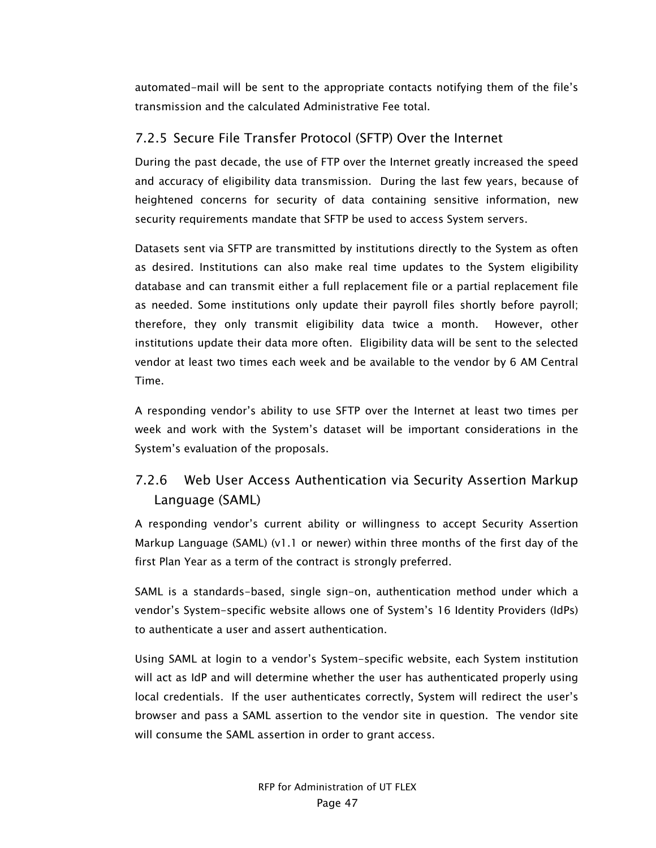automated-mail will be sent to the appropriate contacts notifying them of the file's transmission and the calculated Administrative Fee total.

#### 7.2.5 Secure File Transfer Protocol (SFTP) Over the Internet

During the past decade, the use of FTP over the Internet greatly increased the speed and accuracy of eligibility data transmission. During the last few years, because of heightened concerns for security of data containing sensitive information, new security requirements mandate that SFTP be used to access System servers.

Datasets sent via SFTP are transmitted by institutions directly to the System as often as desired. Institutions can also make real time updates to the System eligibility database and can transmit either a full replacement file or a partial replacement file as needed. Some institutions only update their payroll files shortly before payroll; therefore, they only transmit eligibility data twice a month. However, other institutions update their data more often. Eligibility data will be sent to the selected vendor at least two times each week and be available to the vendor by 6 AM Central Time.

A responding vendor's ability to use SFTP over the Internet at least two times per week and work with the System's dataset will be important considerations in the System's evaluation of the proposals.

## 7.2.6 Web User Access Authentication via Security Assertion Markup Language (SAML)

A responding vendor's current ability or willingness to accept Security Assertion Markup Language (SAML) (v1.1 or newer) within three months of the first day of the first Plan Year as a term of the contract is strongly preferred.

SAML is a standards-based, single sign-on, authentication method under which a vendor's System-specific website allows one of System's 16 Identity Providers (IdPs) to authenticate a user and assert authentication.

Using SAML at login to a vendor's System-specific website, each System institution will act as IdP and will determine whether the user has authenticated properly using local credentials. If the user authenticates correctly, System will redirect the user's browser and pass a SAML assertion to the vendor site in question. The vendor site will consume the SAML assertion in order to grant access.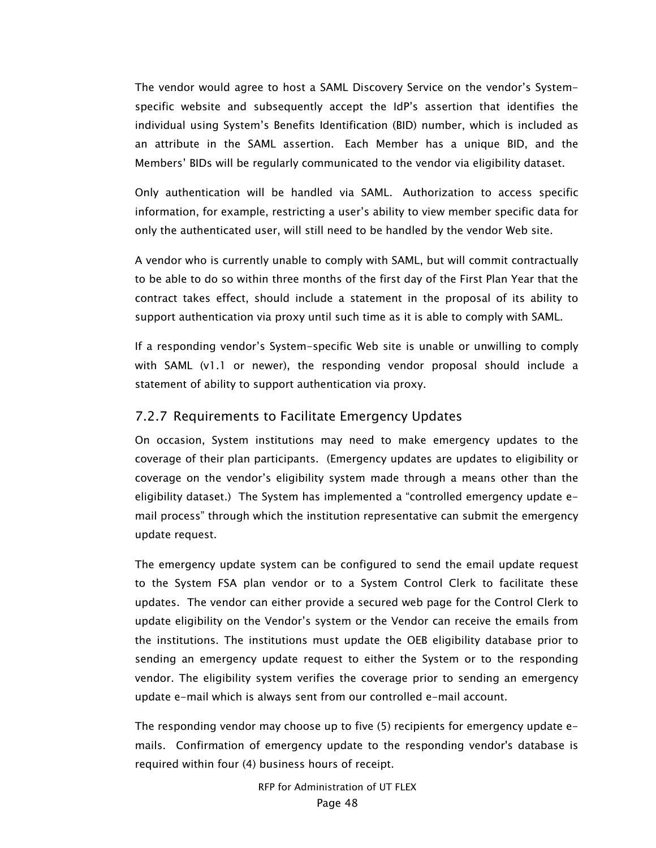The vendor would agree to host a SAML Discovery Service on the vendor's Systemspecific website and subsequently accept the IdP's assertion that identifies the individual using System's Benefits Identification (BID) number, which is included as an attribute in the SAML assertion. Each Member has a unique BID, and the Members' BIDs will be regularly communicated to the vendor via eligibility dataset.

Only authentication will be handled via SAML. Authorization to access specific information, for example, restricting a user's ability to view member specific data for only the authenticated user, will still need to be handled by the vendor Web site.

A vendor who is currently unable to comply with SAML, but will commit contractually to be able to do so within three months of the first day of the First Plan Year that the contract takes effect, should include a statement in the proposal of its ability to support authentication via proxy until such time as it is able to comply with SAML.

If a responding vendor's System-specific Web site is unable or unwilling to comply with SAML (v1.1 or newer), the responding vendor proposal should include a statement of ability to support authentication via proxy.

#### 7.2.7 Requirements to Facilitate Emergency Updates

On occasion, System institutions may need to make emergency updates to the coverage of their plan participants. (Emergency updates are updates to eligibility or coverage on the vendor's eligibility system made through a means other than the eligibility dataset.) The System has implemented a "controlled emergency update email process" through which the institution representative can submit the emergency update request.

The emergency update system can be configured to send the email update request to the System FSA plan vendor or to a System Control Clerk to facilitate these updates. The vendor can either provide a secured web page for the Control Clerk to update eligibility on the Vendor's system or the Vendor can receive the emails from the institutions. The institutions must update the OEB eligibility database prior to sending an emergency update request to either the System or to the responding vendor. The eligibility system verifies the coverage prior to sending an emergency update e-mail which is always sent from our controlled e-mail account.

The responding vendor may choose up to five (5) recipients for emergency update emails. Confirmation of emergency update to the responding vendor's database is required within four (4) business hours of receipt.

> RFP for Administration of UT FLEX Page 48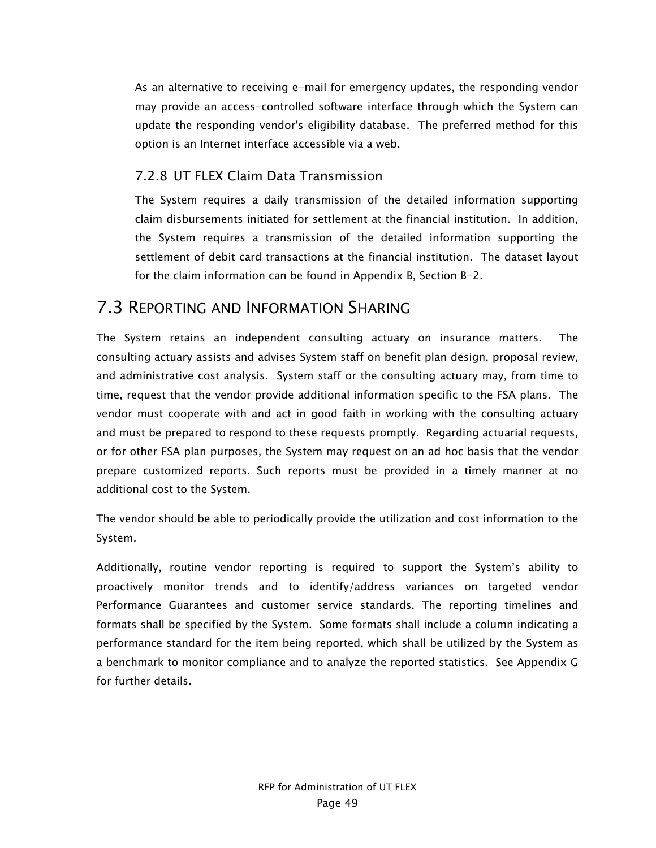As an alternative to receiving e-mail for emergency updates, the responding vendor may provide an access-controlled software interface through which the System can update the responding vendor's eligibility database. The preferred method for this option is an Internet interface accessible via a web.

#### 7.2.8 UT FLEX Claim Data Transmission

The System requires a daily transmission of the detailed information supporting claim disbursements initiated for settlement at the financial institution. In addition, the System requires a transmission of the detailed information supporting the settlement of debit card transactions at the financial institution. The dataset layout for the claim information can be found in Appendix B, Section B-2.

## 7.3 REPORTING AND INFORMATION SHARING

The System retains an independent consulting actuary on insurance matters. The consulting actuary assists and advises System staff on benefit plan design, proposal review, and administrative cost analysis. System staff or the consulting actuary may, from time to time, request that the vendor provide additional information specific to the FSA plans. The vendor must cooperate with and act in good faith in working with the consulting actuary and must be prepared to respond to these requests promptly. Regarding actuarial requests, or for other FSA plan purposes, the System may request on an ad hoc basis that the vendor prepare customized reports. Such reports must be provided in a timely manner at no additional cost to the System.

The vendor should be able to periodically provide the utilization and cost information to the System.

Additionally, routine vendor reporting is required to support the System's ability to proactively monitor trends and to identify/address variances on targeted vendor Performance Guarantees and customer service standards. The reporting timelines and formats shall be specified by the System. Some formats shall include a column indicating a performance standard for the item being reported, which shall be utilized by the System as a benchmark to monitor compliance and to analyze the reported statistics. See Appendix G for further details.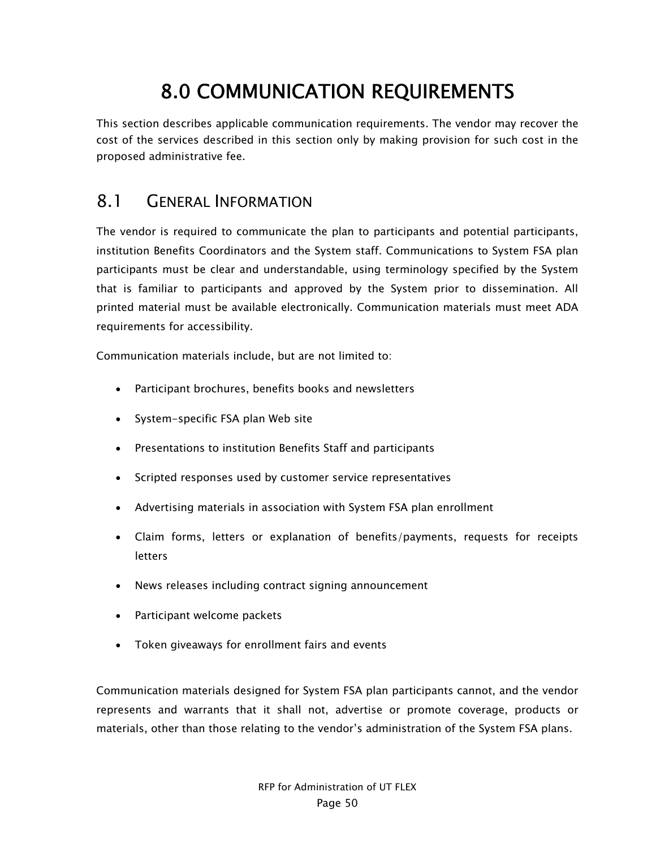# 8.0 COMMUNICATION REQUIREMENTS

This section describes applicable communication requirements. The vendor may recover the cost of the services described in this section only by making provision for such cost in the proposed administrative fee.

## 8.1 GENERAL INFORMATION

The vendor is required to communicate the plan to participants and potential participants, institution Benefits Coordinators and the System staff. Communications to System FSA plan participants must be clear and understandable, using terminology specified by the System that is familiar to participants and approved by the System prior to dissemination. All printed material must be available electronically. Communication materials must meet ADA requirements for accessibility.

Communication materials include, but are not limited to:

- Participant brochures, benefits books and newsletters
- System-specific FSA plan Web site
- Presentations to institution Benefits Staff and participants
- Scripted responses used by customer service representatives
- Advertising materials in association with System FSA plan enrollment
- Claim forms, letters or explanation of benefits/payments, requests for receipts **letters**
- News releases including contract signing announcement
- Participant welcome packets
- Token giveaways for enrollment fairs and events

Communication materials designed for System FSA plan participants cannot, and the vendor represents and warrants that it shall not, advertise or promote coverage, products or materials, other than those relating to the vendor's administration of the System FSA plans.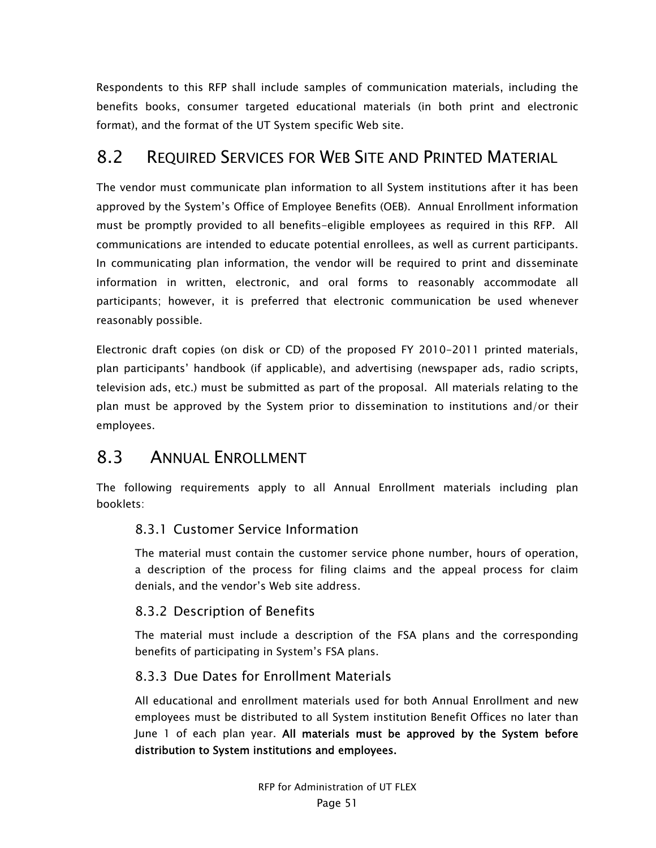Respondents to this RFP shall include samples of communication materials, including the benefits books, consumer targeted educational materials (in both print and electronic format), and the format of the UT System specific Web site.

## 8.2 REQUIRED SERVICES FOR WEB SITE AND PRINTED MATERIAL

The vendor must communicate plan information to all System institutions after it has been approved by the System's Office of Employee Benefits (OEB). Annual Enrollment information must be promptly provided to all benefits-eligible employees as required in this RFP. All communications are intended to educate potential enrollees, as well as current participants. In communicating plan information, the vendor will be required to print and disseminate information in written, electronic, and oral forms to reasonably accommodate all participants; however, it is preferred that electronic communication be used whenever reasonably possible.

Electronic draft copies (on disk or CD) of the proposed FY 2010-2011 printed materials, plan participants' handbook (if applicable), and advertising (newspaper ads, radio scripts, television ads, etc.) must be submitted as part of the proposal. All materials relating to the plan must be approved by the System prior to dissemination to institutions and/or their employees.

## 8.3 ANNUAL ENROLLMENT

The following requirements apply to all Annual Enrollment materials including plan booklets:

#### 8.3.1 Customer Service Information

The material must contain the customer service phone number, hours of operation, a description of the process for filing claims and the appeal process for claim denials, and the vendor's Web site address.

#### 8.3.2 Description of Benefits

The material must include a description of the FSA plans and the corresponding benefits of participating in System's FSA plans.

#### 8.3.3 Due Dates for Enrollment Materials

All educational and enrollment materials used for both Annual Enrollment and new employees must be distributed to all System institution Benefit Offices no later than June 1 of each plan year. All materials must be approved by the System before distribution to System institutions and employees.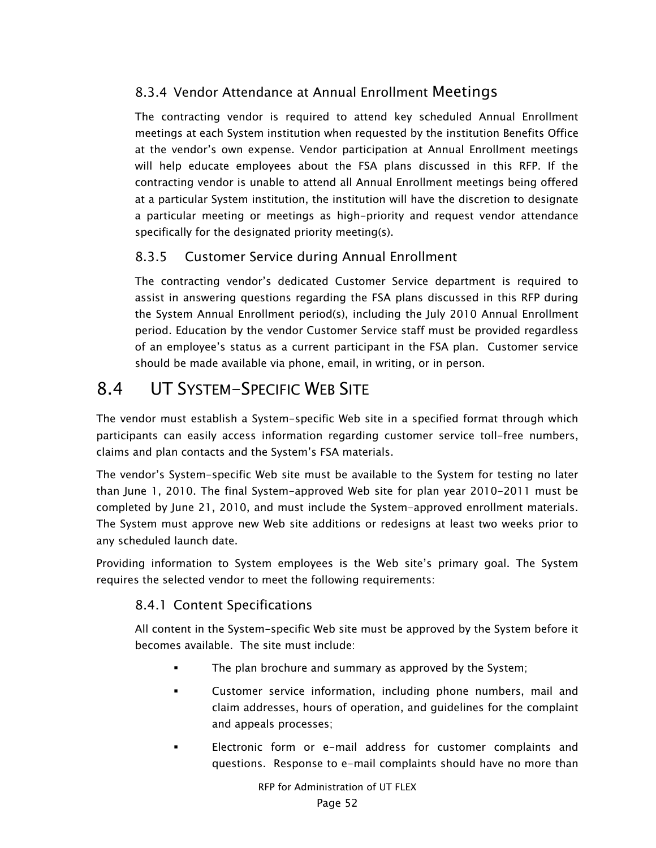## 8.3.4 Vendor Attendance at Annual Enrollment Meetings

The contracting vendor is required to attend key scheduled Annual Enrollment meetings at each System institution when requested by the institution Benefits Office at the vendor's own expense. Vendor participation at Annual Enrollment meetings will help educate employees about the FSA plans discussed in this RFP. If the contracting vendor is unable to attend all Annual Enrollment meetings being offered at a particular System institution, the institution will have the discretion to designate a particular meeting or meetings as high-priority and request vendor attendance specifically for the designated priority meeting(s).

#### 8.3.5 Customer Service during Annual Enrollment

The contracting vendor's dedicated Customer Service department is required to assist in answering questions regarding the FSA plans discussed in this RFP during the System Annual Enrollment period(s), including the July 2010 Annual Enrollment period. Education by the vendor Customer Service staff must be provided regardless of an employee's status as a current participant in the FSA plan. Customer service should be made available via phone, email, in writing, or in person.

# 8.4 UT SYSTEM-SPECIFIC WEB SITE

The vendor must establish a System-specific Web site in a specified format through which participants can easily access information regarding customer service toll-free numbers, claims and plan contacts and the System's FSA materials.

The vendor's System-specific Web site must be available to the System for testing no later than June 1, 2010. The final System-approved Web site for plan year 2010-2011 must be completed by June 21, 2010, and must include the System-approved enrollment materials. The System must approve new Web site additions or redesigns at least two weeks prior to any scheduled launch date.

Providing information to System employees is the Web site's primary goal. The System requires the selected vendor to meet the following requirements:

#### 8.4.1 Content Specifications

All content in the System-specific Web site must be approved by the System before it becomes available. The site must include:

- The plan brochure and summary as approved by the System;
- Customer service information, including phone numbers, mail and claim addresses, hours of operation, and guidelines for the complaint and appeals processes;
- Electronic form or e-mail address for customer complaints and questions. Response to e-mail complaints should have no more than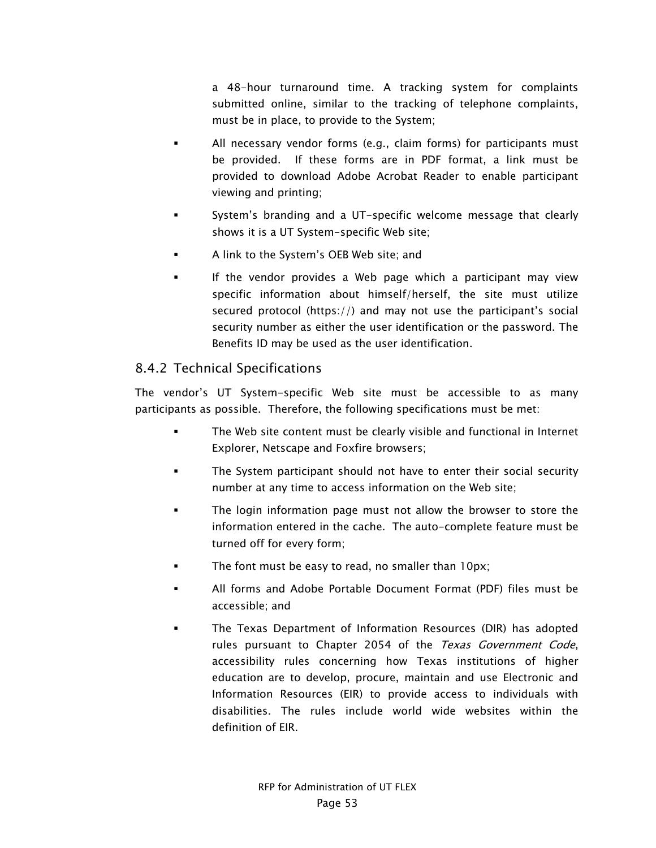a 48-hour turnaround time. A tracking system for complaints submitted online, similar to the tracking of telephone complaints, must be in place, to provide to the System;

- All necessary vendor forms (e.g., claim forms) for participants must be provided. If these forms are in PDF format, a link must be provided to download Adobe Acrobat Reader to enable participant viewing and printing;
- System's branding and a UT-specific welcome message that clearly shows it is a UT System-specific Web site;
- A link to the System's OEB Web site; and
- If the vendor provides a Web page which a participant may view specific information about himself/herself, the site must utilize secured protocol (https://) and may not use the participant's social security number as either the user identification or the password. The Benefits ID may be used as the user identification.

#### 8.4.2 Technical Specifications

The vendor's UT System-specific Web site must be accessible to as many participants as possible. Therefore, the following specifications must be met:

- The Web site content must be clearly visible and functional in Internet Explorer, Netscape and Foxfire browsers;
- The System participant should not have to enter their social security number at any time to access information on the Web site;
- The login information page must not allow the browser to store the information entered in the cache. The auto-complete feature must be turned off for every form;
- The font must be easy to read, no smaller than 10px;
- All forms and Adobe Portable Document Format (PDF) files must be accessible; and
- The Texas Department of Information Resources (DIR) has adopted rules pursuant to Chapter 2054 of the Texas Government Code, accessibility rules concerning how Texas institutions of higher education are to develop, procure, maintain and use Electronic and Information Resources (EIR) to provide access to individuals with disabilities. The rules include world wide websites within the definition of EIR.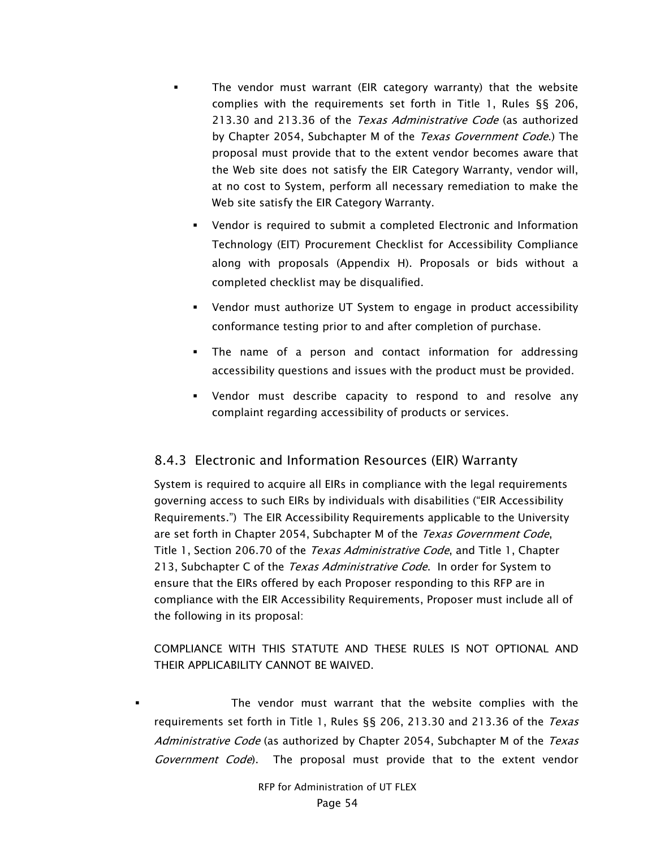- The vendor must warrant (EIR category warranty) that the website complies with the requirements set forth in Title 1, Rules §§ 206, 213.30 and 213.36 of the Texas Administrative Code (as authorized by Chapter 2054, Subchapter M of the Texas Government Code.) The proposal must provide that to the extent vendor becomes aware that the Web site does not satisfy the EIR Category Warranty, vendor will, at no cost to System, perform all necessary remediation to make the Web site satisfy the EIR Category Warranty.
	- Vendor is required to submit a completed Electronic and Information Technology (EIT) Procurement Checklist for Accessibility Compliance along with proposals (Appendix H). Proposals or bids without a completed checklist may be disqualified.
	- Vendor must authorize UT System to engage in product accessibility conformance testing prior to and after completion of purchase.
	- The name of a person and contact information for addressing accessibility questions and issues with the product must be provided.
	- Vendor must describe capacity to respond to and resolve any complaint regarding accessibility of products or services.

#### 8.4.3 Electronic and Information Resources (EIR) Warranty

System is required to acquire all EIRs in compliance with the legal requirements governing access to such EIRs by individuals with disabilities ("EIR Accessibility Requirements.") The EIR Accessibility Requirements applicable to the University are set forth in Chapter 2054, Subchapter M of the Texas Government Code, Title 1, Section 206.70 of the *Texas Administrative Code*, and Title 1, Chapter 213, Subchapter C of the Texas Administrative Code. In order for System to ensure that the EIRs offered by each Proposer responding to this RFP are in compliance with the EIR Accessibility Requirements, Proposer must include all of the following in its proposal:

#### COMPLIANCE WITH THIS STATUTE AND THESE RULES IS NOT OPTIONAL AND THEIR APPLICABILITY CANNOT BE WAIVED.

 The vendor must warrant that the website complies with the requirements set forth in Title 1, Rules §§ 206, 213.30 and 213.36 of the Texas Administrative Code (as authorized by Chapter 2054, Subchapter M of the Texas Government Code). The proposal must provide that to the extent vendor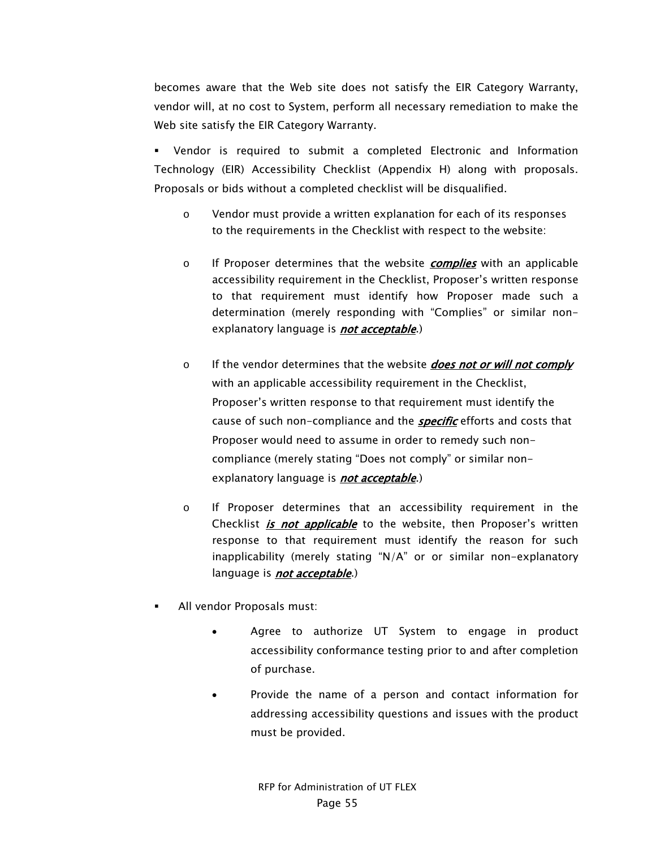becomes aware that the Web site does not satisfy the EIR Category Warranty, vendor will, at no cost to System, perform all necessary remediation to make the Web site satisfy the EIR Category Warranty.

 Vendor is required to submit a completed Electronic and Information Technology (EIR) Accessibility Checklist (Appendix H) along with proposals. Proposals or bids without a completed checklist will be disqualified.

- o Vendor must provide a written explanation for each of its responses to the requirements in the Checklist with respect to the website:
- o If Proposer determines that the website *complies* with an applicable accessibility requirement in the Checklist, Proposer's written response to that requirement must identify how Proposer made such a determination (merely responding with "Complies" or similar nonexplanatory language is **not acceptable**.)
- o If the vendor determines that the website **does not or will not comply** with an applicable accessibility requirement in the Checklist, Proposer's written response to that requirement must identify the cause of such non-compliance and the **specific** efforts and costs that Proposer would need to assume in order to remedy such noncompliance (merely stating "Does not comply" or similar nonexplanatory language is **not acceptable**.)
- o If Proposer determines that an accessibility requirement in the Checklist *is not applicable* to the website, then Proposer's written response to that requirement must identify the reason for such inapplicability (merely stating "N/A" or or similar non-explanatory language is **not acceptable**.)
- All vendor Proposals must:
	- Agree to authorize UT System to engage in product accessibility conformance testing prior to and after completion of purchase.
	- Provide the name of a person and contact information for addressing accessibility questions and issues with the product must be provided.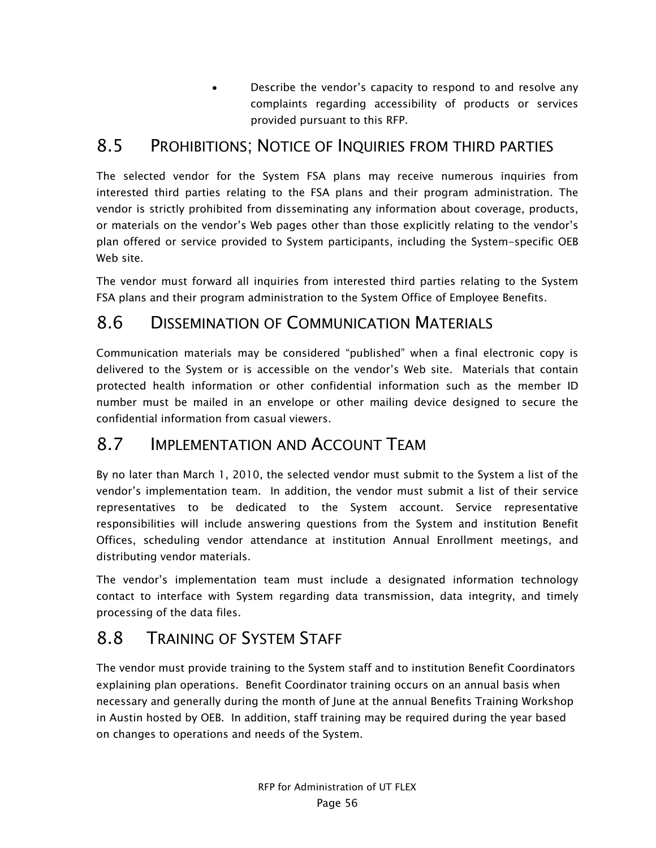• Describe the vendor's capacity to respond to and resolve any complaints regarding accessibility of products or services provided pursuant to this RFP.

# 8.5 PROHIBITIONS; NOTICE OF INQUIRIES FROM THIRD PARTIES

The selected vendor for the System FSA plans may receive numerous inquiries from interested third parties relating to the FSA plans and their program administration. The vendor is strictly prohibited from disseminating any information about coverage, products, or materials on the vendor's Web pages other than those explicitly relating to the vendor's plan offered or service provided to System participants, including the System-specific OEB Web site.

The vendor must forward all inquiries from interested third parties relating to the System FSA plans and their program administration to the System Office of Employee Benefits.

# 8.6 DISSEMINATION OF COMMUNICATION MATERIALS

Communication materials may be considered "published" when a final electronic copy is delivered to the System or is accessible on the vendor's Web site. Materials that contain protected health information or other confidential information such as the member ID number must be mailed in an envelope or other mailing device designed to secure the confidential information from casual viewers.

# 8.7 IMPLEMENTATION AND ACCOUNT TEAM

By no later than March 1, 2010, the selected vendor must submit to the System a list of the vendor's implementation team. In addition, the vendor must submit a list of their service representatives to be dedicated to the System account. Service representative responsibilities will include answering questions from the System and institution Benefit Offices, scheduling vendor attendance at institution Annual Enrollment meetings, and distributing vendor materials.

The vendor's implementation team must include a designated information technology contact to interface with System regarding data transmission, data integrity, and timely processing of the data files.

# 8.8 TRAINING OF SYSTEM STAFF

The vendor must provide training to the System staff and to institution Benefit Coordinators explaining plan operations. Benefit Coordinator training occurs on an annual basis when necessary and generally during the month of June at the annual Benefits Training Workshop in Austin hosted by OEB. In addition, staff training may be required during the year based on changes to operations and needs of the System.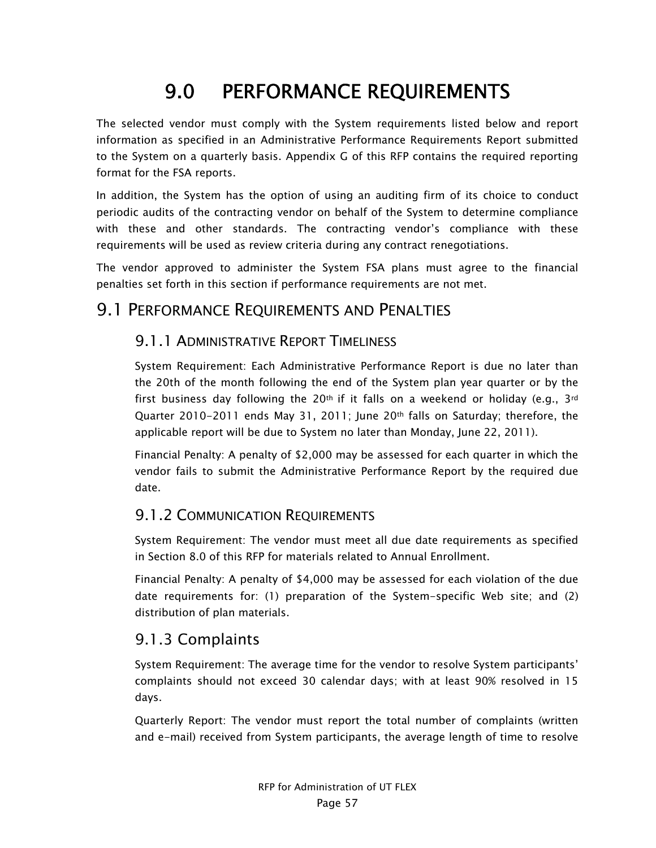# 9.0 PERFORMANCE REQUIREMENTS

The selected vendor must comply with the System requirements listed below and report information as specified in an Administrative Performance Requirements Report submitted to the System on a quarterly basis. Appendix G of this RFP contains the required reporting format for the FSA reports.

In addition, the System has the option of using an auditing firm of its choice to conduct periodic audits of the contracting vendor on behalf of the System to determine compliance with these and other standards. The contracting vendor's compliance with these requirements will be used as review criteria during any contract renegotiations.

The vendor approved to administer the System FSA plans must agree to the financial penalties set forth in this section if performance requirements are not met.

## 9.1 PERFORMANCE REQUIREMENTS AND PENALTIES

## 9.1.1 ADMINISTRATIVE REPORT TIMELINESS

System Requirement: Each Administrative Performance Report is due no later than the 20th of the month following the end of the System plan year quarter or by the first business day following the 20<sup>th</sup> if it falls on a weekend or holiday (e.g.,  $3^{rd}$ Quarter 2010-2011 ends May 31, 2011; June 20th falls on Saturday; therefore, the applicable report will be due to System no later than Monday, June 22, 2011).

Financial Penalty: A penalty of \$2,000 may be assessed for each quarter in which the vendor fails to submit the Administrative Performance Report by the required due date.

#### 9.1.2 COMMUNICATION REQUIREMENTS

System Requirement: The vendor must meet all due date requirements as specified in Section 8.0 of this RFP for materials related to Annual Enrollment.

Financial Penalty: A penalty of \$4,000 may be assessed for each violation of the due date requirements for: (1) preparation of the System-specific Web site; and (2) distribution of plan materials.

## 9.1.3 Complaints

System Requirement: The average time for the vendor to resolve System participants' complaints should not exceed 30 calendar days; with at least 90% resolved in 15 days.

Quarterly Report: The vendor must report the total number of complaints (written and e-mail) received from System participants, the average length of time to resolve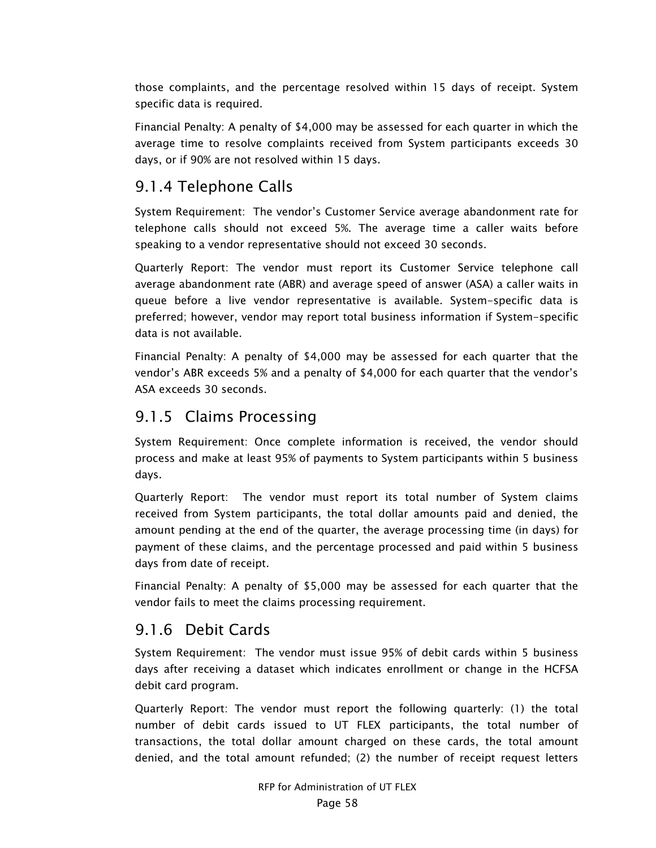those complaints, and the percentage resolved within 15 days of receipt. System specific data is required.

Financial Penalty: A penalty of \$4,000 may be assessed for each quarter in which the average time to resolve complaints received from System participants exceeds 30 days, or if 90% are not resolved within 15 days.

## 9.1.4 Telephone Calls

System Requirement: The vendor's Customer Service average abandonment rate for telephone calls should not exceed 5%. The average time a caller waits before speaking to a vendor representative should not exceed 30 seconds.

Quarterly Report: The vendor must report its Customer Service telephone call average abandonment rate (ABR) and average speed of answer (ASA) a caller waits in queue before a live vendor representative is available. System-specific data is preferred; however, vendor may report total business information if System-specific data is not available.

Financial Penalty: A penalty of \$4,000 may be assessed for each quarter that the vendor's ABR exceeds 5% and a penalty of \$4,000 for each quarter that the vendor's ASA exceeds 30 seconds.

## 9.1.5 Claims Processing

System Requirement: Once complete information is received, the vendor should process and make at least 95% of payments to System participants within 5 business days.

Quarterly Report: The vendor must report its total number of System claims received from System participants, the total dollar amounts paid and denied, the amount pending at the end of the quarter, the average processing time (in days) for payment of these claims, and the percentage processed and paid within 5 business days from date of receipt.

Financial Penalty: A penalty of \$5,000 may be assessed for each quarter that the vendor fails to meet the claims processing requirement.

## 9.1.6 Debit Cards

System Requirement: The vendor must issue 95% of debit cards within 5 business days after receiving a dataset which indicates enrollment or change in the HCFSA debit card program.

Quarterly Report: The vendor must report the following quarterly: (1) the total number of debit cards issued to UT FLEX participants, the total number of transactions, the total dollar amount charged on these cards, the total amount denied, and the total amount refunded; (2) the number of receipt request letters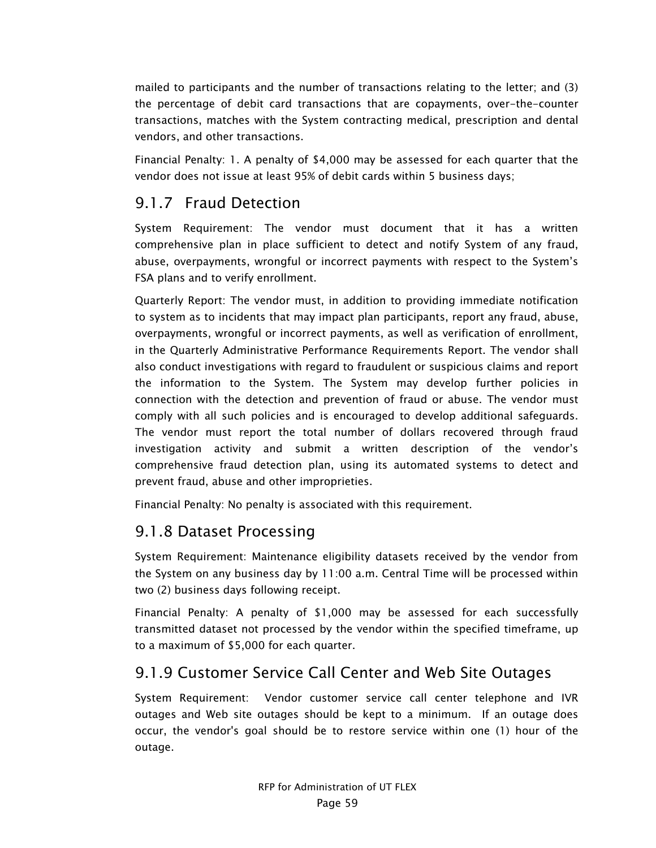mailed to participants and the number of transactions relating to the letter; and (3) the percentage of debit card transactions that are copayments, over-the-counter transactions, matches with the System contracting medical, prescription and dental vendors, and other transactions.

Financial Penalty: 1. A penalty of \$4,000 may be assessed for each quarter that the vendor does not issue at least 95% of debit cards within 5 business days;

### 9.1.7 Fraud Detection

System Requirement: The vendor must document that it has a written comprehensive plan in place sufficient to detect and notify System of any fraud, abuse, overpayments, wrongful or incorrect payments with respect to the System's FSA plans and to verify enrollment.

Quarterly Report: The vendor must, in addition to providing immediate notification to system as to incidents that may impact plan participants, report any fraud, abuse, overpayments, wrongful or incorrect payments, as well as verification of enrollment, in the Quarterly Administrative Performance Requirements Report. The vendor shall also conduct investigations with regard to fraudulent or suspicious claims and report the information to the System. The System may develop further policies in connection with the detection and prevention of fraud or abuse. The vendor must comply with all such policies and is encouraged to develop additional safeguards. The vendor must report the total number of dollars recovered through fraud investigation activity and submit a written description of the vendor's comprehensive fraud detection plan, using its automated systems to detect and prevent fraud, abuse and other improprieties.

Financial Penalty: No penalty is associated with this requirement.

#### 9.1.8 Dataset Processing

System Requirement: Maintenance eligibility datasets received by the vendor from the System on any business day by 11:00 a.m. Central Time will be processed within two (2) business days following receipt.

Financial Penalty: A penalty of \$1,000 may be assessed for each successfully transmitted dataset not processed by the vendor within the specified timeframe, up to a maximum of \$5,000 for each quarter.

## 9.1.9 Customer Service Call Center and Web Site Outages

System Requirement: Vendor customer service call center telephone and IVR outages and Web site outages should be kept to a minimum. If an outage does occur, the vendor's goal should be to restore service within one (1) hour of the outage.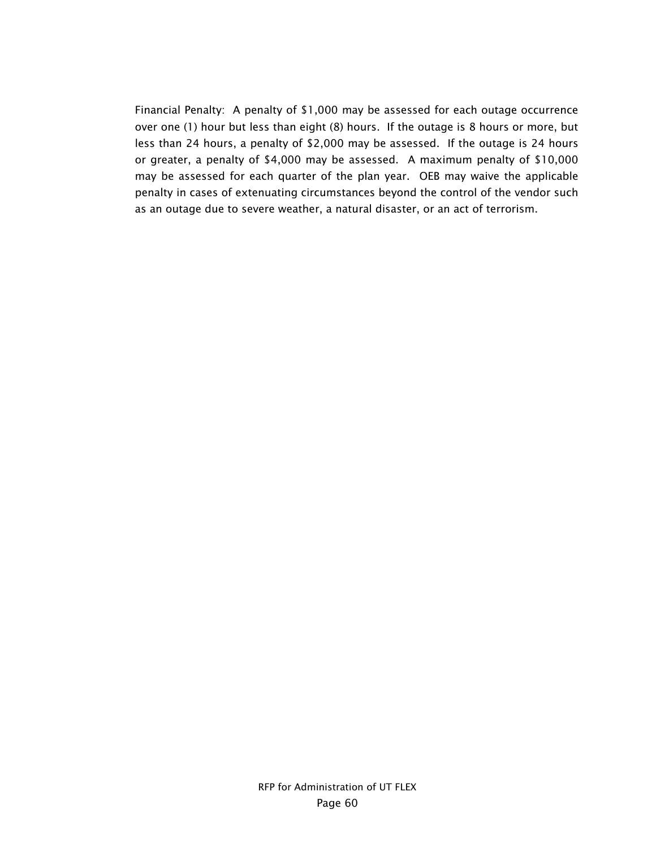Financial Penalty: A penalty of \$1,000 may be assessed for each outage occurrence over one (1) hour but less than eight (8) hours. If the outage is 8 hours or more, but less than 24 hours, a penalty of \$2,000 may be assessed. If the outage is 24 hours or greater, a penalty of \$4,000 may be assessed. A maximum penalty of \$10,000 may be assessed for each quarter of the plan year. OEB may waive the applicable penalty in cases of extenuating circumstances beyond the control of the vendor such as an outage due to severe weather, a natural disaster, or an act of terrorism.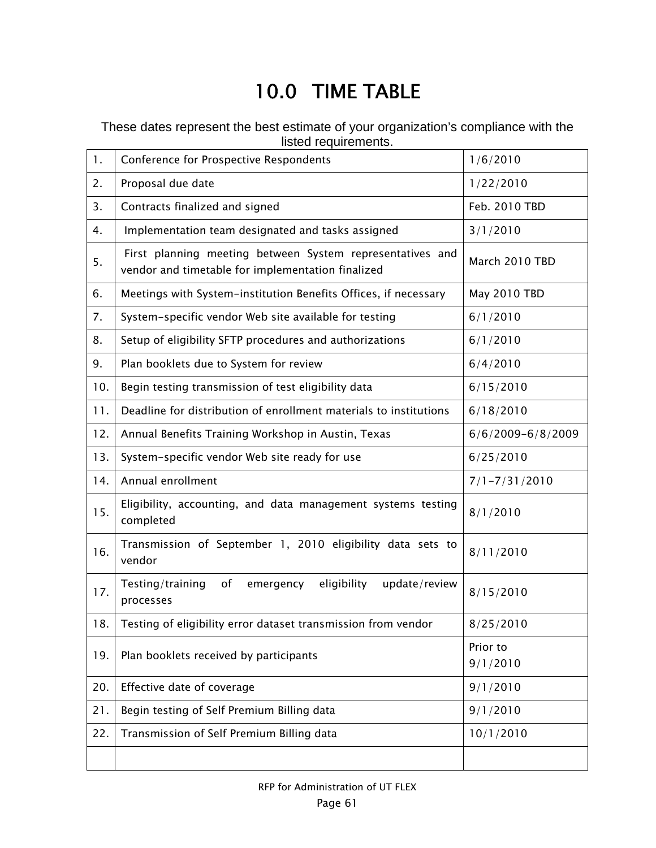# 10.0 TIME TABLE

These dates represent the best estimate of your organization's compliance with the listed requirements.

| 1.  | Conference for Prospective Respondents                                                                         | 1/6/2010              |
|-----|----------------------------------------------------------------------------------------------------------------|-----------------------|
| 2.  | Proposal due date                                                                                              | 1/22/2010             |
| 3.  | Contracts finalized and signed                                                                                 | Feb. 2010 TBD         |
| 4.  | Implementation team designated and tasks assigned                                                              | 3/1/2010              |
| 5.  | First planning meeting between System representatives and<br>vendor and timetable for implementation finalized | March 2010 TBD        |
| 6.  | Meetings with System-institution Benefits Offices, if necessary                                                | May 2010 TBD          |
| 7.  | System-specific vendor Web site available for testing                                                          | 6/1/2010              |
| 8.  | Setup of eligibility SFTP procedures and authorizations                                                        | 6/1/2010              |
| 9.  | Plan booklets due to System for review                                                                         | 6/4/2010              |
| 10. | Begin testing transmission of test eligibility data                                                            | 6/15/2010             |
| 11. | Deadline for distribution of enrollment materials to institutions                                              | 6/18/2010             |
| 12. | Annual Benefits Training Workshop in Austin, Texas                                                             | $6/6/2009 - 6/8/2009$ |
| 13. | System-specific vendor Web site ready for use                                                                  | 6/25/2010             |
| 14. | Annual enrollment                                                                                              | $7/1 - 7/31/2010$     |
| 15. | Eligibility, accounting, and data management systems testing<br>completed                                      | 8/1/2010              |
| 16. | Transmission of September 1, 2010 eligibility data sets to<br>vendor                                           | 8/11/2010             |
| 17. | of<br>eligibility<br>Testing/training<br>emergency<br>update/review<br>processes                               | 8/15/2010             |
| 18. | Testing of eligibility error dataset transmission from vendor                                                  | 8/25/2010             |
| 19. | Plan booklets received by participants                                                                         | Prior to<br>9/1/2010  |
| 20. | Effective date of coverage                                                                                     | 9/1/2010              |
| 21. | Begin testing of Self Premium Billing data                                                                     | 9/1/2010              |
| 22. | Transmission of Self Premium Billing data                                                                      | 10/1/2010             |
|     |                                                                                                                |                       |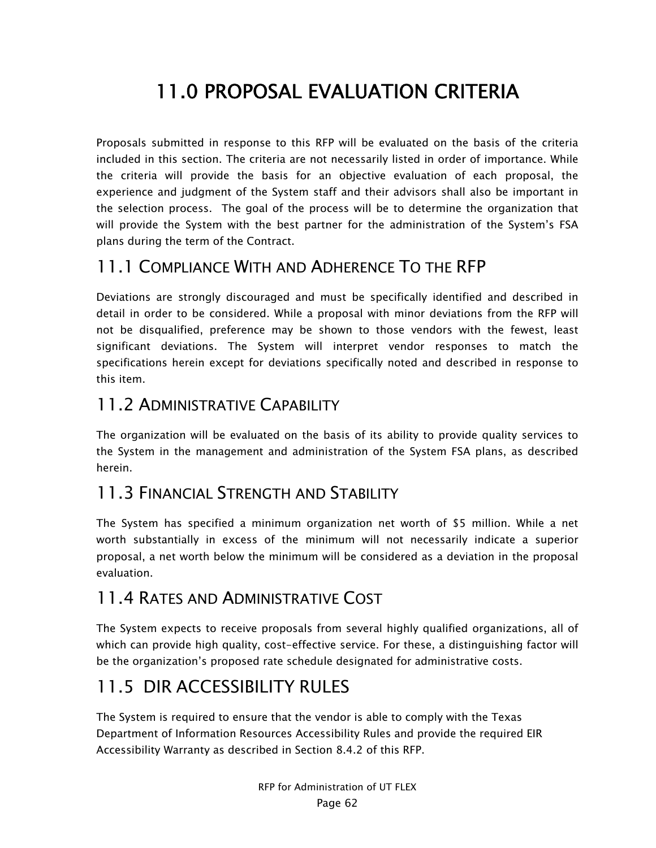# 11.0 PROPOSAL EVALUATION CRITERIA

Proposals submitted in response to this RFP will be evaluated on the basis of the criteria included in this section. The criteria are not necessarily listed in order of importance. While the criteria will provide the basis for an objective evaluation of each proposal, the experience and judgment of the System staff and their advisors shall also be important in the selection process. The goal of the process will be to determine the organization that will provide the System with the best partner for the administration of the System's FSA plans during the term of the Contract.

# 11.1 COMPLIANCE WITH AND ADHERENCE TO THE RFP

Deviations are strongly discouraged and must be specifically identified and described in detail in order to be considered. While a proposal with minor deviations from the RFP will not be disqualified, preference may be shown to those vendors with the fewest, least significant deviations. The System will interpret vendor responses to match the specifications herein except for deviations specifically noted and described in response to this item.

## 11.2 ADMINISTRATIVE CAPABILITY

The organization will be evaluated on the basis of its ability to provide quality services to the System in the management and administration of the System FSA plans, as described herein.

# 11.3 FINANCIAL STRENGTH AND STABILITY

The System has specified a minimum organization net worth of \$5 million. While a net worth substantially in excess of the minimum will not necessarily indicate a superior proposal, a net worth below the minimum will be considered as a deviation in the proposal evaluation.

# 11.4 RATES AND ADMINISTRATIVE COST

The System expects to receive proposals from several highly qualified organizations, all of which can provide high quality, cost-effective service. For these, a distinguishing factor will be the organization's proposed rate schedule designated for administrative costs.

# 11.5 DIR ACCESSIBILITY RULES

The System is required to ensure that the vendor is able to comply with the Texas Department of Information Resources Accessibility Rules and provide the required EIR Accessibility Warranty as described in Section 8.4.2 of this RFP.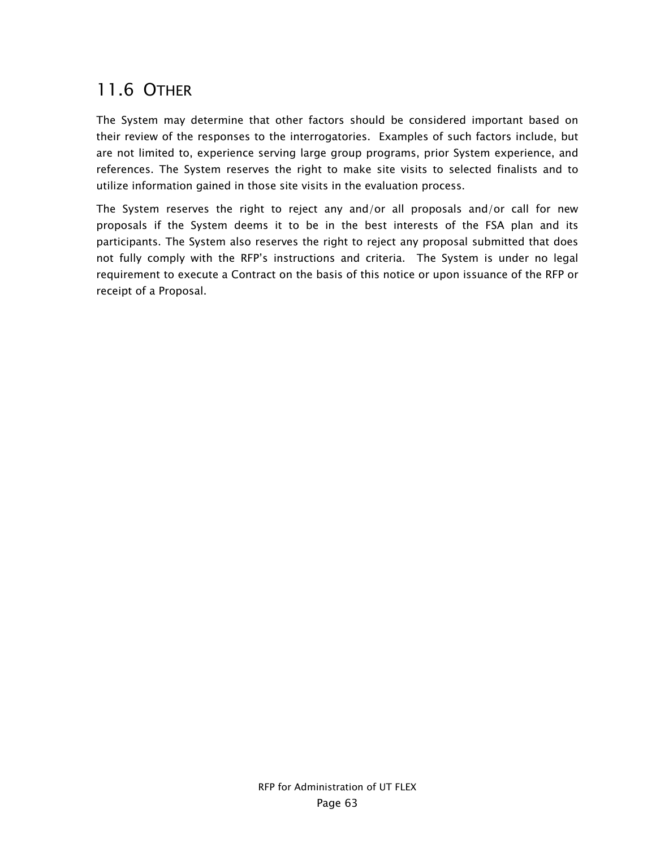# 11.6 OTHER

The System may determine that other factors should be considered important based on their review of the responses to the interrogatories. Examples of such factors include, but are not limited to, experience serving large group programs, prior System experience, and references. The System reserves the right to make site visits to selected finalists and to utilize information gained in those site visits in the evaluation process.

The System reserves the right to reject any and/or all proposals and/or call for new proposals if the System deems it to be in the best interests of the FSA plan and its participants. The System also reserves the right to reject any proposal submitted that does not fully comply with the RFP's instructions and criteria. The System is under no legal requirement to execute a Contract on the basis of this notice or upon issuance of the RFP or receipt of a Proposal.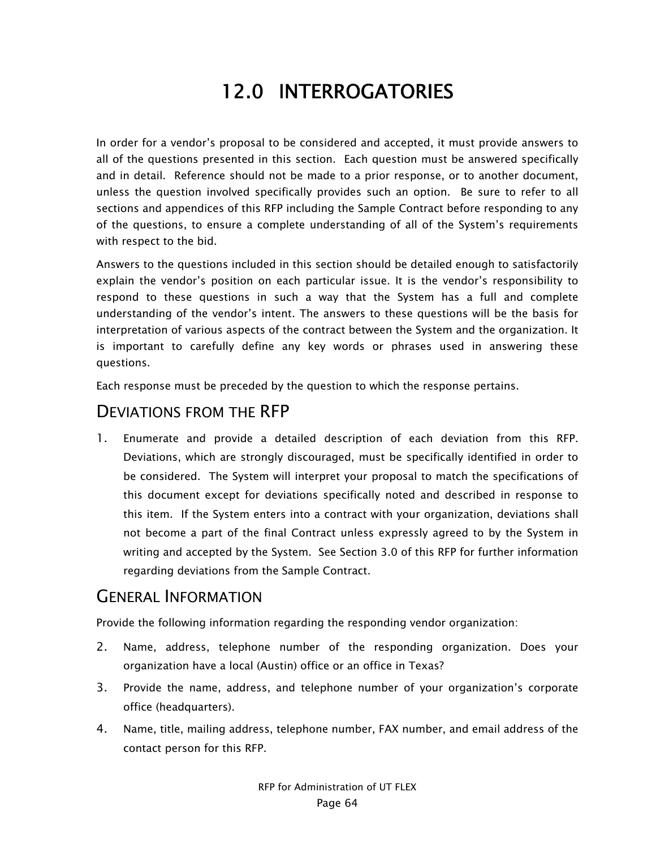# 12.0 INTERROGATORIES

In order for a vendor's proposal to be considered and accepted, it must provide answers to all of the questions presented in this section. Each question must be answered specifically and in detail. Reference should not be made to a prior response, or to another document, unless the question involved specifically provides such an option. Be sure to refer to all sections and appendices of this RFP including the Sample Contract before responding to any of the questions, to ensure a complete understanding of all of the System's requirements with respect to the bid.

Answers to the questions included in this section should be detailed enough to satisfactorily explain the vendor's position on each particular issue. It is the vendor's responsibility to respond to these questions in such a way that the System has a full and complete understanding of the vendor's intent. The answers to these questions will be the basis for interpretation of various aspects of the contract between the System and the organization. It is important to carefully define any key words or phrases used in answering these questions.

Each response must be preceded by the question to which the response pertains.

## DEVIATIONS FROM THE RFP

1. Enumerate and provide a detailed description of each deviation from this RFP. Deviations, which are strongly discouraged, must be specifically identified in order to be considered. The System will interpret your proposal to match the specifications of this document except for deviations specifically noted and described in response to this item. If the System enters into a contract with your organization, deviations shall not become a part of the final Contract unless expressly agreed to by the System in writing and accepted by the System. See Section 3.0 of this RFP for further information regarding deviations from the Sample Contract.

## GENERAL INFORMATION

Provide the following information regarding the responding vendor organization:

- 2. Name, address, telephone number of the responding organization. Does your organization have a local (Austin) office or an office in Texas?
- 3. Provide the name, address, and telephone number of your organization's corporate office (headquarters).
- 4. Name, title, mailing address, telephone number, FAX number, and email address of the contact person for this RFP.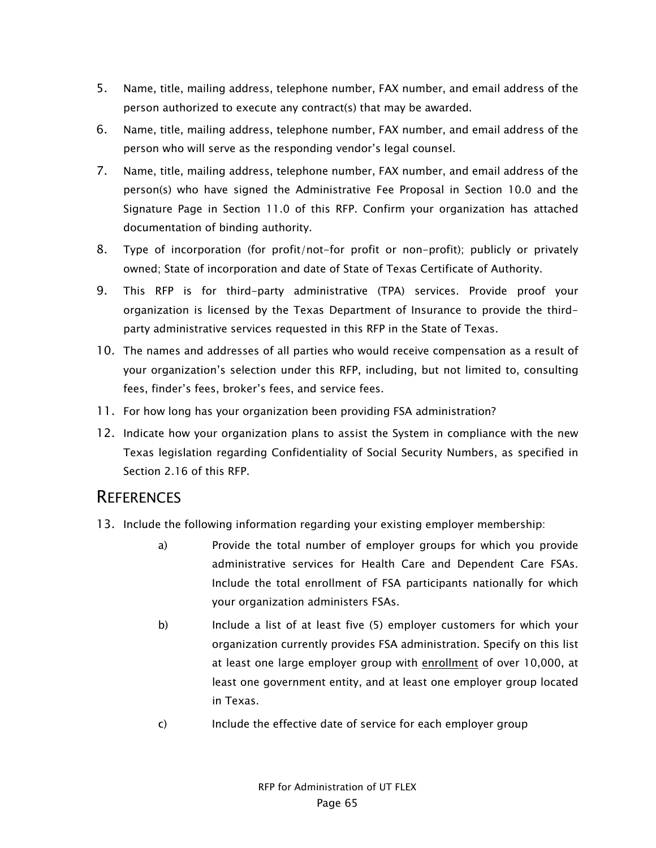- 5. Name, title, mailing address, telephone number, FAX number, and email address of the person authorized to execute any contract(s) that may be awarded.
- 6. Name, title, mailing address, telephone number, FAX number, and email address of the person who will serve as the responding vendor's legal counsel.
- 7. Name, title, mailing address, telephone number, FAX number, and email address of the person(s) who have signed the Administrative Fee Proposal in Section 10.0 and the Signature Page in Section 11.0 of this RFP. Confirm your organization has attached documentation of binding authority.
- 8. Type of incorporation (for profit/not-for profit or non-profit); publicly or privately owned; State of incorporation and date of State of Texas Certificate of Authority.
- 9. This RFP is for third-party administrative (TPA) services. Provide proof your organization is licensed by the Texas Department of Insurance to provide the thirdparty administrative services requested in this RFP in the State of Texas.
- 10. The names and addresses of all parties who would receive compensation as a result of your organization's selection under this RFP, including, but not limited to, consulting fees, finder's fees, broker's fees, and service fees.
- 11. For how long has your organization been providing FSA administration?
- 12. Indicate how your organization plans to assist the System in compliance with the new Texas legislation regarding Confidentiality of Social Security Numbers, as specified in Section 2.16 of this RFP.

#### **REFERENCES**

- 13. Include the following information regarding your existing employer membership:
	- a) Provide the total number of employer groups for which you provide administrative services for Health Care and Dependent Care FSAs. Include the total enrollment of FSA participants nationally for which your organization administers FSAs.
	- b) Include a list of at least five (5) employer customers for which your organization currently provides FSA administration. Specify on this list at least one large employer group with enrollment of over 10,000, at least one government entity, and at least one employer group located in Texas.
	- c) Include the effective date of service for each employer group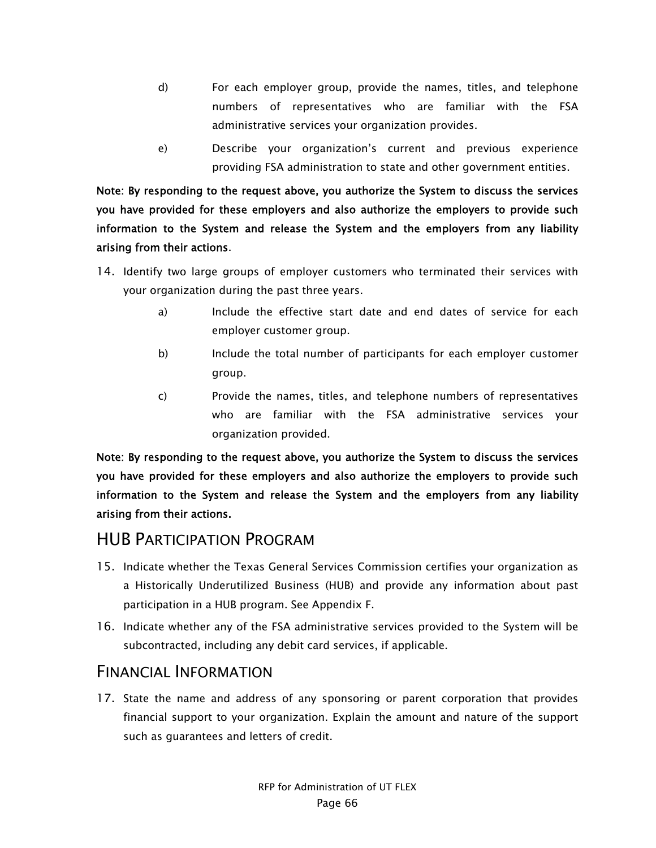- d) For each employer group, provide the names, titles, and telephone numbers of representatives who are familiar with the FSA administrative services your organization provides.
- e) Describe your organization's current and previous experience providing FSA administration to state and other government entities.

Note: By responding to the request above, you authorize the System to discuss the services you have provided for these employers and also authorize the employers to provide such information to the System and release the System and the employers from any liability arising from their actions.

- 14. Identify two large groups of employer customers who terminated their services with your organization during the past three years.
	- a) Include the effective start date and end dates of service for each employer customer group.
	- b) Include the total number of participants for each employer customer group.
	- c) Provide the names, titles, and telephone numbers of representatives who are familiar with the FSA administrative services your organization provided.

Note: By responding to the request above, you authorize the System to discuss the services you have provided for these employers and also authorize the employers to provide such information to the System and release the System and the employers from any liability arising from their actions.

## HUB PARTICIPATION PROGRAM

- 15. Indicate whether the Texas General Services Commission certifies your organization as a Historically Underutilized Business (HUB) and provide any information about past participation in a HUB program. See Appendix F.
- 16. Indicate whether any of the FSA administrative services provided to the System will be subcontracted, including any debit card services, if applicable.

## FINANCIAL INFORMATION

17. State the name and address of any sponsoring or parent corporation that provides financial support to your organization. Explain the amount and nature of the support such as guarantees and letters of credit.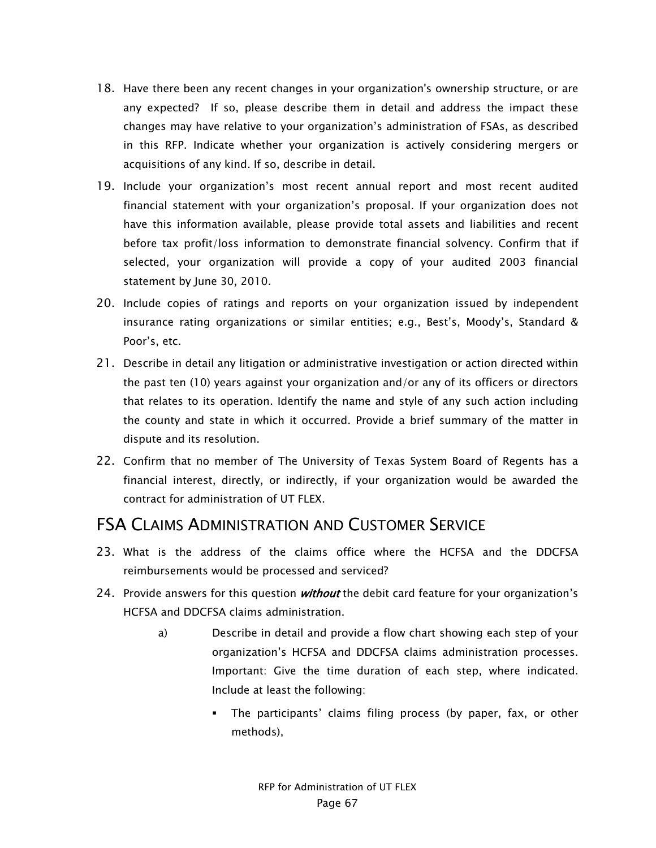- 18. Have there been any recent changes in your organization's ownership structure, or are any expected? If so, please describe them in detail and address the impact these changes may have relative to your organization's administration of FSAs, as described in this RFP. Indicate whether your organization is actively considering mergers or acquisitions of any kind. If so, describe in detail.
- 19. Include your organization's most recent annual report and most recent audited financial statement with your organization's proposal. If your organization does not have this information available, please provide total assets and liabilities and recent before tax profit/loss information to demonstrate financial solvency. Confirm that if selected, your organization will provide a copy of your audited 2003 financial statement by June 30, 2010.
- 20. Include copies of ratings and reports on your organization issued by independent insurance rating organizations or similar entities; e.g., Best's, Moody's, Standard & Poor's, etc.
- 21. Describe in detail any litigation or administrative investigation or action directed within the past ten (10) years against your organization and/or any of its officers or directors that relates to its operation. Identify the name and style of any such action including the county and state in which it occurred. Provide a brief summary of the matter in dispute and its resolution.
- 22. Confirm that no member of The University of Texas System Board of Regents has a financial interest, directly, or indirectly, if your organization would be awarded the contract for administration of UT FLEX.

## FSA CLAIMS ADMINISTRATION AND CUSTOMER SERVICE

- 23. What is the address of the claims office where the HCFSA and the DDCFSA reimbursements would be processed and serviced?
- 24. Provide answers for this question *without* the debit card feature for your organization's HCFSA and DDCFSA claims administration.
	- a) Describe in detail and provide a flow chart showing each step of your organization's HCFSA and DDCFSA claims administration processes. Important: Give the time duration of each step, where indicated. Include at least the following:
		- The participants' claims filing process (by paper, fax, or other methods),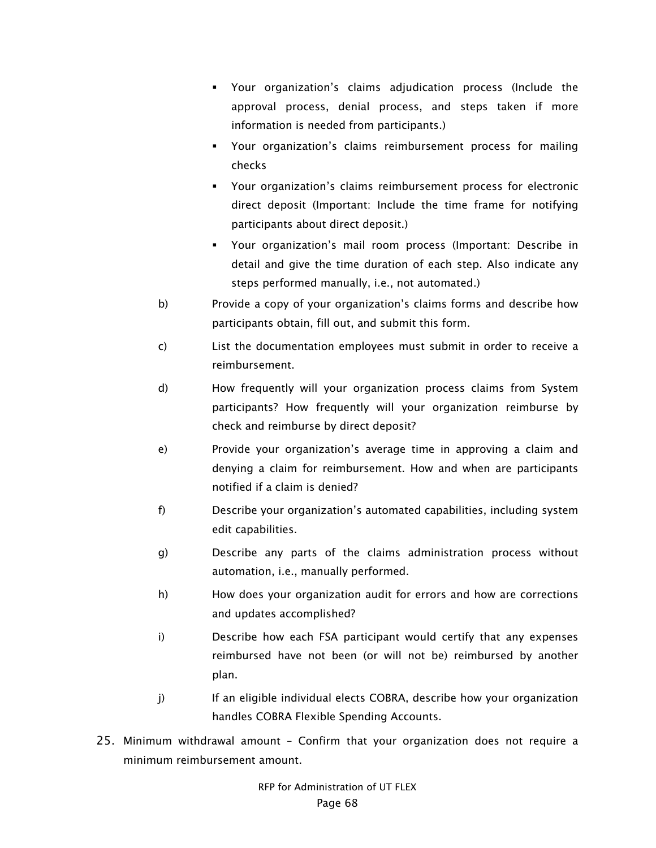- Your organization's claims adjudication process (Include the approval process, denial process, and steps taken if more information is needed from participants.)
- Your organization's claims reimbursement process for mailing checks
- Your organization's claims reimbursement process for electronic direct deposit (Important: Include the time frame for notifying participants about direct deposit.)
- Your organization's mail room process (Important: Describe in detail and give the time duration of each step. Also indicate any steps performed manually, i.e., not automated.)
- b) Provide a copy of your organization's claims forms and describe how participants obtain, fill out, and submit this form.
- c) List the documentation employees must submit in order to receive a reimbursement.
- d) How frequently will your organization process claims from System participants? How frequently will your organization reimburse by check and reimburse by direct deposit?
- e) Provide your organization's average time in approving a claim and denying a claim for reimbursement. How and when are participants notified if a claim is denied?
- f) Describe your organization's automated capabilities, including system edit capabilities.
- g) Describe any parts of the claims administration process without automation, i.e., manually performed.
- h) How does your organization audit for errors and how are corrections and updates accomplished?
- i) Describe how each FSA participant would certify that any expenses reimbursed have not been (or will not be) reimbursed by another plan.
- j) If an eligible individual elects COBRA, describe how your organization handles COBRA Flexible Spending Accounts.
- 25. Minimum withdrawal amount Confirm that your organization does not require a minimum reimbursement amount.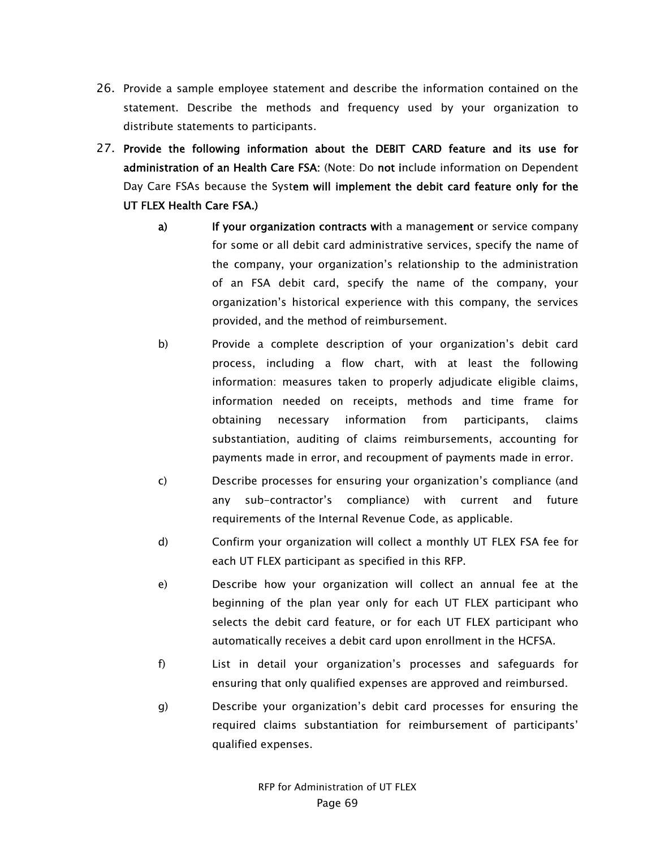- 26. Provide a sample employee statement and describe the information contained on the statement. Describe the methods and frequency used by your organization to distribute statements to participants.
- 27. Provide the following information about the DEBIT CARD feature and its use for administration of an Health Care FSA: (Note: Do not include information on Dependent Day Care FSAs because the System will implement the debit card feature only for the UT FLEX Health Care FSA.)
	- a) If your organization contracts with a management or service company for some or all debit card administrative services, specify the name of the company, your organization's relationship to the administration of an FSA debit card, specify the name of the company, your organization's historical experience with this company, the services provided, and the method of reimbursement.
	- b) Provide a complete description of your organization's debit card process, including a flow chart, with at least the following information: measures taken to properly adjudicate eligible claims, information needed on receipts, methods and time frame for obtaining necessary information from participants, claims substantiation, auditing of claims reimbursements, accounting for payments made in error, and recoupment of payments made in error.
	- c) Describe processes for ensuring your organization's compliance (and any sub-contractor's compliance) with current and future requirements of the Internal Revenue Code, as applicable.
	- d) Confirm your organization will collect a monthly UT FLEX FSA fee for each UT FLEX participant as specified in this RFP.
	- e) Describe how your organization will collect an annual fee at the beginning of the plan year only for each UT FLEX participant who selects the debit card feature, or for each UT FLEX participant who automatically receives a debit card upon enrollment in the HCFSA.
	- f) List in detail your organization's processes and safeguards for ensuring that only qualified expenses are approved and reimbursed.
	- g) Describe your organization's debit card processes for ensuring the required claims substantiation for reimbursement of participants' qualified expenses.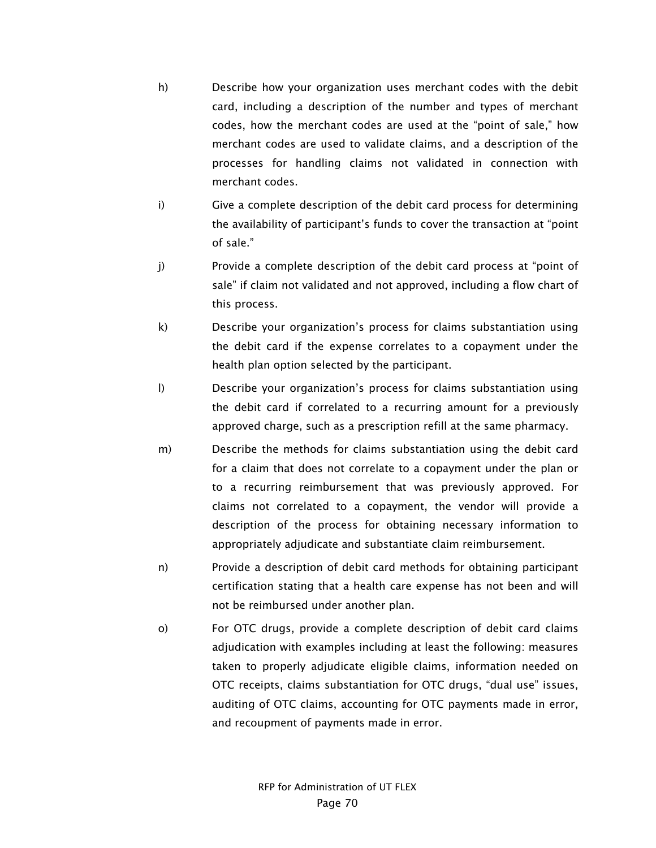- h) Describe how your organization uses merchant codes with the debit card, including a description of the number and types of merchant codes, how the merchant codes are used at the "point of sale," how merchant codes are used to validate claims, and a description of the processes for handling claims not validated in connection with merchant codes.
- i) Give a complete description of the debit card process for determining the availability of participant's funds to cover the transaction at "point of sale."
- j) Provide a complete description of the debit card process at "point of sale" if claim not validated and not approved, including a flow chart of this process.
- k) Describe your organization's process for claims substantiation using the debit card if the expense correlates to a copayment under the health plan option selected by the participant.
- l) Describe your organization's process for claims substantiation using the debit card if correlated to a recurring amount for a previously approved charge, such as a prescription refill at the same pharmacy.
- m) Describe the methods for claims substantiation using the debit card for a claim that does not correlate to a copayment under the plan or to a recurring reimbursement that was previously approved. For claims not correlated to a copayment, the vendor will provide a description of the process for obtaining necessary information to appropriately adjudicate and substantiate claim reimbursement.
- n) Provide a description of debit card methods for obtaining participant certification stating that a health care expense has not been and will not be reimbursed under another plan.
- o) For OTC drugs, provide a complete description of debit card claims adjudication with examples including at least the following: measures taken to properly adjudicate eligible claims, information needed on OTC receipts, claims substantiation for OTC drugs, "dual use" issues, auditing of OTC claims, accounting for OTC payments made in error, and recoupment of payments made in error.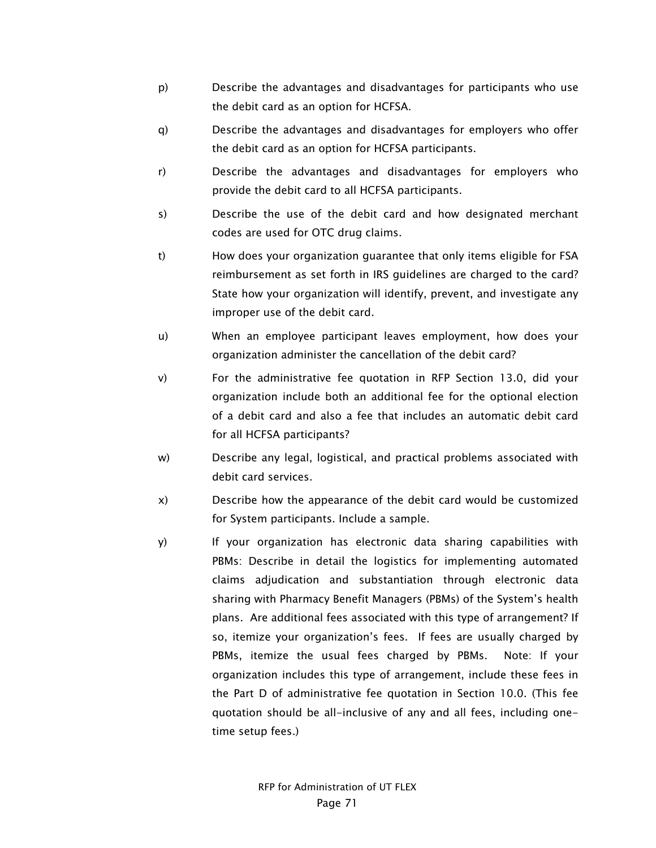- p) Describe the advantages and disadvantages for participants who use the debit card as an option for HCFSA.
- q) Describe the advantages and disadvantages for employers who offer the debit card as an option for HCFSA participants.
- r) Describe the advantages and disadvantages for employers who provide the debit card to all HCFSA participants.
- s) Describe the use of the debit card and how designated merchant codes are used for OTC drug claims.
- t) How does your organization guarantee that only items eligible for FSA reimbursement as set forth in IRS guidelines are charged to the card? State how your organization will identify, prevent, and investigate any improper use of the debit card.
- u) When an employee participant leaves employment, how does your organization administer the cancellation of the debit card?
- v) For the administrative fee quotation in RFP Section 13.0, did your organization include both an additional fee for the optional election of a debit card and also a fee that includes an automatic debit card for all HCFSA participants?
- w) Describe any legal, logistical, and practical problems associated with debit card services.
- x) Describe how the appearance of the debit card would be customized for System participants. Include a sample.
- y) If your organization has electronic data sharing capabilities with PBMs: Describe in detail the logistics for implementing automated claims adjudication and substantiation through electronic data sharing with Pharmacy Benefit Managers (PBMs) of the System's health plans. Are additional fees associated with this type of arrangement? If so, itemize your organization's fees. If fees are usually charged by PBMs, itemize the usual fees charged by PBMs. Note: If your organization includes this type of arrangement, include these fees in the Part D of administrative fee quotation in Section 10.0. (This fee quotation should be all-inclusive of any and all fees, including onetime setup fees.)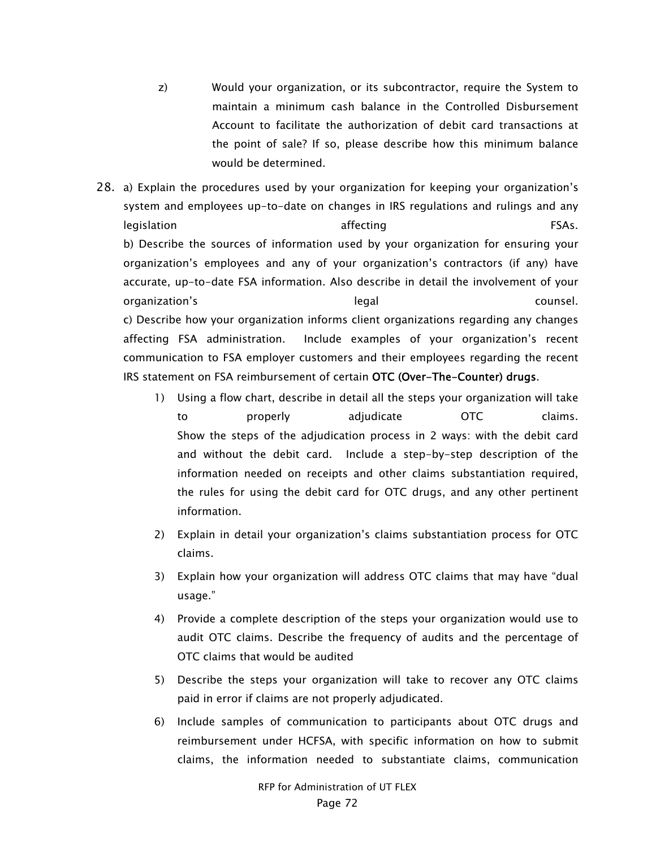- z) Would your organization, or its subcontractor, require the System to maintain a minimum cash balance in the Controlled Disbursement Account to facilitate the authorization of debit card transactions at the point of sale? If so, please describe how this minimum balance would be determined.
- 28. a) Explain the procedures used by your organization for keeping your organization's system and employees up-to-date on changes in IRS regulations and rulings and any legislation affecting the state of the state of  $\overline{F}$ b) Describe the sources of information used by your organization for ensuring your organization's employees and any of your organization's contractors (if any) have accurate, up-to-date FSA information. Also describe in detail the involvement of your organization's legal counsel. c) Describe how your organization informs client organizations regarding any changes affecting FSA administration. Include examples of your organization's recent communication to FSA employer customers and their employees regarding the recent IRS statement on FSA reimbursement of certain OTC (Over-The-Counter) drugs.
	- 1) Using a flow chart, describe in detail all the steps your organization will take to properly adjudicate OTC claims. Show the steps of the adjudication process in 2 ways: with the debit card and without the debit card. Include a step-by-step description of the information needed on receipts and other claims substantiation required, the rules for using the debit card for OTC drugs, and any other pertinent information.
	- 2) Explain in detail your organization's claims substantiation process for OTC claims.
	- 3) Explain how your organization will address OTC claims that may have "dual usage."
	- 4) Provide a complete description of the steps your organization would use to audit OTC claims. Describe the frequency of audits and the percentage of OTC claims that would be audited
	- 5) Describe the steps your organization will take to recover any OTC claims paid in error if claims are not properly adjudicated.
	- 6) Include samples of communication to participants about OTC drugs and reimbursement under HCFSA, with specific information on how to submit claims, the information needed to substantiate claims, communication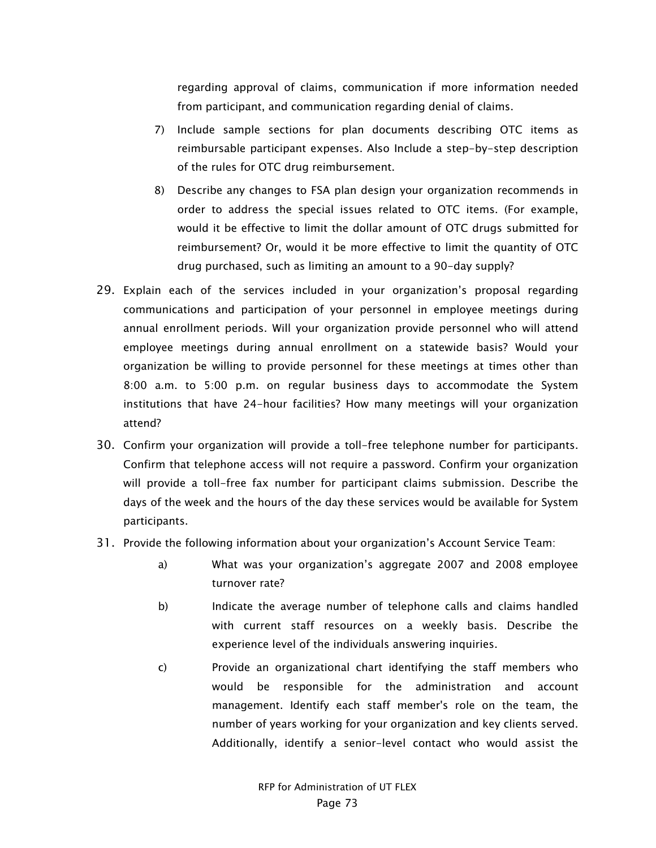regarding approval of claims, communication if more information needed from participant, and communication regarding denial of claims.

- 7) Include sample sections for plan documents describing OTC items as reimbursable participant expenses. Also Include a step-by-step description of the rules for OTC drug reimbursement.
- 8) Describe any changes to FSA plan design your organization recommends in order to address the special issues related to OTC items. (For example, would it be effective to limit the dollar amount of OTC drugs submitted for reimbursement? Or, would it be more effective to limit the quantity of OTC drug purchased, such as limiting an amount to a 90-day supply?
- 29. Explain each of the services included in your organization's proposal regarding communications and participation of your personnel in employee meetings during annual enrollment periods. Will your organization provide personnel who will attend employee meetings during annual enrollment on a statewide basis? Would your organization be willing to provide personnel for these meetings at times other than 8:00 a.m. to 5:00 p.m. on regular business days to accommodate the System institutions that have 24-hour facilities? How many meetings will your organization attend?
- 30. Confirm your organization will provide a toll-free telephone number for participants. Confirm that telephone access will not require a password. Confirm your organization will provide a toll-free fax number for participant claims submission. Describe the days of the week and the hours of the day these services would be available for System participants.
- 31. Provide the following information about your organization's Account Service Team:
	- a) What was your organization's aggregate 2007 and 2008 employee turnover rate?
	- b) Indicate the average number of telephone calls and claims handled with current staff resources on a weekly basis. Describe the experience level of the individuals answering inquiries.
	- c) Provide an organizational chart identifying the staff members who would be responsible for the administration and account management. Identify each staff member's role on the team, the number of years working for your organization and key clients served. Additionally, identify a senior-level contact who would assist the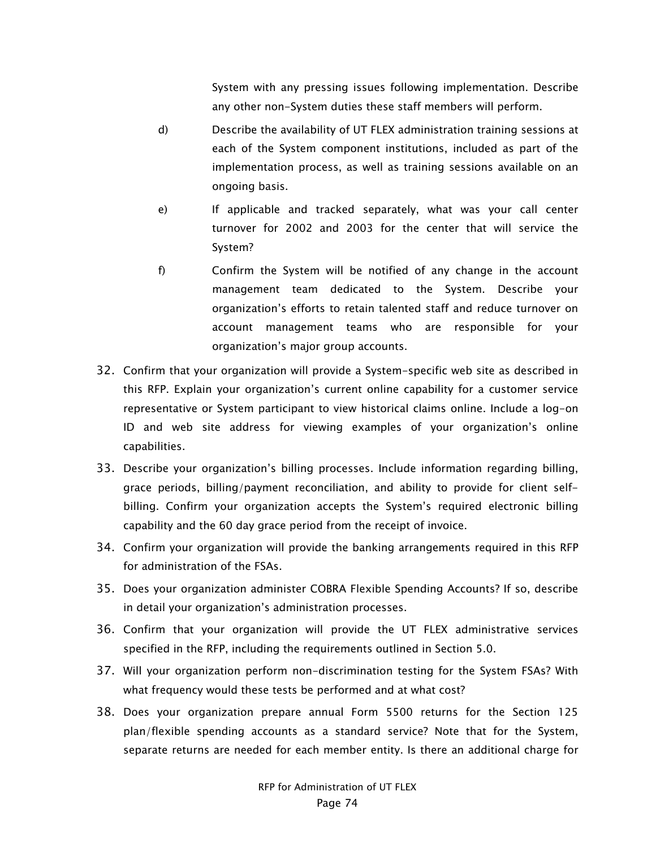System with any pressing issues following implementation. Describe any other non-System duties these staff members will perform.

- d) Describe the availability of UT FLEX administration training sessions at each of the System component institutions, included as part of the implementation process, as well as training sessions available on an ongoing basis.
- e) If applicable and tracked separately, what was your call center turnover for 2002 and 2003 for the center that will service the System?
- f) Confirm the System will be notified of any change in the account management team dedicated to the System. Describe your organization's efforts to retain talented staff and reduce turnover on account management teams who are responsible for your organization's major group accounts.
- 32. Confirm that your organization will provide a System-specific web site as described in this RFP. Explain your organization's current online capability for a customer service representative or System participant to view historical claims online. Include a log-on ID and web site address for viewing examples of your organization's online capabilities.
- 33. Describe your organization's billing processes. Include information regarding billing, grace periods, billing/payment reconciliation, and ability to provide for client selfbilling. Confirm your organization accepts the System's required electronic billing capability and the 60 day grace period from the receipt of invoice.
- 34. Confirm your organization will provide the banking arrangements required in this RFP for administration of the FSAs.
- 35. Does your organization administer COBRA Flexible Spending Accounts? If so, describe in detail your organization's administration processes.
- 36. Confirm that your organization will provide the UT FLEX administrative services specified in the RFP, including the requirements outlined in Section 5.0.
- 37. Will your organization perform non-discrimination testing for the System FSAs? With what frequency would these tests be performed and at what cost?
- 38. Does your organization prepare annual Form 5500 returns for the Section 125 plan/flexible spending accounts as a standard service? Note that for the System, separate returns are needed for each member entity. Is there an additional charge for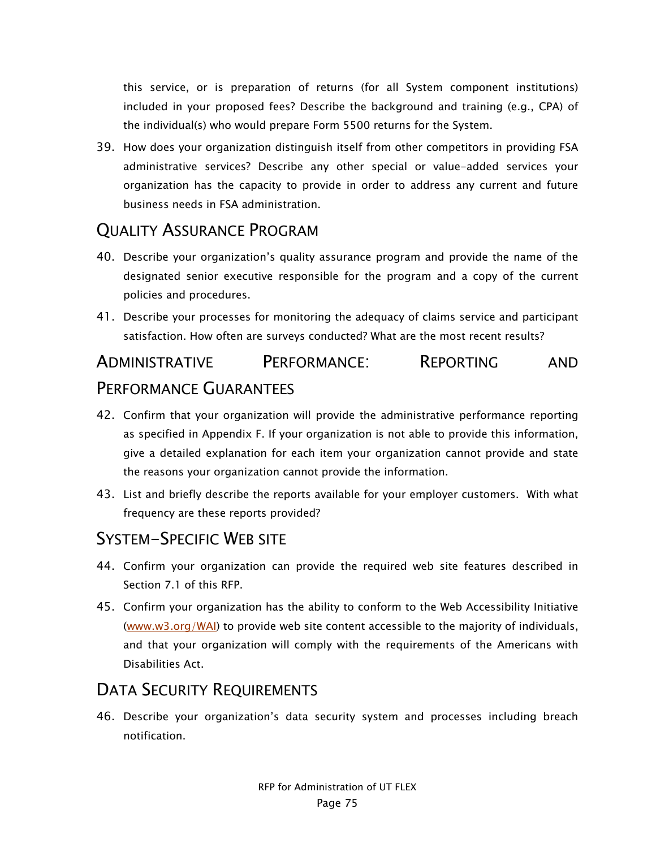this service, or is preparation of returns (for all System component institutions) included in your proposed fees? Describe the background and training (e.g., CPA) of the individual(s) who would prepare Form 5500 returns for the System.

39. How does your organization distinguish itself from other competitors in providing FSA administrative services? Describe any other special or value-added services your organization has the capacity to provide in order to address any current and future business needs in FSA administration.

### QUALITY ASSURANCE PROGRAM

- 40. Describe your organization's quality assurance program and provide the name of the designated senior executive responsible for the program and a copy of the current policies and procedures.
- 41. Describe your processes for monitoring the adequacy of claims service and participant satisfaction. How often are surveys conducted? What are the most recent results?

# ADMINISTRATIVE PERFORMANCE: REPORTING AND PERFORMANCE GUARANTEES

- 42. Confirm that your organization will provide the administrative performance reporting as specified in Appendix F. If your organization is not able to provide this information, give a detailed explanation for each item your organization cannot provide and state the reasons your organization cannot provide the information.
- 43. List and briefly describe the reports available for your employer customers. With what frequency are these reports provided?

#### SYSTEM-SPECIFIC WEB SITE

- 44. Confirm your organization can provide the required web site features described in Section 7.1 of this RFP.
- 45. Confirm your organization has the ability to conform to the Web Accessibility Initiative (www.w3.org/WAI) to provide web site content accessible to the majority of individuals, and that your organization will comply with the requirements of the Americans with Disabilities Act.

## DATA SECURITY REQUIREMENTS

46. Describe your organization's data security system and processes including breach notification.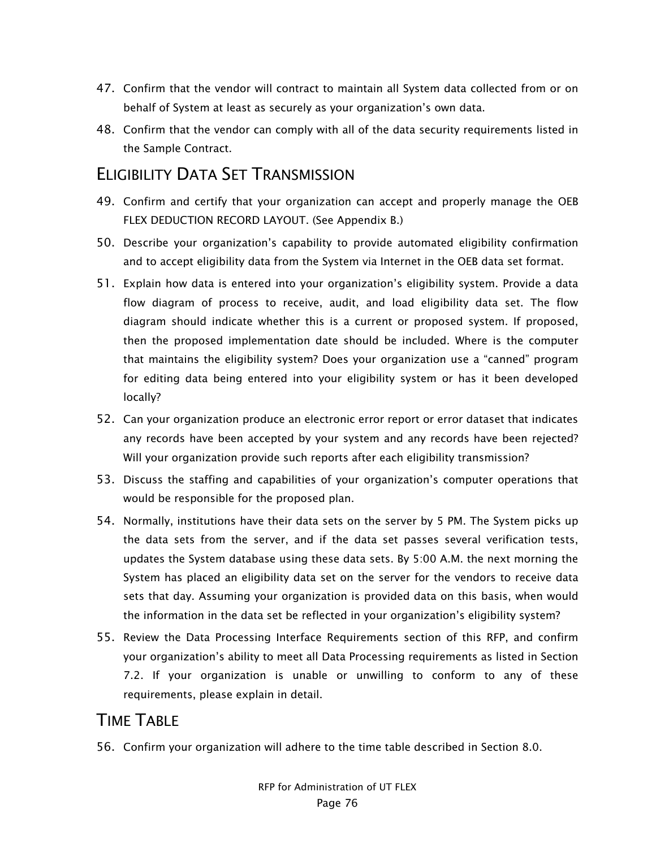- 47. Confirm that the vendor will contract to maintain all System data collected from or on behalf of System at least as securely as your organization's own data.
- 48. Confirm that the vendor can comply with all of the data security requirements listed in the Sample Contract.

### ELIGIBILITY DATA SET TRANSMISSION

- 49. Confirm and certify that your organization can accept and properly manage the OEB FLEX DEDUCTION RECORD LAYOUT. (See Appendix B.)
- 50. Describe your organization's capability to provide automated eligibility confirmation and to accept eligibility data from the System via Internet in the OEB data set format.
- 51. Explain how data is entered into your organization's eligibility system. Provide a data flow diagram of process to receive, audit, and load eligibility data set. The flow diagram should indicate whether this is a current or proposed system. If proposed, then the proposed implementation date should be included. Where is the computer that maintains the eligibility system? Does your organization use a "canned" program for editing data being entered into your eligibility system or has it been developed locally?
- 52. Can your organization produce an electronic error report or error dataset that indicates any records have been accepted by your system and any records have been rejected? Will your organization provide such reports after each eligibility transmission?
- 53. Discuss the staffing and capabilities of your organization's computer operations that would be responsible for the proposed plan.
- 54. Normally, institutions have their data sets on the server by 5 PM. The System picks up the data sets from the server, and if the data set passes several verification tests, updates the System database using these data sets. By 5:00 A.M. the next morning the System has placed an eligibility data set on the server for the vendors to receive data sets that day. Assuming your organization is provided data on this basis, when would the information in the data set be reflected in your organization's eligibility system?
- 55. Review the Data Processing Interface Requirements section of this RFP, and confirm your organization's ability to meet all Data Processing requirements as listed in Section 7.2. If your organization is unable or unwilling to conform to any of these requirements, please explain in detail.

# TIME TABLE

56. Confirm your organization will adhere to the time table described in Section 8.0.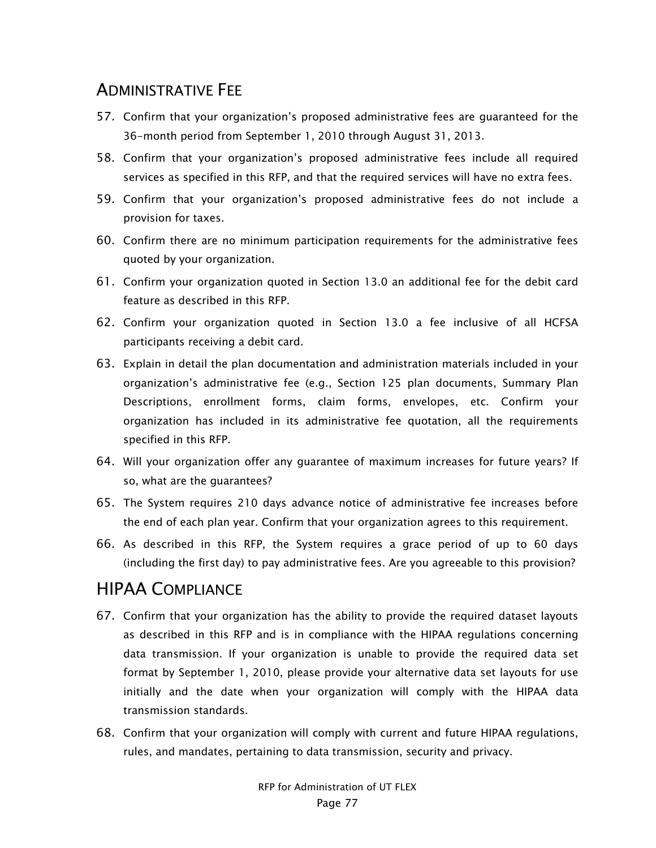# ADMINISTRATIVE FEE

- 57. Confirm that your organization's proposed administrative fees are guaranteed for the 36-month period from September 1, 2010 through August 31, 2013.
- 58. Confirm that your organization's proposed administrative fees include all required services as specified in this RFP, and that the required services will have no extra fees.
- 59. Confirm that your organization's proposed administrative fees do not include a provision for taxes.
- 60. Confirm there are no minimum participation requirements for the administrative fees quoted by your organization.
- 61. Confirm your organization quoted in Section 13.0 an additional fee for the debit card feature as described in this RFP.
- 62. Confirm your organization quoted in Section 13.0 a fee inclusive of all HCFSA participants receiving a debit card.
- 63. Explain in detail the plan documentation and administration materials included in your organization's administrative fee (e.g., Section 125 plan documents, Summary Plan Descriptions, enrollment forms, claim forms, envelopes, etc. Confirm your organization has included in its administrative fee quotation, all the requirements specified in this RFP.
- 64. Will your organization offer any guarantee of maximum increases for future years? If so, what are the guarantees?
- 65. The System requires 210 days advance notice of administrative fee increases before the end of each plan year. Confirm that your organization agrees to this requirement.
- 66. As described in this RFP, the System requires a grace period of up to 60 days (including the first day) to pay administrative fees. Are you agreeable to this provision?

# HIPAA COMPLIANCE

- 67. Confirm that your organization has the ability to provide the required dataset layouts as described in this RFP and is in compliance with the HIPAA regulations concerning data transmission. If your organization is unable to provide the required data set format by September 1, 2010, please provide your alternative data set layouts for use initially and the date when your organization will comply with the HIPAA data transmission standards.
- 68. Confirm that your organization will comply with current and future HIPAA regulations, rules, and mandates, pertaining to data transmission, security and privacy.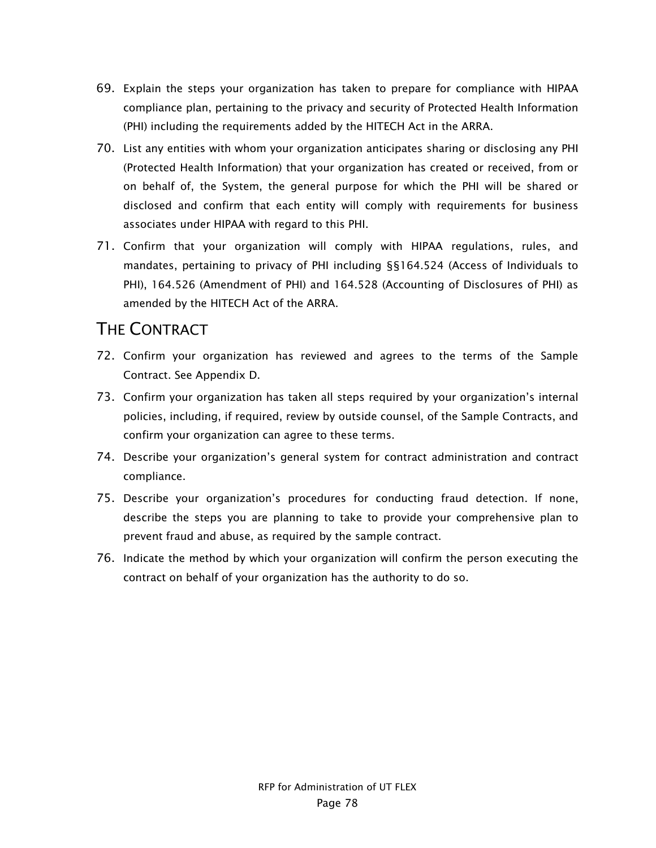- 69. Explain the steps your organization has taken to prepare for compliance with HIPAA compliance plan, pertaining to the privacy and security of Protected Health Information (PHI) including the requirements added by the HITECH Act in the ARRA.
- 70. List any entities with whom your organization anticipates sharing or disclosing any PHI (Protected Health Information) that your organization has created or received, from or on behalf of, the System, the general purpose for which the PHI will be shared or disclosed and confirm that each entity will comply with requirements for business associates under HIPAA with regard to this PHI.
- 71. Confirm that your organization will comply with HIPAA regulations, rules, and mandates, pertaining to privacy of PHI including §§164.524 (Access of Individuals to PHI), 164.526 (Amendment of PHI) and 164.528 (Accounting of Disclosures of PHI) as amended by the HITECH Act of the ARRA.

### THE CONTRACT

- 72. Confirm your organization has reviewed and agrees to the terms of the Sample Contract. See Appendix D.
- 73. Confirm your organization has taken all steps required by your organization's internal policies, including, if required, review by outside counsel, of the Sample Contracts, and confirm your organization can agree to these terms.
- 74. Describe your organization's general system for contract administration and contract compliance.
- 75. Describe your organization's procedures for conducting fraud detection. If none, describe the steps you are planning to take to provide your comprehensive plan to prevent fraud and abuse, as required by the sample contract.
- 76. Indicate the method by which your organization will confirm the person executing the contract on behalf of your organization has the authority to do so.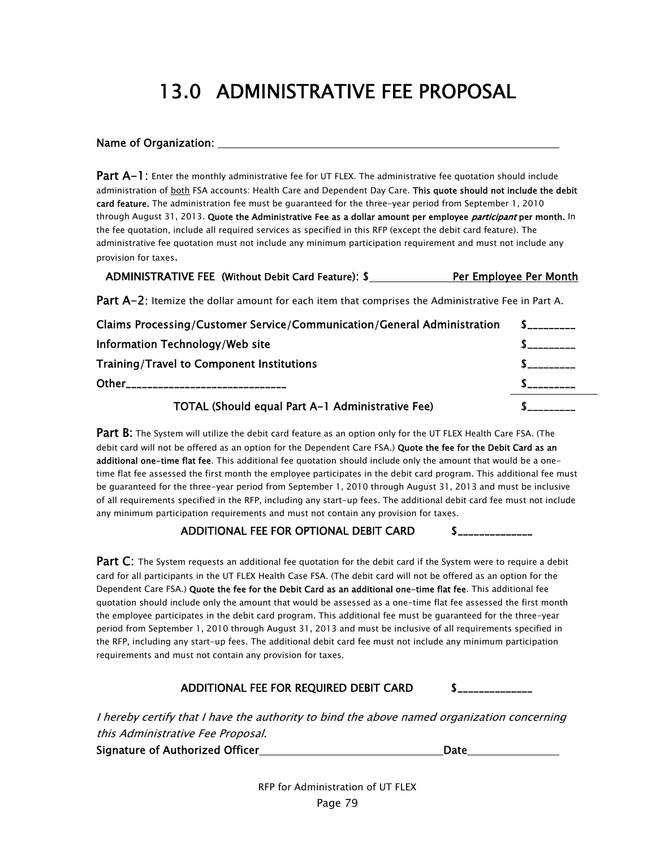# 13.0 ADMINISTRATIVE FEE PROPOSAL

#### Name of Organization:

Part A-1: Enter the monthly administrative fee for UT FLEX. The administrative fee quotation should include administration of both FSA accounts: Health Care and Dependent Day Care. This quote should not include the debit card feature. The administration fee must be guaranteed for the three-year period from September 1, 2010 through August 31, 2013. Quote the Administrative Fee as a dollar amount per employee *participant* per month. In the fee quotation, include all required services as specified in this RFP (except the debit card feature). The administrative fee quotation must not include any minimum participation requirement and must not include any provision for taxes.

| ADMINISTRATIVE FEE (Without Debit Card Feature): \$ | Per Employee Per Month |
|-----------------------------------------------------|------------------------|
|-----------------------------------------------------|------------------------|

Part A-2: Itemize the dollar amount for each item that comprises the Administrative Fee in Part A.

| Claims Processing/Customer Service/Communication/General Administration | $\sim$ $\sim$ $\sim$ |
|-------------------------------------------------------------------------|----------------------|
| Information Technology/Web site                                         |                      |
| <b>Training/Travel to Component Institutions</b>                        |                      |
| Other_____________                                                      |                      |
| TOTAL (Should equal Part A-1 Administrative Fee)                        |                      |

**Part B:** The System will utilize the debit card feature as an option only for the UT FLEX Health Care FSA. (The debit card will not be offered as an option for the Dependent Care FSA.) Quote the fee for the Debit Card as an additional one-time flat fee. This additional fee quotation should include only the amount that would be a onetime flat fee assessed the first month the employee participates in the debit card program. This additional fee must be guaranteed for the three-year period from September 1, 2010 through August 31, 2013 and must be inclusive of all requirements specified in the RFP, including any start-up fees. The additional debit card fee must not include any minimum participation requirements and must not contain any provision for taxes.

#### ADDITIONAL FEE FOR OPTIONAL DEBIT CARD \$

**Part C:** The System requests an additional fee quotation for the debit card if the System were to require a debit card for all participants in the UT FLEX Health Case FSA. (The debit card will not be offered as an option for the Dependent Care FSA.) Quote the fee for the Debit Card as an additional one-time flat fee. This additional fee quotation should include only the amount that would be assessed as a one-time flat fee assessed the first month the employee participates in the debit card program. This additional fee must be guaranteed for the three-year period from September 1, 2010 through August 31, 2013 and must be inclusive of all requirements specified in the RFP, including any start-up fees. The additional debit card fee must not include any minimum participation requirements and must not contain any provision for taxes.

#### ADDITIONAL FEE FOR REQUIRED DEBIT CARD \$

I hereby certify that I have the authority to bind the above named organization concerning this Administrative Fee Proposal.

Signature of Authorized Officer **Date** Date **Date** 

RFP for Administration of UT FLEX Page 79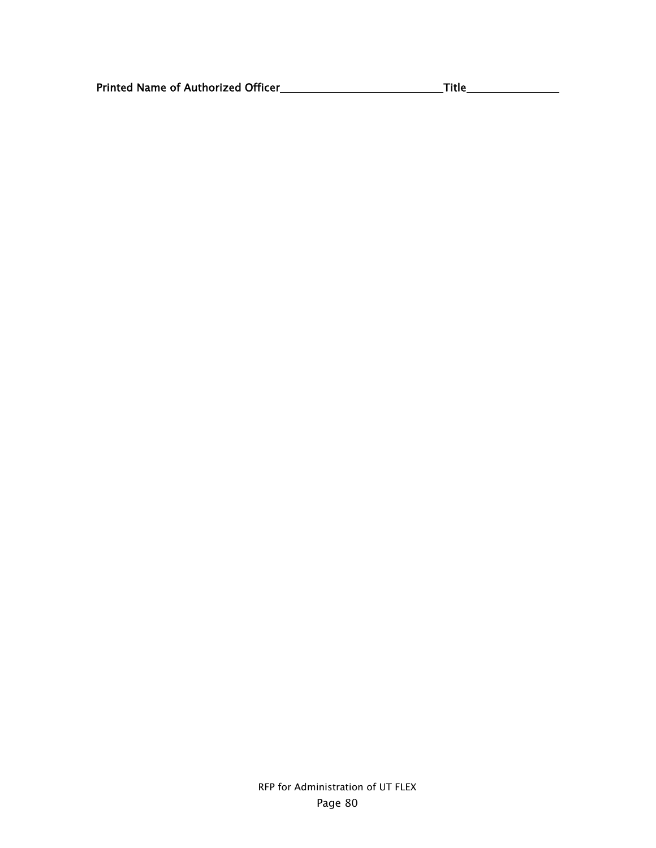| <b>Printed Name of Authorized Officer</b> |
|-------------------------------------------|
|-------------------------------------------|